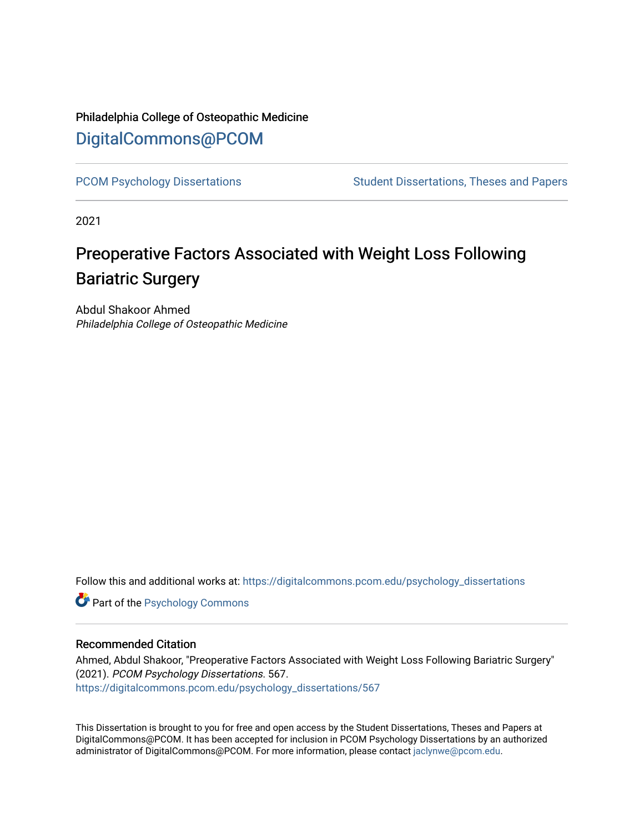# Philadelphia College of Osteopathic Medicine [DigitalCommons@PCOM](https://digitalcommons.pcom.edu/)

[PCOM Psychology Dissertations](https://digitalcommons.pcom.edu/psychology_dissertations) Student Dissertations, Theses and Papers

2021

# Preoperative Factors Associated with Weight Loss Following Bariatric Surgery

Abdul Shakoor Ahmed Philadelphia College of Osteopathic Medicine

Follow this and additional works at: [https://digitalcommons.pcom.edu/psychology\\_dissertations](https://digitalcommons.pcom.edu/psychology_dissertations?utm_source=digitalcommons.pcom.edu%2Fpsychology_dissertations%2F567&utm_medium=PDF&utm_campaign=PDFCoverPages)

**Part of the Psychology Commons** 

# Recommended Citation

Ahmed, Abdul Shakoor, "Preoperative Factors Associated with Weight Loss Following Bariatric Surgery" (2021). PCOM Psychology Dissertations. 567. [https://digitalcommons.pcom.edu/psychology\\_dissertations/567](https://digitalcommons.pcom.edu/psychology_dissertations/567?utm_source=digitalcommons.pcom.edu%2Fpsychology_dissertations%2F567&utm_medium=PDF&utm_campaign=PDFCoverPages) 

This Dissertation is brought to you for free and open access by the Student Dissertations, Theses and Papers at DigitalCommons@PCOM. It has been accepted for inclusion in PCOM Psychology Dissertations by an authorized administrator of DigitalCommons@PCOM. For more information, please contact [jaclynwe@pcom.edu.](mailto:jaclynwe@pcom.edu)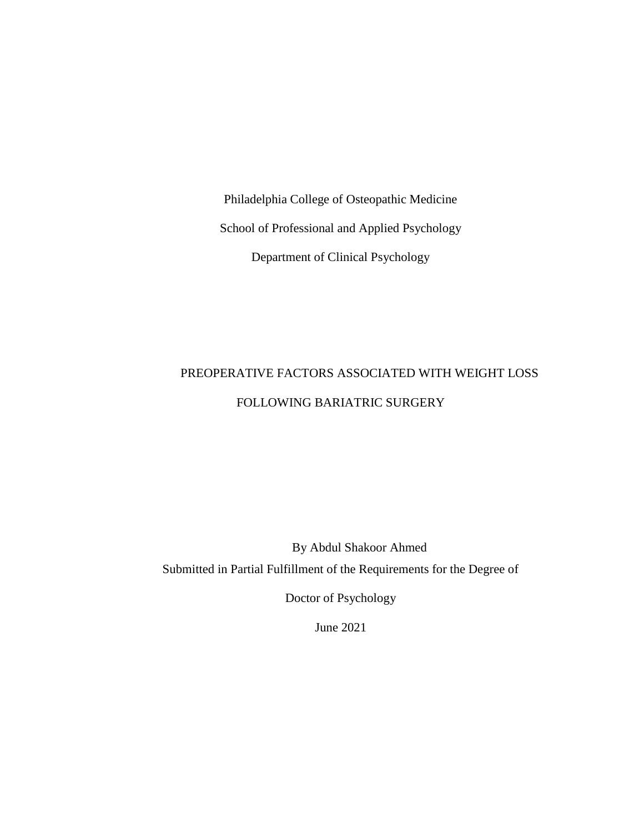Philadelphia College of Osteopathic Medicine School of Professional and Applied Psychology Department of Clinical Psychology

# PREOPERATIVE FACTORS ASSOCIATED WITH WEIGHT LOSS FOLLOWING BARIATRIC SURGERY

By Abdul Shakoor Ahmed Submitted in Partial Fulfillment of the Requirements for the Degree of

Doctor of Psychology

June 2021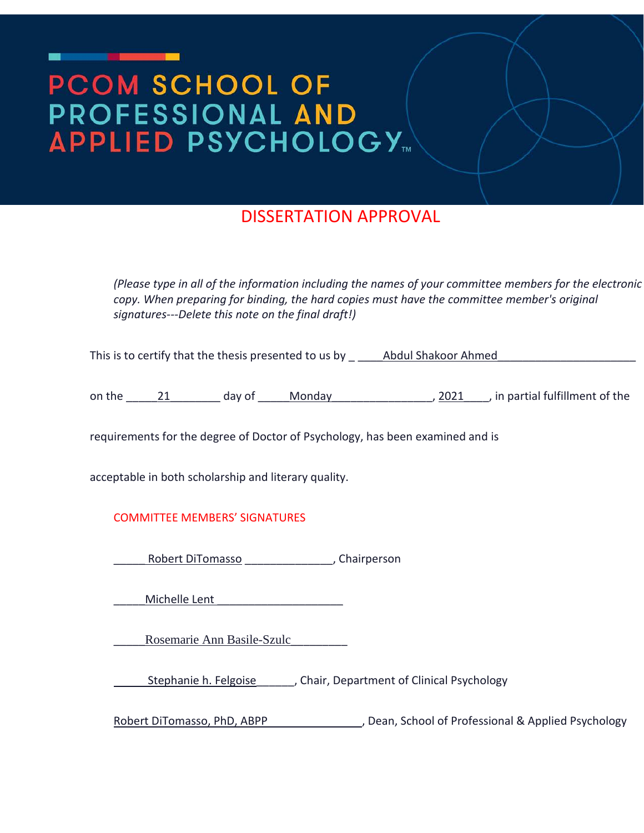# **PCOM SCHOOL OF** PROFESSIONAL AND **APPLIED PSYCHOLOGY**

# DISSERTATION APPROVAL

*(Please type in all of the information including the names of your committee members for the electronic copy. When preparing for binding, the hard copies must have the committee member's original signatures---Delete this note on the final draft!)*

This is to certify that the thesis presented to us by  $\frac{1}{2}$  Abdul Shakoor Ahmed

on the  $\frac{21}{21}$  day of Monday  $\frac{2021}{2021}$ , in partial fulfillment of the

requirements for the degree of Doctor of Psychology, has been examined and is

acceptable in both scholarship and literary quality.

# COMMITTEE MEMBERS' SIGNATURES

Robert DiTomasso \_\_\_\_\_\_\_\_\_\_\_\_\_\_, Chairperson

Michelle Lent **Executes** 

\_\_\_\_\_Rosemarie Ann Basile-Szulc\_\_\_\_\_\_\_\_\_

Stephanie h. Felgoise\_\_\_\_\_\_, Chair, Department of Clinical Psychology

Robert DiTomasso, PhD, ABPP , Dean, School of Professional & Applied Psychology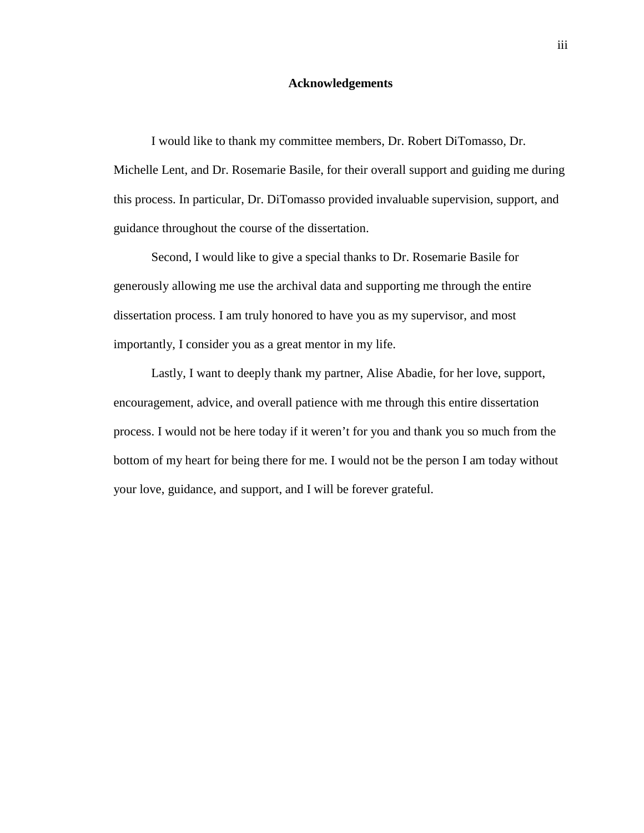# **Acknowledgements**

<span id="page-3-0"></span>I would like to thank my committee members, Dr. Robert DiTomasso, Dr. Michelle Lent, and Dr. Rosemarie Basile, for their overall support and guiding me during this process. In particular, Dr. DiTomasso provided invaluable supervision, support, and guidance throughout the course of the dissertation.

Second, I would like to give a special thanks to Dr. Rosemarie Basile for generously allowing me use the archival data and supporting me through the entire dissertation process. I am truly honored to have you as my supervisor, and most importantly, I consider you as a great mentor in my life.

Lastly, I want to deeply thank my partner, Alise Abadie, for her love, support, encouragement, advice, and overall patience with me through this entire dissertation process. I would not be here today if it weren't for you and thank you so much from the bottom of my heart for being there for me. I would not be the person I am today without your love, guidance, and support, and I will be forever grateful.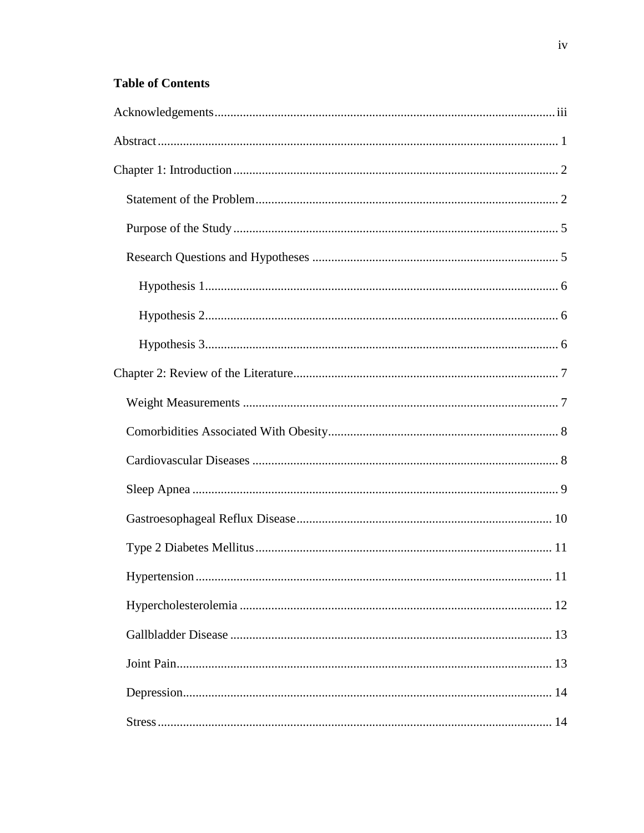# **Table of Contents**

| 11 |
|----|
|    |
|    |
|    |
|    |
|    |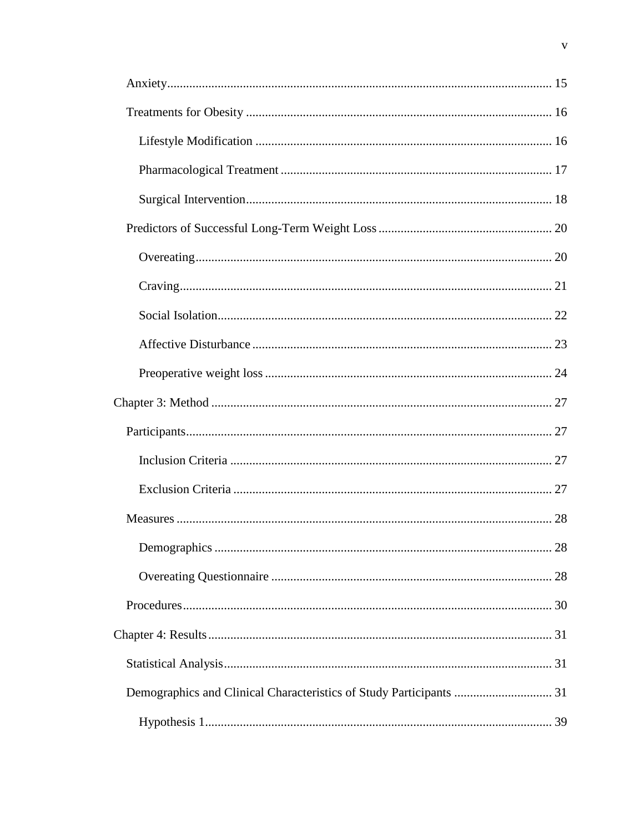| Demographics and Clinical Characteristics of Study Participants  31 |  |
|---------------------------------------------------------------------|--|
|                                                                     |  |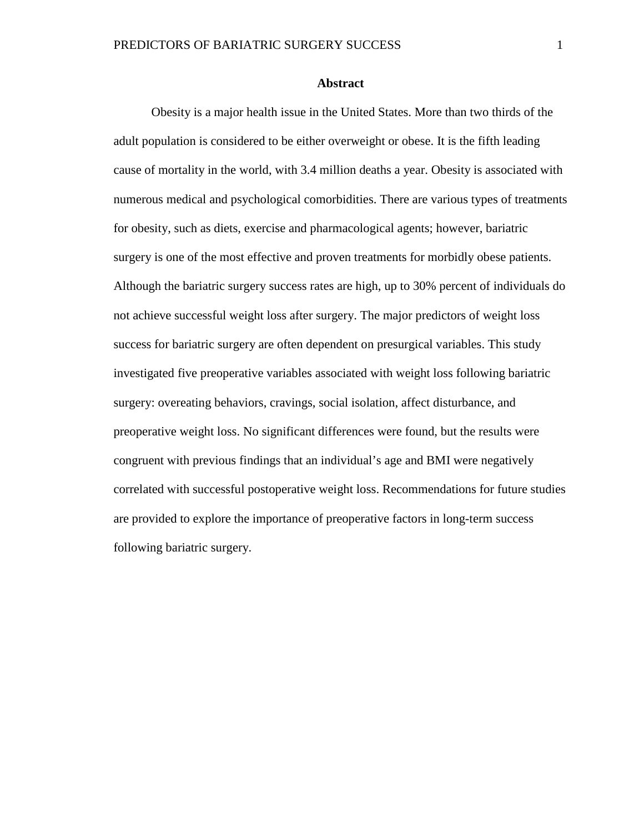# **Abstract**

<span id="page-7-0"></span>Obesity is a major health issue in the United States. More than two thirds of the adult population is considered to be either overweight or obese. It is the fifth leading cause of mortality in the world, with 3.4 million deaths a year. Obesity is associated with numerous medical and psychological comorbidities. There are various types of treatments for obesity, such as diets, exercise and pharmacological agents; however, bariatric surgery is one of the most effective and proven treatments for morbidly obese patients. Although the bariatric surgery success rates are high, up to 30% percent of individuals do not achieve successful weight loss after surgery. The major predictors of weight loss success for bariatric surgery are often dependent on presurgical variables. This study investigated five preoperative variables associated with weight loss following bariatric surgery: overeating behaviors, cravings, social isolation, affect disturbance, and preoperative weight loss. No significant differences were found, but the results were congruent with previous findings that an individual's age and BMI were negatively correlated with successful postoperative weight loss. Recommendations for future studies are provided to explore the importance of preoperative factors in long-term success following bariatric surgery.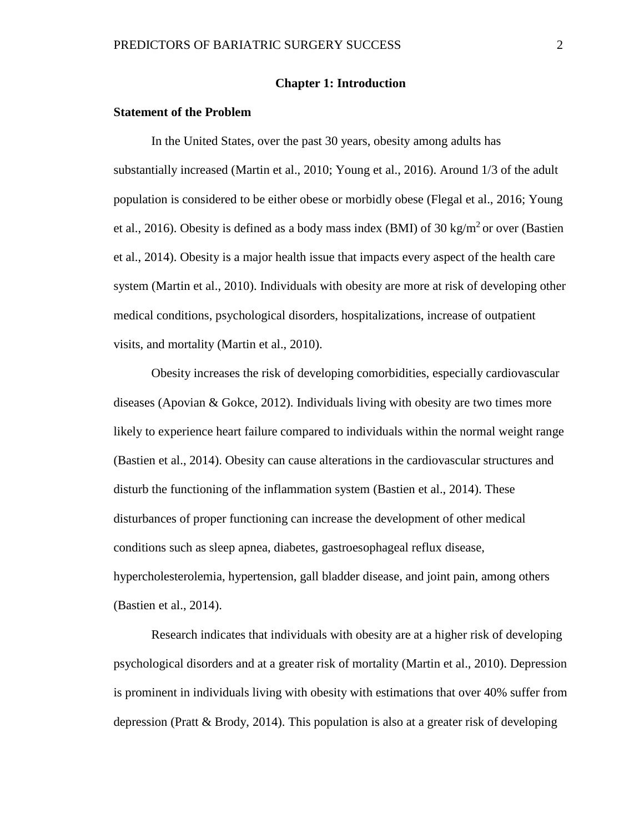## **Chapter 1: Introduction**

# <span id="page-8-1"></span><span id="page-8-0"></span>**Statement of the Problem**

In the United States, over the past 30 years, obesity among adults has substantially increased (Martin et al., 2010; Young et al., 2016). Around 1/3 of the adult population is considered to be either obese or morbidly obese (Flegal et al., 2016; Young et al., 2016). Obesity is defined as a body mass index (BMI) of 30 kg/m<sup>2</sup> or over (Bastien et al., 2014). Obesity is a major health issue that impacts every aspect of the health care system (Martin et al., 2010). Individuals with obesity are more at risk of developing other medical conditions, psychological disorders, hospitalizations, increase of outpatient visits, and mortality (Martin et al., 2010).

Obesity increases the risk of developing comorbidities, especially cardiovascular diseases (Apovian & Gokce, 2012). Individuals living with obesity are two times more likely to experience heart failure compared to individuals within the normal weight range (Bastien et al., 2014). Obesity can cause alterations in the cardiovascular structures and disturb the functioning of the inflammation system (Bastien et al., 2014). These disturbances of proper functioning can increase the development of other medical conditions such as sleep apnea, diabetes, gastroesophageal reflux disease, hypercholesterolemia, hypertension, gall bladder disease, and joint pain, among others (Bastien et al., 2014).

Research indicates that individuals with obesity are at a higher risk of developing psychological disorders and at a greater risk of mortality (Martin et al., 2010). Depression is prominent in individuals living with obesity with estimations that over 40% suffer from depression (Pratt & Brody, 2014). This population is also at a greater risk of developing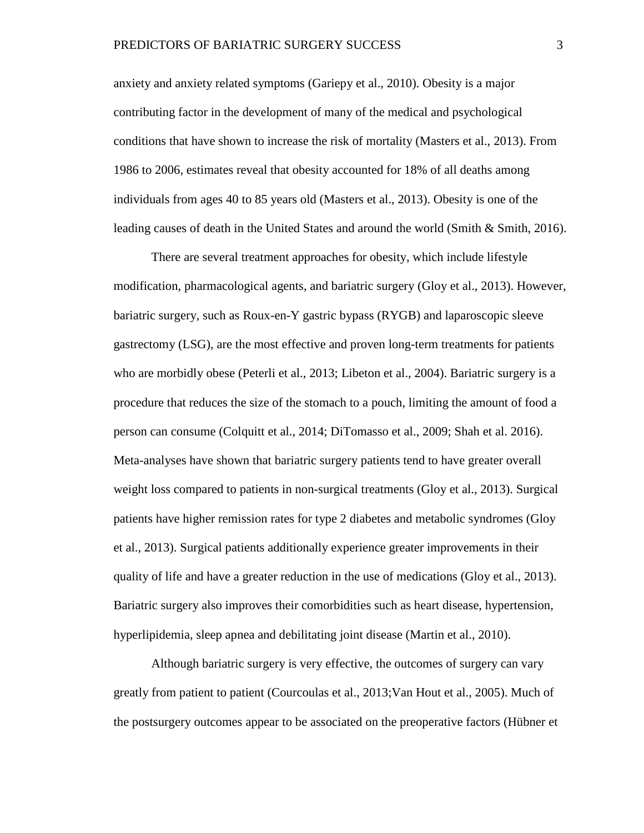anxiety and anxiety related symptoms (Gariepy et al., 2010). Obesity is a major contributing factor in the development of many of the medical and psychological conditions that have shown to increase the risk of mortality (Masters et al., 2013). From 1986 to 2006, estimates reveal that obesity accounted for 18% of all deaths among individuals from ages 40 to 85 years old (Masters et al., 2013). Obesity is one of the leading causes of death in the United States and around the world (Smith & Smith, 2016).

There are several treatment approaches for obesity, which include lifestyle modification, pharmacological agents, and bariatric surgery (Gloy et al., 2013). However, bariatric surgery, such as Roux-en-Y gastric bypass (RYGB) and laparoscopic sleeve gastrectomy (LSG), are the most effective and proven long-term treatments for patients who are morbidly obese (Peterli et al., 2013; Libeton et al., 2004). Bariatric surgery is a procedure that reduces the size of the stomach to a pouch, limiting the amount of food a person can consume (Colquitt et al., 2014; DiTomasso et al., 2009; Shah et al. 2016). Meta-analyses have shown that bariatric surgery patients tend to have greater overall weight loss compared to patients in non-surgical treatments (Gloy et al., 2013). Surgical patients have higher remission rates for type 2 diabetes and metabolic syndromes (Gloy et al., 2013). Surgical patients additionally experience greater improvements in their quality of life and have a greater reduction in the use of medications (Gloy et al., 2013). Bariatric surgery also improves their comorbidities such as heart disease, hypertension, hyperlipidemia, sleep apnea and debilitating joint disease (Martin et al., 2010).

Although bariatric surgery is very effective, the outcomes of surgery can vary greatly from patient to patient (Courcoulas et al., 2013;Van Hout et al., 2005). Much of the postsurgery outcomes appear to be associated on the preoperative factors (Hübner et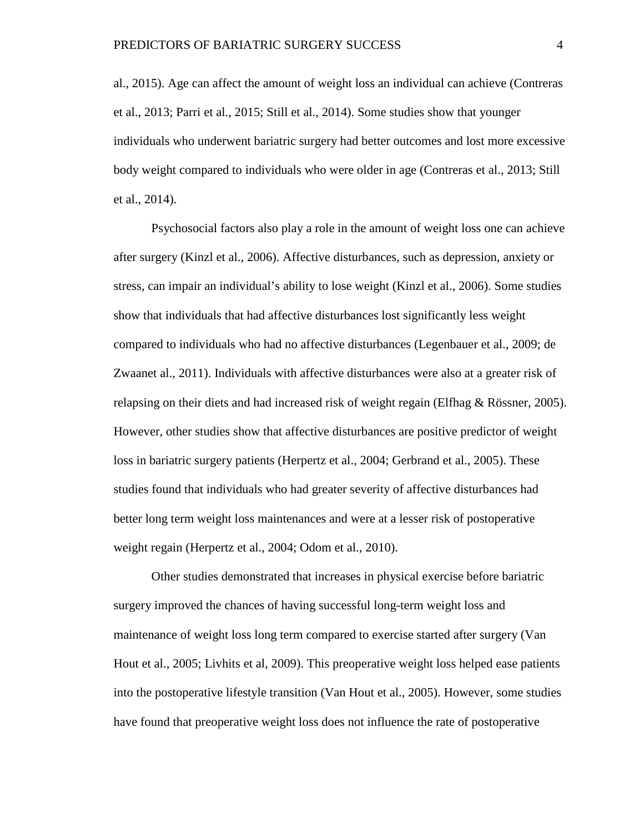al., 2015). Age can affect the amount of weight loss an individual can achieve (Contreras et al., 2013; Parri et al., 2015; Still et al., 2014). Some studies show that younger individuals who underwent bariatric surgery had better outcomes and lost more excessive body weight compared to individuals who were older in age (Contreras et al., 2013; Still et al., 2014).

Psychosocial factors also play a role in the amount of weight loss one can achieve after surgery (Kinzl et al., 2006). Affective disturbances, such as depression, anxiety or stress, can impair an individual's ability to lose weight (Kinzl et al., 2006). Some studies show that individuals that had affective disturbances lost significantly less weight compared to individuals who had no affective disturbances (Legenbauer et al., 2009; de Zwaanet al., 2011). Individuals with affective disturbances were also at a greater risk of relapsing on their diets and had increased risk of weight regain (Elfhag & Rössner, 2005). However, other studies show that affective disturbances are positive predictor of weight loss in bariatric surgery patients (Herpertz et al., 2004; Gerbrand et al., 2005). These studies found that individuals who had greater severity of affective disturbances had better long term weight loss maintenances and were at a lesser risk of postoperative weight regain (Herpertz et al., 2004; Odom et al., 2010).

Other studies demonstrated that increases in physical exercise before bariatric surgery improved the chances of having successful long-term weight loss and maintenance of weight loss long term compared to exercise started after surgery (Van Hout et al., 2005; Livhits et al, 2009). This preoperative weight loss helped ease patients into the postoperative lifestyle transition (Van Hout et al., 2005). However, some studies have found that preoperative weight loss does not influence the rate of postoperative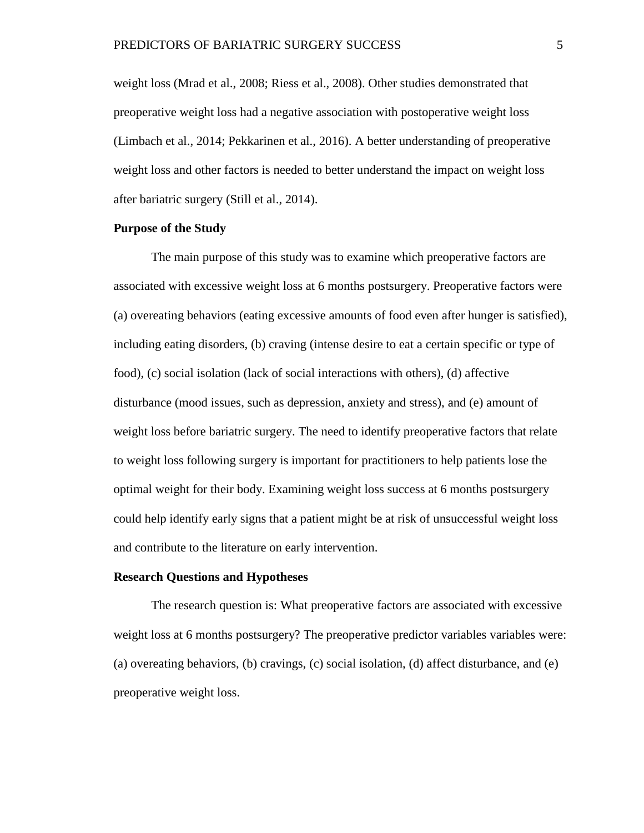weight loss (Mrad et al., 2008; Riess et al., 2008). Other studies demonstrated that preoperative weight loss had a negative association with postoperative weight loss (Limbach et al., 2014; Pekkarinen et al., 2016). A better understanding of preoperative weight loss and other factors is needed to better understand the impact on weight loss after bariatric surgery (Still et al., 2014).

# <span id="page-11-0"></span>**Purpose of the Study**

The main purpose of this study was to examine which preoperative factors are associated with excessive weight loss at 6 months postsurgery. Preoperative factors were (a) overeating behaviors (eating excessive amounts of food even after hunger is satisfied), including eating disorders, (b) craving (intense desire to eat a certain specific or type of food), (c) social isolation (lack of social interactions with others), (d) affective disturbance (mood issues, such as depression, anxiety and stress), and (e) amount of weight loss before bariatric surgery. The need to identify preoperative factors that relate to weight loss following surgery is important for practitioners to help patients lose the optimal weight for their body. Examining weight loss success at 6 months postsurgery could help identify early signs that a patient might be at risk of unsuccessful weight loss and contribute to the literature on early intervention.

#### <span id="page-11-1"></span>**Research Questions and Hypotheses**

The research question is: What preoperative factors are associated with excessive weight loss at 6 months postsurgery? The preoperative predictor variables variables were: (a) overeating behaviors, (b) cravings, (c) social isolation, (d) affect disturbance, and (e) preoperative weight loss.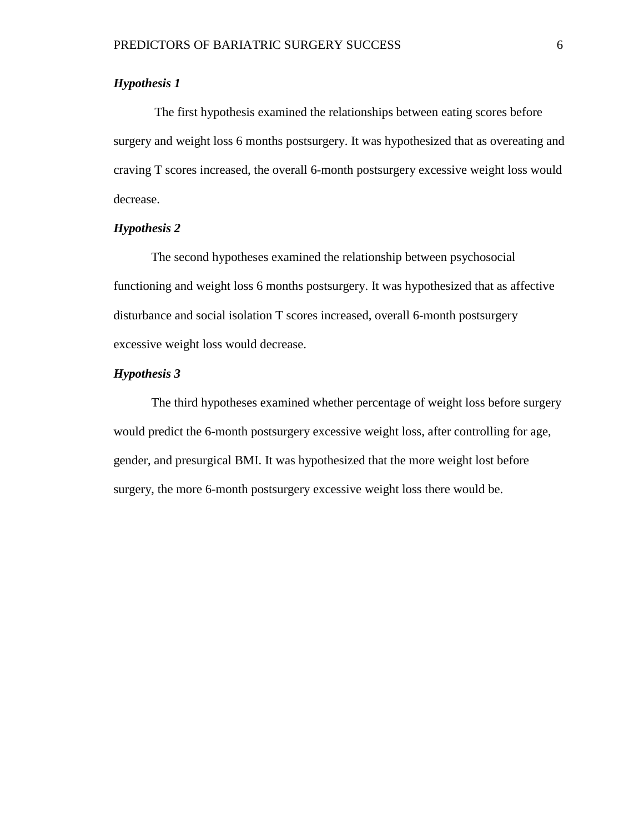# <span id="page-12-0"></span>*Hypothesis 1*

The first hypothesis examined the relationships between eating scores before surgery and weight loss 6 months postsurgery. It was hypothesized that as overeating and craving T scores increased, the overall 6-month postsurgery excessive weight loss would decrease.

# <span id="page-12-1"></span>*Hypothesis 2*

The second hypotheses examined the relationship between psychosocial functioning and weight loss 6 months postsurgery. It was hypothesized that as affective disturbance and social isolation T scores increased, overall 6-month postsurgery excessive weight loss would decrease.

# <span id="page-12-2"></span>*Hypothesis 3*

The third hypotheses examined whether percentage of weight loss before surgery would predict the 6-month postsurgery excessive weight loss, after controlling for age, gender, and presurgical BMI. It was hypothesized that the more weight lost before surgery, the more 6-month postsurgery excessive weight loss there would be.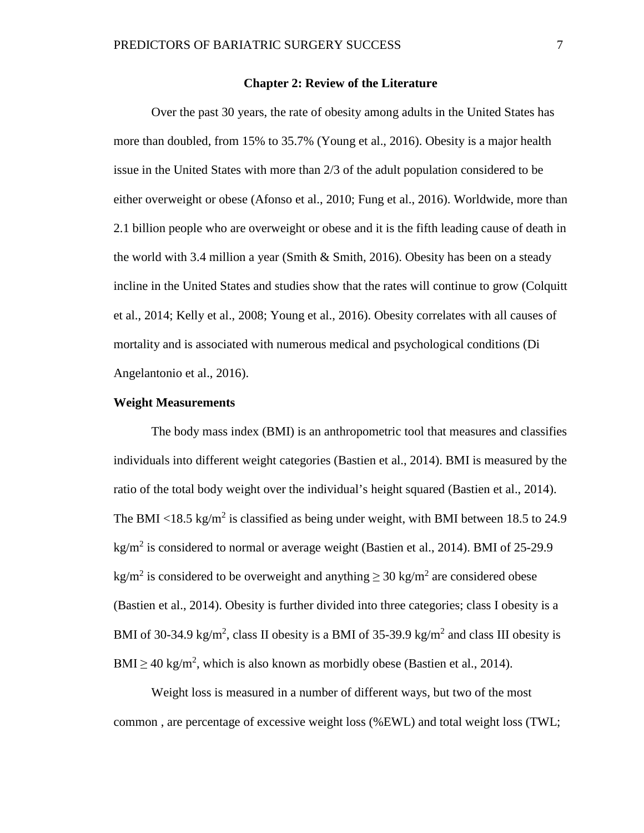# **Chapter 2: Review of the Literature**

<span id="page-13-0"></span>Over the past 30 years, the rate of obesity among adults in the United States has more than doubled, from 15% to 35.7% (Young et al., 2016). Obesity is a major health issue in the United States with more than 2/3 of the adult population considered to be either overweight or obese (Afonso et al., 2010; Fung et al., 2016). Worldwide, more than 2.1 billion people who are overweight or obese and it is the fifth leading cause of death in the world with 3.4 million a year (Smith & Smith, 2016). Obesity has been on a steady incline in the United States and studies show that the rates will continue to grow (Colquitt et al., 2014; Kelly et al., 2008; Young et al., 2016). Obesity correlates with all causes of mortality and is associated with numerous medical and psychological conditions (Di Angelantonio et al., 2016).

# <span id="page-13-1"></span>**Weight Measurements**

The body mass index (BMI) is an anthropometric tool that measures and classifies individuals into different weight categories (Bastien et al., 2014). BMI is measured by the ratio of the total body weight over the individual's height squared (Bastien et al., 2014). The BMI  $\langle 18.5 \text{ kg/m}^2 \rangle$  is classified as being under weight, with BMI between 18.5 to 24.9 kg/m<sup>2</sup> is considered to normal or average weight (Bastien et al., 2014). BMI of 25-29.9 kg/m<sup>2</sup> is considered to be overweight and anything  $\geq$  30 kg/m<sup>2</sup> are considered obese (Bastien et al., 2014). Obesity is further divided into three categories; class I obesity is a BMI of 30-34.9 kg/m<sup>2</sup>, class II obesity is a BMI of 35-39.9 kg/m<sup>2</sup> and class III obesity is BMI  $\geq$  40 kg/m<sup>2</sup>, which is also known as morbidly obese (Bastien et al., 2014).

Weight loss is measured in a number of different ways, but two of the most common , are percentage of excessive weight loss (%EWL) and total weight loss (TWL;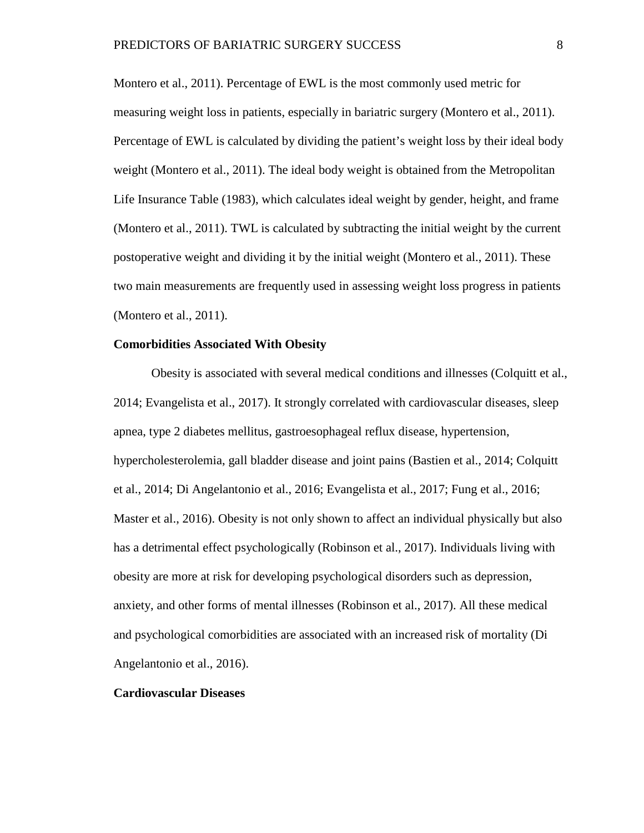Montero et al., 2011). Percentage of EWL is the most commonly used metric for measuring weight loss in patients, especially in bariatric surgery (Montero et al., 2011). Percentage of EWL is calculated by dividing the patient's weight loss by their ideal body weight (Montero et al., 2011). The ideal body weight is obtained from the Metropolitan Life Insurance Table (1983), which calculates ideal weight by gender, height, and frame (Montero et al., 2011). TWL is calculated by subtracting the initial weight by the current postoperative weight and dividing it by the initial weight (Montero et al., 2011). These two main measurements are frequently used in assessing weight loss progress in patients (Montero et al., 2011).

# <span id="page-14-0"></span>**Comorbidities Associated With Obesity**

Obesity is associated with several medical conditions and illnesses (Colquitt et al., 2014; Evangelista et al., 2017). It strongly correlated with cardiovascular diseases, sleep apnea, type 2 diabetes mellitus, gastroesophageal reflux disease, hypertension, hypercholesterolemia, gall bladder disease and joint pains (Bastien et al., 2014; Colquitt et al., 2014; Di Angelantonio et al., 2016; Evangelista et al., 2017; Fung et al., 2016; Master et al., 2016). Obesity is not only shown to affect an individual physically but also has a detrimental effect psychologically (Robinson et al., 2017). Individuals living with obesity are more at risk for developing psychological disorders such as depression, anxiety, and other forms of mental illnesses (Robinson et al., 2017). All these medical and psychological comorbidities are associated with an increased risk of mortality (Di Angelantonio et al., 2016).

# <span id="page-14-1"></span>**Cardiovascular Diseases**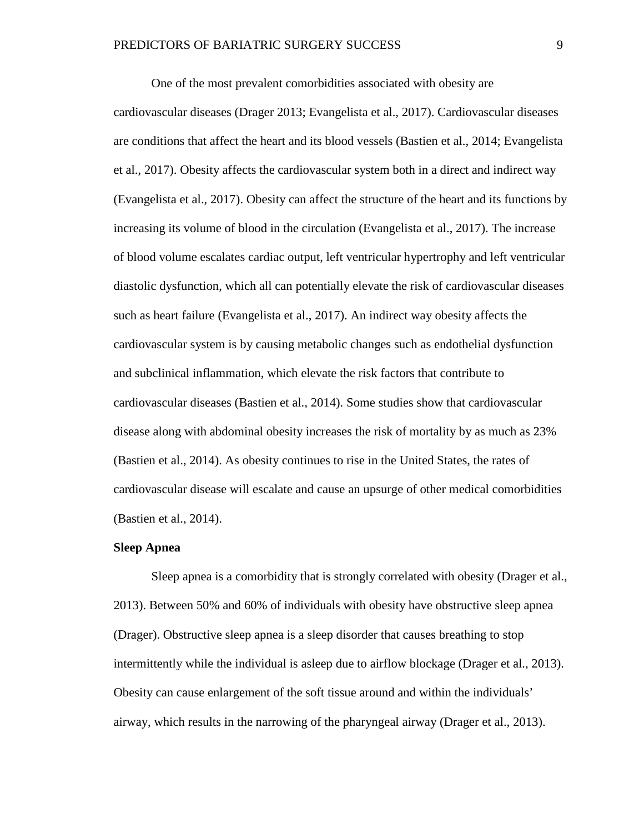One of the most prevalent comorbidities associated with obesity are cardiovascular diseases (Drager 2013; Evangelista et al., 2017). Cardiovascular diseases are conditions that affect the heart and its blood vessels (Bastien et al., 2014; Evangelista et al., 2017). Obesity affects the cardiovascular system both in a direct and indirect way (Evangelista et al., 2017). Obesity can affect the structure of the heart and its functions by increasing its volume of blood in the circulation (Evangelista et al., 2017). The increase of blood volume escalates cardiac output, left ventricular hypertrophy and left ventricular diastolic dysfunction, which all can potentially elevate the risk of cardiovascular diseases such as heart failure (Evangelista et al., 2017). An indirect way obesity affects the cardiovascular system is by causing metabolic changes such as endothelial dysfunction and subclinical inflammation, which elevate the risk factors that contribute to cardiovascular diseases (Bastien et al., 2014). Some studies show that cardiovascular disease along with abdominal obesity increases the risk of mortality by as much as 23% (Bastien et al., 2014). As obesity continues to rise in the United States, the rates of cardiovascular disease will escalate and cause an upsurge of other medical comorbidities (Bastien et al., 2014).

### <span id="page-15-0"></span>**Sleep Apnea**

Sleep apnea is a comorbidity that is strongly correlated with obesity (Drager et al., 2013). Between 50% and 60% of individuals with obesity have obstructive sleep apnea (Drager). Obstructive sleep apnea is a sleep disorder that causes breathing to stop intermittently while the individual is asleep due to airflow blockage (Drager et al., 2013). Obesity can cause enlargement of the soft tissue around and within the individuals' airway, which results in the narrowing of the pharyngeal airway (Drager et al., 2013).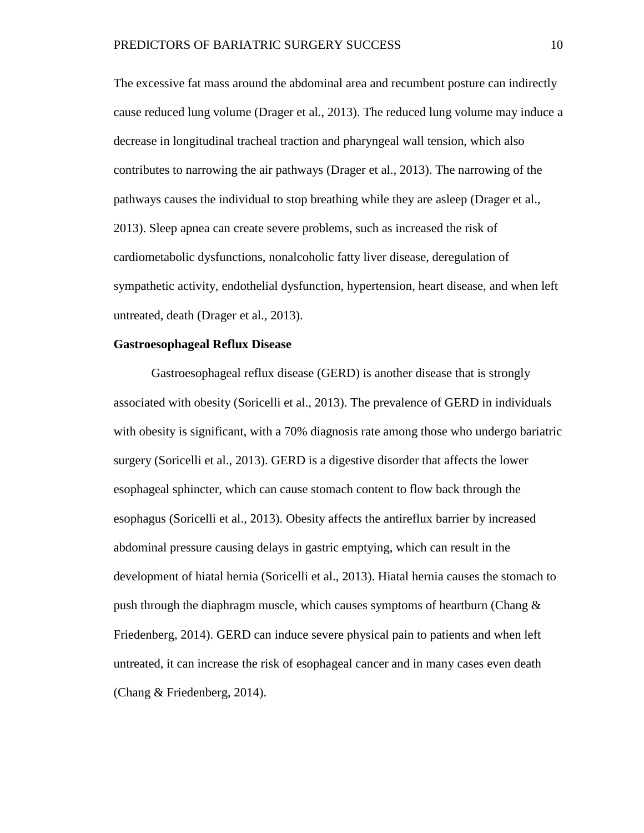The excessive fat mass around the abdominal area and recumbent posture can indirectly cause reduced lung volume (Drager et al., 2013). The reduced lung volume may induce a decrease in longitudinal tracheal traction and pharyngeal wall tension, which also contributes to narrowing the air pathways (Drager et al., 2013). The narrowing of the pathways causes the individual to stop breathing while they are asleep (Drager et al., 2013). Sleep apnea can create severe problems, such as increased the risk of cardiometabolic dysfunctions, nonalcoholic fatty liver disease, deregulation of sympathetic activity, endothelial dysfunction, hypertension, heart disease, and when left untreated, death (Drager et al., 2013).

# <span id="page-16-0"></span>**Gastroesophageal Reflux Disease**

Gastroesophageal reflux disease (GERD) is another disease that is strongly associated with obesity (Soricelli et al., 2013). The prevalence of GERD in individuals with obesity is significant, with a 70% diagnosis rate among those who undergo bariatric surgery (Soricelli et al., 2013). GERD is a digestive disorder that affects the lower esophageal sphincter, which can cause stomach content to flow back through the esophagus (Soricelli et al., 2013). Obesity affects the antireflux barrier by increased abdominal pressure causing delays in gastric emptying, which can result in the development of hiatal hernia (Soricelli et al., 2013). Hiatal hernia causes the stomach to push through the diaphragm muscle, which causes symptoms of heartburn (Chang & Friedenberg, 2014). GERD can induce severe physical pain to patients and when left untreated, it can increase the risk of esophageal cancer and in many cases even death (Chang & Friedenberg, 2014).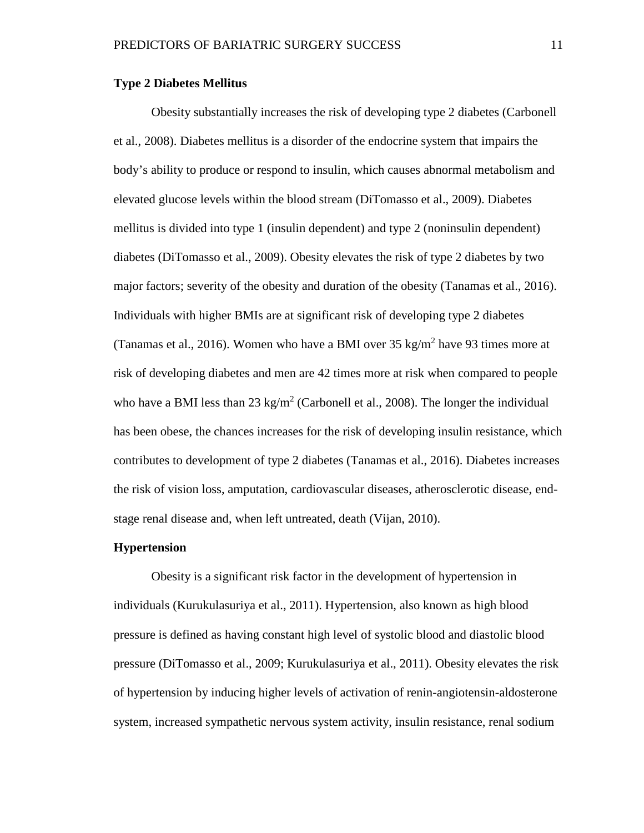# <span id="page-17-0"></span>**Type 2 Diabetes Mellitus**

Obesity substantially increases the risk of developing type 2 diabetes (Carbonell et al., 2008). Diabetes mellitus is a disorder of the endocrine system that impairs the body's ability to produce or respond to insulin, which causes abnormal metabolism and elevated glucose levels within the blood stream (DiTomasso et al., 2009). Diabetes mellitus is divided into type 1 (insulin dependent) and type 2 (noninsulin dependent) diabetes (DiTomasso et al., 2009). Obesity elevates the risk of type 2 diabetes by two major factors; severity of the obesity and duration of the obesity (Tanamas et al., 2016). Individuals with higher BMIs are at significant risk of developing type 2 diabetes (Tanamas et al., 2016). Women who have a BMI over  $35 \text{ kg/m}^2$  have 93 times more at risk of developing diabetes and men are 42 times more at risk when compared to people who have a BMI less than 23 kg/m<sup>2</sup> (Carbonell et al., 2008). The longer the individual has been obese, the chances increases for the risk of developing insulin resistance, which contributes to development of type 2 diabetes (Tanamas et al., 2016). Diabetes increases the risk of vision loss, amputation, cardiovascular diseases, atherosclerotic disease, endstage renal disease and, when left untreated, death (Vijan, 2010).

# <span id="page-17-1"></span>**Hypertension**

Obesity is a significant risk factor in the development of hypertension in individuals (Kurukulasuriya et al., 2011). Hypertension, also known as high blood pressure is defined as having constant high level of systolic blood and diastolic blood pressure (DiTomasso et al., 2009; Kurukulasuriya et al., 2011). Obesity elevates the risk of hypertension by inducing higher levels of activation of renin-angiotensin-aldosterone system, increased sympathetic nervous system activity, insulin resistance, renal sodium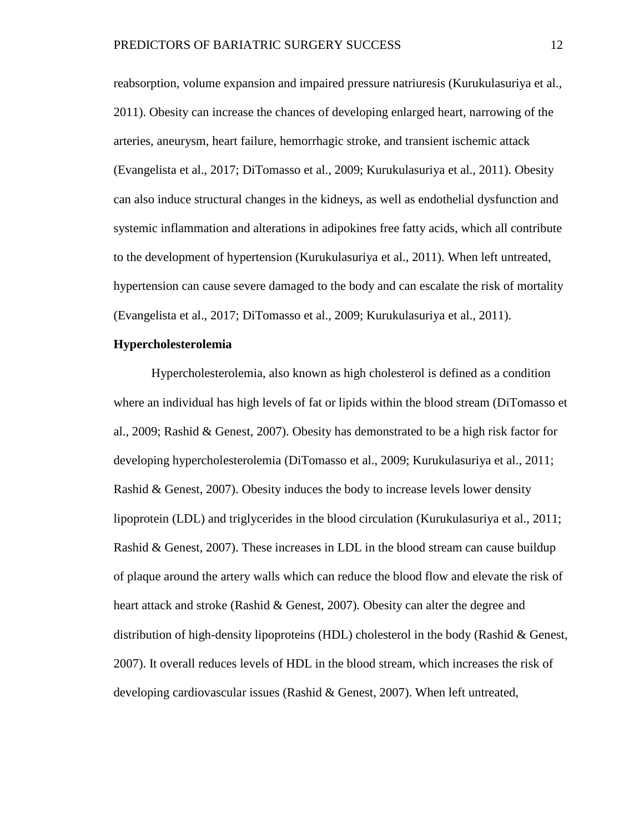reabsorption, volume expansion and impaired pressure natriuresis (Kurukulasuriya et al., 2011). Obesity can increase the chances of developing enlarged heart, narrowing of the arteries, aneurysm, heart failure, hemorrhagic stroke, and transient ischemic attack (Evangelista et al., 2017; DiTomasso et al., 2009; Kurukulasuriya et al., 2011). Obesity can also induce structural changes in the kidneys, as well as endothelial dysfunction and systemic inflammation and alterations in adipokines free fatty acids, which all contribute to the development of hypertension (Kurukulasuriya et al., 2011). When left untreated, hypertension can cause severe damaged to the body and can escalate the risk of mortality (Evangelista et al., 2017; DiTomasso et al., 2009; Kurukulasuriya et al., 2011).

# <span id="page-18-0"></span>**Hypercholesterolemia**

Hypercholesterolemia, also known as high cholesterol is defined as a condition where an individual has high levels of fat or lipids within the blood stream (DiTomasso et al., 2009; Rashid & Genest, 2007). Obesity has demonstrated to be a high risk factor for developing hypercholesterolemia (DiTomasso et al., 2009; Kurukulasuriya et al., 2011; Rashid & Genest, 2007). Obesity induces the body to increase levels lower density lipoprotein (LDL) and triglycerides in the blood circulation (Kurukulasuriya et al., 2011; Rashid & Genest, 2007). These increases in LDL in the blood stream can cause buildup of plaque around the artery walls which can reduce the blood flow and elevate the risk of heart attack and stroke (Rashid & Genest, 2007). Obesity can alter the degree and distribution of high-density lipoproteins (HDL) cholesterol in the body (Rashid & Genest, 2007). It overall reduces levels of HDL in the blood stream, which increases the risk of developing cardiovascular issues (Rashid & Genest, 2007). When left untreated,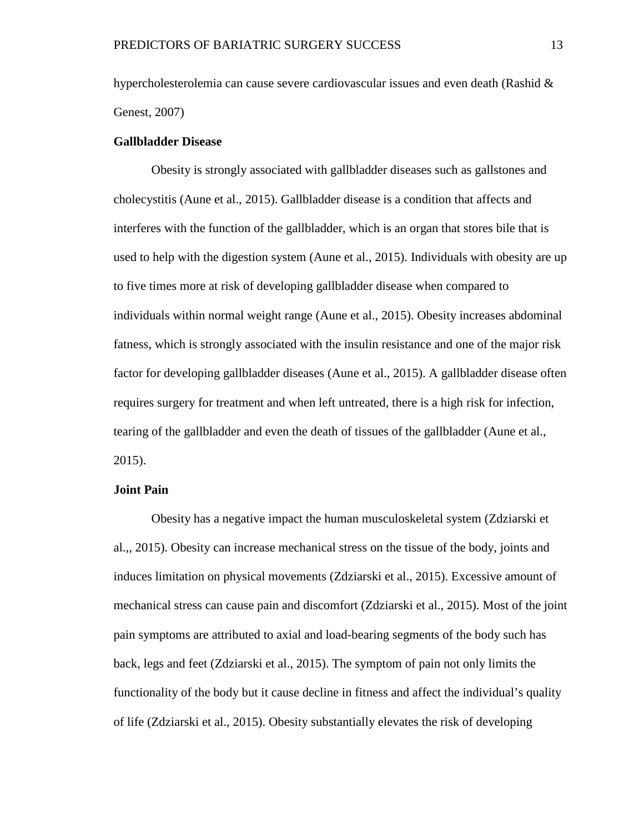hypercholesterolemia can cause severe cardiovascular issues and even death (Rashid  $\&$ Genest, 2007)

# <span id="page-19-0"></span>**Gallbladder Disease**

Obesity is strongly associated with gallbladder diseases such as gallstones and cholecystitis (Aune et al., 2015). Gallbladder disease is a condition that affects and interferes with the function of the gallbladder, which is an organ that stores bile that is used to help with the digestion system (Aune et al., 2015). Individuals with obesity are up to five times more at risk of developing gallbladder disease when compared to individuals within normal weight range (Aune et al., 2015). Obesity increases abdominal fatness, which is strongly associated with the insulin resistance and one of the major risk factor for developing gallbladder diseases (Aune et al., 2015). A gallbladder disease often requires surgery for treatment and when left untreated, there is a high risk for infection, tearing of the gallbladder and even the death of tissues of the gallbladder (Aune et al., 2015).

# <span id="page-19-1"></span>**Joint Pain**

Obesity has a negative impact the human musculoskeletal system (Zdziarski et al.,, 2015). Obesity can increase mechanical stress on the tissue of the body, joints and induces limitation on physical movements (Zdziarski et al., 2015). Excessive amount of mechanical stress can cause pain and discomfort (Zdziarski et al., 2015). Most of the joint pain symptoms are attributed to axial and load-bearing segments of the body such has back, legs and feet (Zdziarski et al., 2015). The symptom of pain not only limits the functionality of the body but it cause decline in fitness and affect the individual's quality of life (Zdziarski et al., 2015). Obesity substantially elevates the risk of developing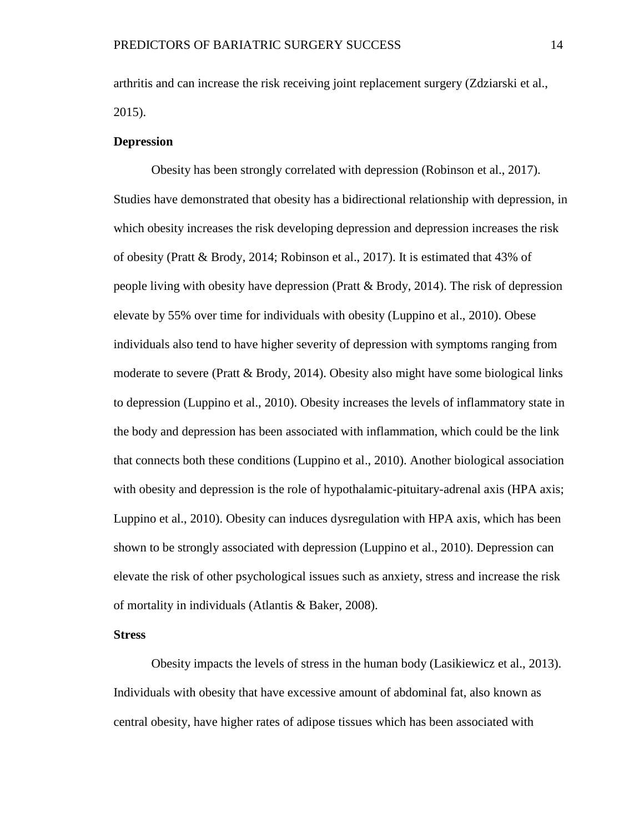arthritis and can increase the risk receiving joint replacement surgery (Zdziarski et al., 2015).

# <span id="page-20-0"></span>**Depression**

Obesity has been strongly correlated with depression (Robinson et al., 2017). Studies have demonstrated that obesity has a bidirectional relationship with depression, in which obesity increases the risk developing depression and depression increases the risk of obesity (Pratt & Brody, 2014; Robinson et al., 2017). It is estimated that 43% of people living with obesity have depression (Pratt & Brody, 2014). The risk of depression elevate by 55% over time for individuals with obesity (Luppino et al., 2010). Obese individuals also tend to have higher severity of depression with symptoms ranging from moderate to severe (Pratt & Brody, 2014). Obesity also might have some biological links to depression (Luppino et al., 2010). Obesity increases the levels of inflammatory state in the body and depression has been associated with inflammation, which could be the link that connects both these conditions (Luppino et al., 2010). Another biological association with obesity and depression is the role of hypothalamic-pituitary-adrenal axis (HPA axis; Luppino et al., 2010). Obesity can induces dysregulation with HPA axis, which has been shown to be strongly associated with depression (Luppino et al., 2010). Depression can elevate the risk of other psychological issues such as anxiety, stress and increase the risk of mortality in individuals (Atlantis & Baker, 2008).

# <span id="page-20-1"></span>**Stress**

Obesity impacts the levels of stress in the human body (Lasikiewicz et al., 2013). Individuals with obesity that have excessive amount of abdominal fat, also known as central obesity, have higher rates of adipose tissues which has been associated with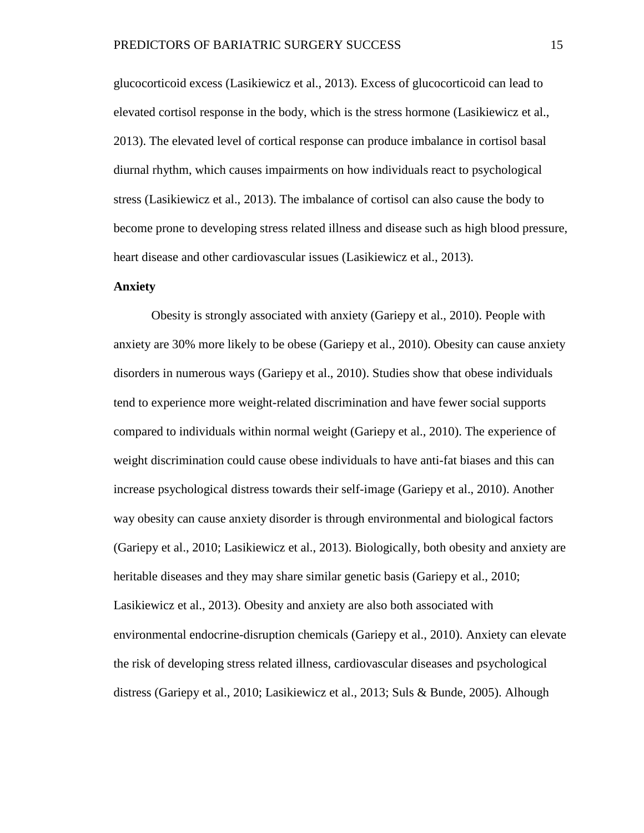glucocorticoid excess (Lasikiewicz et al., 2013). Excess of glucocorticoid can lead to elevated cortisol response in the body, which is the stress hormone (Lasikiewicz et al., 2013). The elevated level of cortical response can produce imbalance in cortisol basal diurnal rhythm, which causes impairments on how individuals react to psychological stress (Lasikiewicz et al., 2013). The imbalance of cortisol can also cause the body to become prone to developing stress related illness and disease such as high blood pressure, heart disease and other cardiovascular issues (Lasikiewicz et al., 2013).

# <span id="page-21-0"></span>**Anxiety**

Obesity is strongly associated with anxiety (Gariepy et al., 2010). People with anxiety are 30% more likely to be obese (Gariepy et al., 2010). Obesity can cause anxiety disorders in numerous ways (Gariepy et al., 2010). Studies show that obese individuals tend to experience more weight-related discrimination and have fewer social supports compared to individuals within normal weight (Gariepy et al., 2010). The experience of weight discrimination could cause obese individuals to have anti-fat biases and this can increase psychological distress towards their self-image (Gariepy et al., 2010). Another way obesity can cause anxiety disorder is through environmental and biological factors (Gariepy et al., 2010; Lasikiewicz et al., 2013). Biologically, both obesity and anxiety are heritable diseases and they may share similar genetic basis (Gariepy et al., 2010; Lasikiewicz et al., 2013). Obesity and anxiety are also both associated with environmental endocrine-disruption chemicals (Gariepy et al., 2010). Anxiety can elevate the risk of developing stress related illness, cardiovascular diseases and psychological distress (Gariepy et al., 2010; Lasikiewicz et al., 2013; Suls & Bunde, 2005). Alhough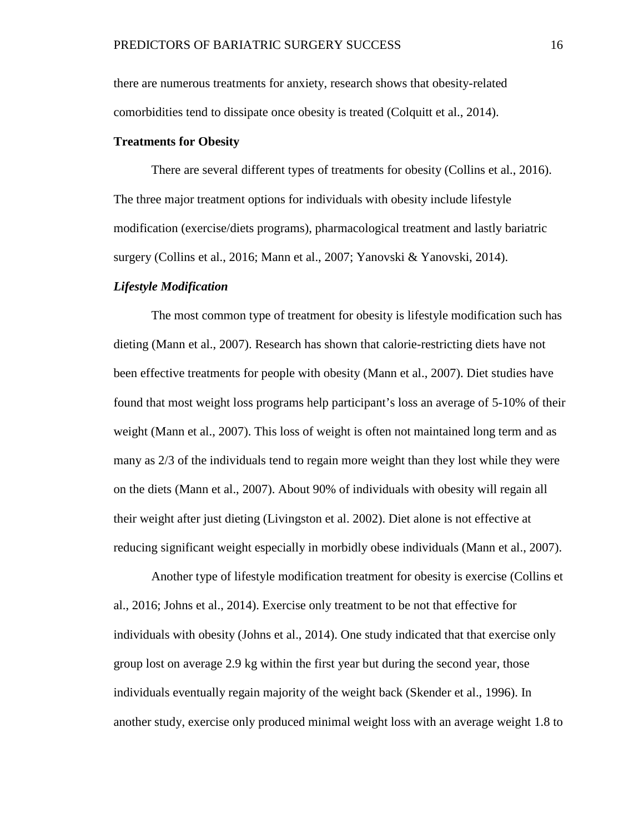there are numerous treatments for anxiety, research shows that obesity-related comorbidities tend to dissipate once obesity is treated (Colquitt et al., 2014).

# <span id="page-22-0"></span>**Treatments for Obesity**

There are several different types of treatments for obesity (Collins et al., 2016). The three major treatment options for individuals with obesity include lifestyle modification (exercise/diets programs), pharmacological treatment and lastly bariatric surgery (Collins et al., 2016; Mann et al., 2007; Yanovski & Yanovski, 2014).

#### <span id="page-22-1"></span>*Lifestyle Modification*

The most common type of treatment for obesity is lifestyle modification such has dieting (Mann et al., 2007). Research has shown that calorie-restricting diets have not been effective treatments for people with obesity (Mann et al., 2007). Diet studies have found that most weight loss programs help participant's loss an average of 5-10% of their weight (Mann et al., 2007). This loss of weight is often not maintained long term and as many as 2/3 of the individuals tend to regain more weight than they lost while they were on the diets (Mann et al., 2007). About 90% of individuals with obesity will regain all their weight after just dieting (Livingston et al. 2002). Diet alone is not effective at reducing significant weight especially in morbidly obese individuals (Mann et al., 2007).

Another type of lifestyle modification treatment for obesity is exercise (Collins et al., 2016; Johns et al., 2014). Exercise only treatment to be not that effective for individuals with obesity (Johns et al., 2014). One study indicated that that exercise only group lost on average 2.9 kg within the first year but during the second year, those individuals eventually regain majority of the weight back (Skender et al., 1996). In another study, exercise only produced minimal weight loss with an average weight 1.8 to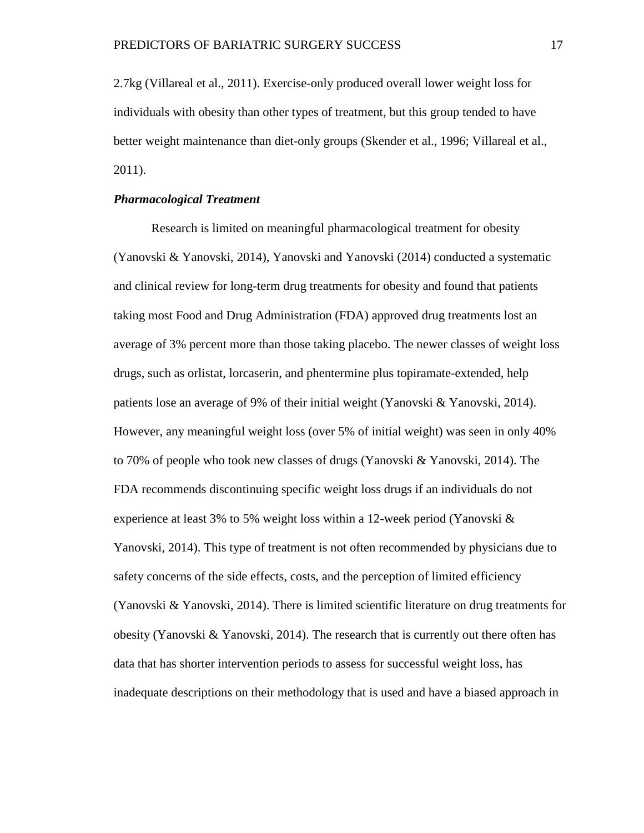2.7kg (Villareal et al., 2011). Exercise-only produced overall lower weight loss for individuals with obesity than other types of treatment, but this group tended to have better weight maintenance than diet-only groups (Skender et al., 1996; Villareal et al., 2011).

# <span id="page-23-0"></span>*Pharmacological Treatment*

Research is limited on meaningful pharmacological treatment for obesity (Yanovski & Yanovski, 2014), Yanovski and Yanovski (2014) conducted a systematic and clinical review for long-term drug treatments for obesity and found that patients taking most Food and Drug Administration (FDA) approved drug treatments lost an average of 3% percent more than those taking placebo. The newer classes of weight loss drugs, such as orlistat, lorcaserin, and phentermine plus topiramate-extended, help patients lose an average of 9% of their initial weight (Yanovski & Yanovski, 2014). However, any meaningful weight loss (over 5% of initial weight) was seen in only 40% to 70% of people who took new classes of drugs (Yanovski & Yanovski, 2014). The FDA recommends discontinuing specific weight loss drugs if an individuals do not experience at least 3% to 5% weight loss within a 12-week period (Yanovski  $\&$ Yanovski, 2014). This type of treatment is not often recommended by physicians due to safety concerns of the side effects, costs, and the perception of limited efficiency (Yanovski & Yanovski, 2014). There is limited scientific literature on drug treatments for obesity (Yanovski  $\&$  Yanovski, 2014). The research that is currently out there often has data that has shorter intervention periods to assess for successful weight loss, has inadequate descriptions on their methodology that is used and have a biased approach in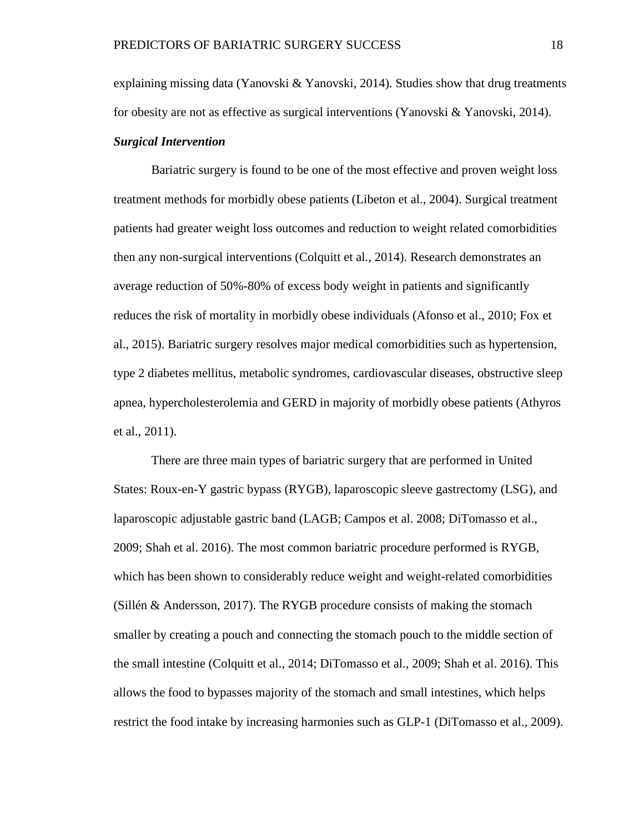explaining missing data (Yanovski & Yanovski, 2014). Studies show that drug treatments for obesity are not as effective as surgical interventions (Yanovski & Yanovski, 2014).

# <span id="page-24-0"></span>*Surgical Intervention*

Bariatric surgery is found to be one of the most effective and proven weight loss treatment methods for morbidly obese patients (Libeton et al., 2004). Surgical treatment patients had greater weight loss outcomes and reduction to weight related comorbidities then any non-surgical interventions (Colquitt et al., 2014). Research demonstrates an average reduction of 50%-80% of excess body weight in patients and significantly reduces the risk of mortality in morbidly obese individuals (Afonso et al., 2010; Fox et al., 2015). Bariatric surgery resolves major medical comorbidities such as hypertension, type 2 diabetes mellitus, metabolic syndromes, cardiovascular diseases, obstructive sleep apnea, hypercholesterolemia and GERD in majority of morbidly obese patients (Athyros et al., 2011).

There are three main types of bariatric surgery that are performed in United States: Roux-en-Y gastric bypass (RYGB), laparoscopic sleeve gastrectomy (LSG), and laparoscopic adjustable gastric band (LAGB; Campos et al. 2008; DiTomasso et al., 2009; Shah et al. 2016). The most common bariatric procedure performed is RYGB, which has been shown to considerably reduce weight and weight-related comorbidities (Sillén & Andersson, 2017). The RYGB procedure consists of making the stomach smaller by creating a pouch and connecting the stomach pouch to the middle section of the small intestine (Colquitt et al., 2014; DiTomasso et al., 2009; Shah et al. 2016). This allows the food to bypasses majority of the stomach and small intestines, which helps restrict the food intake by increasing harmonies such as GLP-1 (DiTomasso et al., 2009).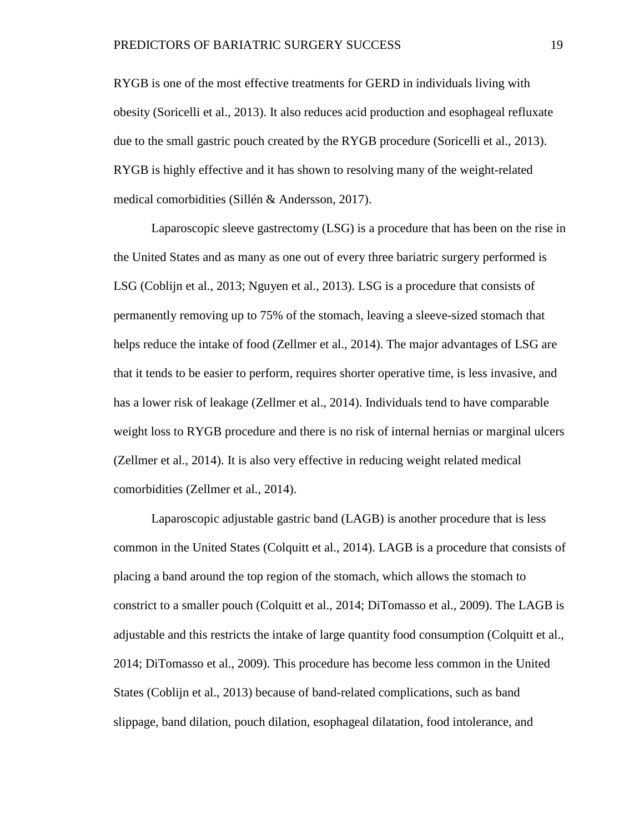RYGB is one of the most effective treatments for GERD in individuals living with obesity (Soricelli et al., 2013). It also reduces acid production and esophageal refluxate due to the small gastric pouch created by the RYGB procedure (Soricelli et al., 2013). RYGB is highly effective and it has shown to resolving many of the weight-related medical comorbidities (Sillén & Andersson, 2017).

Laparoscopic sleeve gastrectomy (LSG) is a procedure that has been on the rise in the United States and as many as one out of every three bariatric surgery performed is LSG (Coblijn et al., 2013; Nguyen et al., 2013). LSG is a procedure that consists of permanently removing up to 75% of the stomach, leaving a sleeve-sized stomach that helps reduce the intake of food (Zellmer et al., 2014). The major advantages of LSG are that it tends to be easier to perform, requires shorter operative time, is less invasive, and has a lower risk of leakage (Zellmer et al., 2014). Individuals tend to have comparable weight loss to RYGB procedure and there is no risk of internal hernias or marginal ulcers (Zellmer et al., 2014). It is also very effective in reducing weight related medical comorbidities (Zellmer et al., 2014).

Laparoscopic adjustable gastric band (LAGB) is another procedure that is less common in the United States (Colquitt et al., 2014). LAGB is a procedure that consists of placing a band around the top region of the stomach, which allows the stomach to constrict to a smaller pouch (Colquitt et al., 2014; DiTomasso et al., 2009). The LAGB is adjustable and this restricts the intake of large quantity food consumption (Colquitt et al., 2014; DiTomasso et al., 2009). This procedure has become less common in the United States (Coblijn et al., 2013) because of band-related complications, such as band slippage, band dilation, pouch dilation, esophageal dilatation, food intolerance, and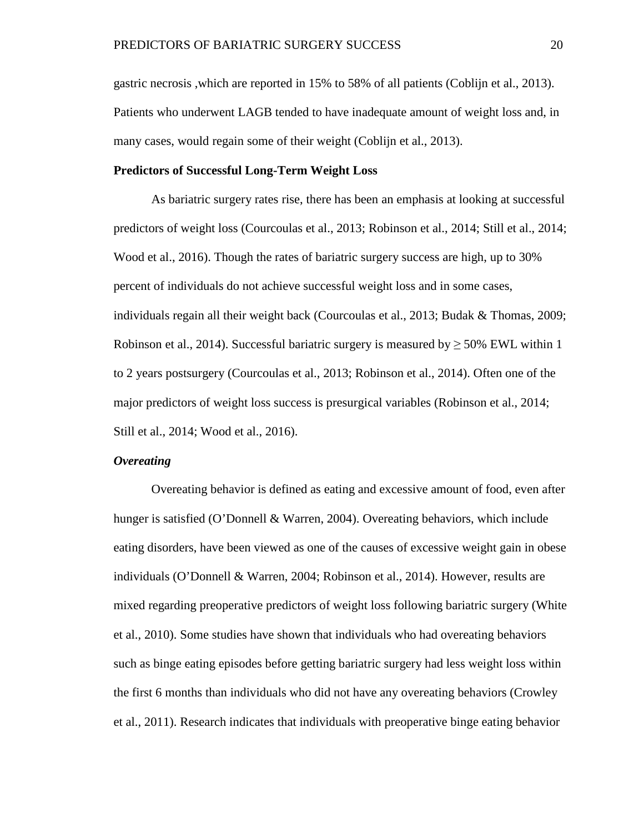gastric necrosis ,which are reported in 15% to 58% of all patients (Coblijn et al., 2013). Patients who underwent LAGB tended to have inadequate amount of weight loss and, in many cases, would regain some of their weight (Coblijn et al., 2013).

# <span id="page-26-0"></span>**Predictors of Successful Long-Term Weight Loss**

As bariatric surgery rates rise, there has been an emphasis at looking at successful predictors of weight loss (Courcoulas et al., 2013; Robinson et al., 2014; Still et al., 2014; Wood et al., 2016). Though the rates of bariatric surgery success are high, up to 30% percent of individuals do not achieve successful weight loss and in some cases, individuals regain all their weight back (Courcoulas et al., 2013; Budak & Thomas, 2009; Robinson et al., 2014). Successful bariatric surgery is measured by  $\geq$  50% EWL within 1 to 2 years postsurgery (Courcoulas et al., 2013; Robinson et al., 2014). Often one of the major predictors of weight loss success is presurgical variables (Robinson et al., 2014; Still et al., 2014; Wood et al., 2016).

# <span id="page-26-1"></span>*Overeating*

Overeating behavior is defined as eating and excessive amount of food, even after hunger is satisfied (O'Donnell & Warren, 2004). Overeating behaviors, which include eating disorders, have been viewed as one of the causes of excessive weight gain in obese individuals (O'Donnell & Warren, 2004; Robinson et al., 2014). However, results are mixed regarding preoperative predictors of weight loss following bariatric surgery (White et al., 2010). Some studies have shown that individuals who had overeating behaviors such as binge eating episodes before getting bariatric surgery had less weight loss within the first 6 months than individuals who did not have any overeating behaviors (Crowley et al., 2011). Research indicates that individuals with preoperative binge eating behavior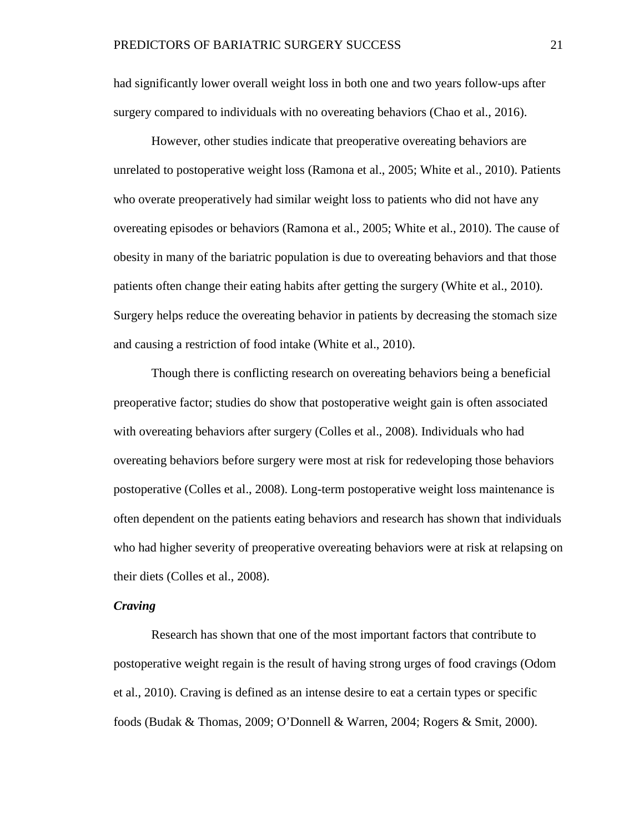had significantly lower overall weight loss in both one and two years follow-ups after surgery compared to individuals with no overeating behaviors (Chao et al., 2016).

However, other studies indicate that preoperative overeating behaviors are unrelated to postoperative weight loss (Ramona et al., 2005; White et al., 2010). Patients who overate preoperatively had similar weight loss to patients who did not have any overeating episodes or behaviors (Ramona et al., 2005; White et al., 2010). The cause of obesity in many of the bariatric population is due to overeating behaviors and that those patients often change their eating habits after getting the surgery (White et al., 2010). Surgery helps reduce the overeating behavior in patients by decreasing the stomach size and causing a restriction of food intake (White et al., 2010).

Though there is conflicting research on overeating behaviors being a beneficial preoperative factor; studies do show that postoperative weight gain is often associated with overeating behaviors after surgery (Colles et al., 2008). Individuals who had overeating behaviors before surgery were most at risk for redeveloping those behaviors postoperative (Colles et al., 2008). Long-term postoperative weight loss maintenance is often dependent on the patients eating behaviors and research has shown that individuals who had higher severity of preoperative overeating behaviors were at risk at relapsing on their diets (Colles et al., 2008).

# <span id="page-27-0"></span>*Craving*

Research has shown that one of the most important factors that contribute to postoperative weight regain is the result of having strong urges of food cravings (Odom et al., 2010). Craving is defined as an intense desire to eat a certain types or specific foods (Budak & Thomas, 2009; O'Donnell & Warren, 2004; Rogers & Smit, 2000).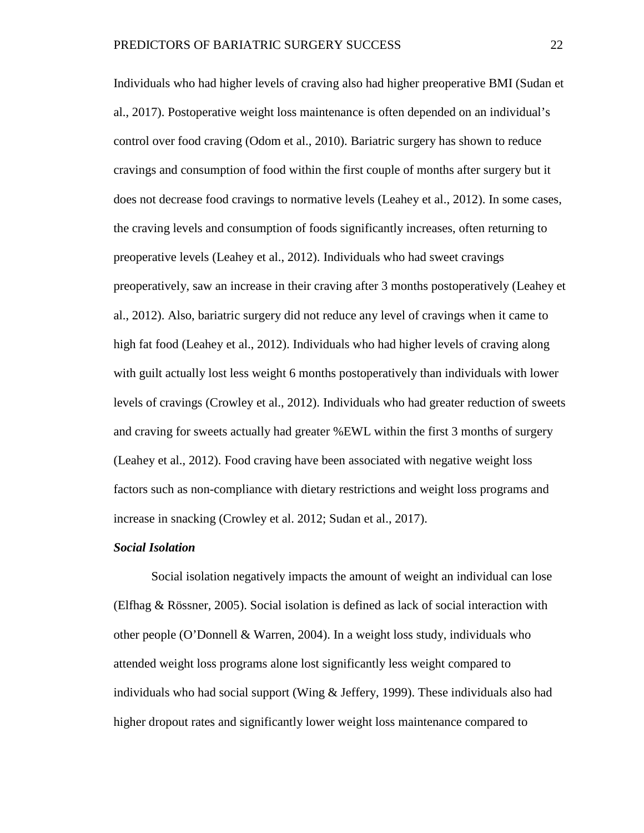Individuals who had higher levels of craving also had higher preoperative BMI (Sudan et al., 2017). Postoperative weight loss maintenance is often depended on an individual's control over food craving (Odom et al., 2010). Bariatric surgery has shown to reduce cravings and consumption of food within the first couple of months after surgery but it does not decrease food cravings to normative levels (Leahey et al., 2012). In some cases, the craving levels and consumption of foods significantly increases, often returning to preoperative levels (Leahey et al., 2012). Individuals who had sweet cravings preoperatively, saw an increase in their craving after 3 months postoperatively (Leahey et al., 2012). Also, bariatric surgery did not reduce any level of cravings when it came to high fat food (Leahey et al., 2012). Individuals who had higher levels of craving along with guilt actually lost less weight 6 months postoperatively than individuals with lower levels of cravings (Crowley et al., 2012). Individuals who had greater reduction of sweets and craving for sweets actually had greater %EWL within the first 3 months of surgery (Leahey et al., 2012). Food craving have been associated with negative weight loss factors such as non-compliance with dietary restrictions and weight loss programs and increase in snacking (Crowley et al. 2012; Sudan et al., 2017).

# <span id="page-28-0"></span>*Social Isolation*

Social isolation negatively impacts the amount of weight an individual can lose (Elfhag & Rössner, 2005). Social isolation is defined as lack of social interaction with other people (O'Donnell & Warren, 2004). In a weight loss study, individuals who attended weight loss programs alone lost significantly less weight compared to individuals who had social support (Wing & Jeffery, 1999). These individuals also had higher dropout rates and significantly lower weight loss maintenance compared to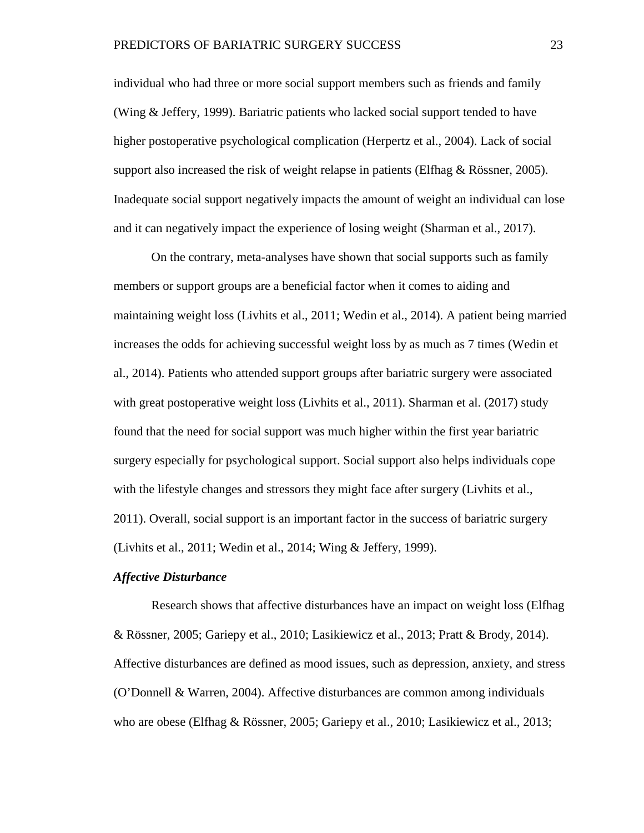individual who had three or more social support members such as friends and family (Wing & Jeffery, 1999). Bariatric patients who lacked social support tended to have higher postoperative psychological complication (Herpertz et al., 2004). Lack of social support also increased the risk of weight relapse in patients (Elfhag  $\&$  Rössner, 2005). Inadequate social support negatively impacts the amount of weight an individual can lose and it can negatively impact the experience of losing weight (Sharman et al., 2017).

On the contrary, meta-analyses have shown that social supports such as family members or support groups are a beneficial factor when it comes to aiding and maintaining weight loss (Livhits et al., 2011; Wedin et al., 2014). A patient being married increases the odds for achieving successful weight loss by as much as 7 times (Wedin et al., 2014). Patients who attended support groups after bariatric surgery were associated with great postoperative weight loss (Livhits et al., 2011). Sharman et al. (2017) study found that the need for social support was much higher within the first year bariatric surgery especially for psychological support. Social support also helps individuals cope with the lifestyle changes and stressors they might face after surgery (Livhits et al., 2011). Overall, social support is an important factor in the success of bariatric surgery (Livhits et al., 2011; Wedin et al., 2014; Wing & Jeffery, 1999).

# <span id="page-29-0"></span>*Affective Disturbance*

Research shows that affective disturbances have an impact on weight loss (Elfhag & Rössner, 2005; Gariepy et al., 2010; Lasikiewicz et al., 2013; Pratt & Brody, 2014). Affective disturbances are defined as mood issues, such as depression, anxiety, and stress (O'Donnell & Warren, 2004). Affective disturbances are common among individuals who are obese (Elfhag & Rössner, 2005; Gariepy et al., 2010; Lasikiewicz et al., 2013;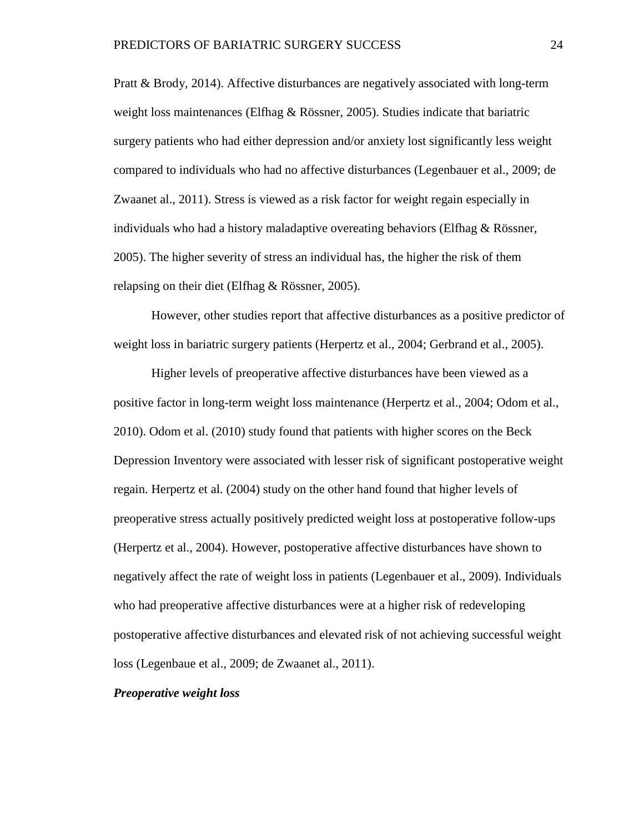Pratt & Brody, 2014). Affective disturbances are negatively associated with long-term weight loss maintenances (Elfhag & Rössner, 2005). Studies indicate that bariatric surgery patients who had either depression and/or anxiety lost significantly less weight compared to individuals who had no affective disturbances (Legenbauer et al., 2009; de Zwaanet al., 2011). Stress is viewed as a risk factor for weight regain especially in individuals who had a history maladaptive overeating behaviors (Elfhag & Rössner, 2005). The higher severity of stress an individual has, the higher the risk of them relapsing on their diet (Elfhag & Rössner, 2005).

However, other studies report that affective disturbances as a positive predictor of weight loss in bariatric surgery patients (Herpertz et al., 2004; Gerbrand et al., 2005).

Higher levels of preoperative affective disturbances have been viewed as a positive factor in long-term weight loss maintenance (Herpertz et al., 2004; Odom et al., 2010). Odom et al. (2010) study found that patients with higher scores on the Beck Depression Inventory were associated with lesser risk of significant postoperative weight regain. Herpertz et al. (2004) study on the other hand found that higher levels of preoperative stress actually positively predicted weight loss at postoperative follow-ups (Herpertz et al., 2004). However, postoperative affective disturbances have shown to negatively affect the rate of weight loss in patients (Legenbauer et al., 2009). Individuals who had preoperative affective disturbances were at a higher risk of redeveloping postoperative affective disturbances and elevated risk of not achieving successful weight loss (Legenbaue et al., 2009; de Zwaanet al., 2011).

# <span id="page-30-0"></span>*Preoperative weight loss*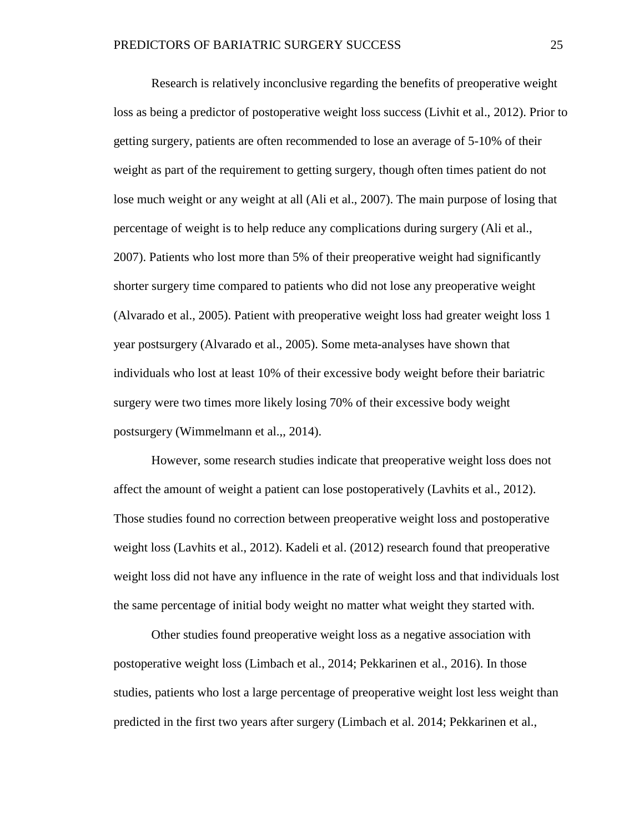Research is relatively inconclusive regarding the benefits of preoperative weight loss as being a predictor of postoperative weight loss success (Livhit et al., 2012). Prior to getting surgery, patients are often recommended to lose an average of 5-10% of their weight as part of the requirement to getting surgery, though often times patient do not lose much weight or any weight at all (Ali et al., 2007). The main purpose of losing that percentage of weight is to help reduce any complications during surgery (Ali et al., 2007). Patients who lost more than 5% of their preoperative weight had significantly shorter surgery time compared to patients who did not lose any preoperative weight (Alvarado et al., 2005). Patient with preoperative weight loss had greater weight loss 1 year postsurgery (Alvarado et al., 2005). Some meta-analyses have shown that individuals who lost at least 10% of their excessive body weight before their bariatric surgery were two times more likely losing 70% of their excessive body weight postsurgery (Wimmelmann et al.,, 2014).

However, some research studies indicate that preoperative weight loss does not affect the amount of weight a patient can lose postoperatively (Lavhits et al., 2012). Those studies found no correction between preoperative weight loss and postoperative weight loss (Lavhits et al., 2012). Kadeli et al. (2012) research found that preoperative weight loss did not have any influence in the rate of weight loss and that individuals lost the same percentage of initial body weight no matter what weight they started with.

Other studies found preoperative weight loss as a negative association with postoperative weight loss (Limbach et al., 2014; Pekkarinen et al., 2016). In those studies, patients who lost a large percentage of preoperative weight lost less weight than predicted in the first two years after surgery (Limbach et al. 2014; Pekkarinen et al.,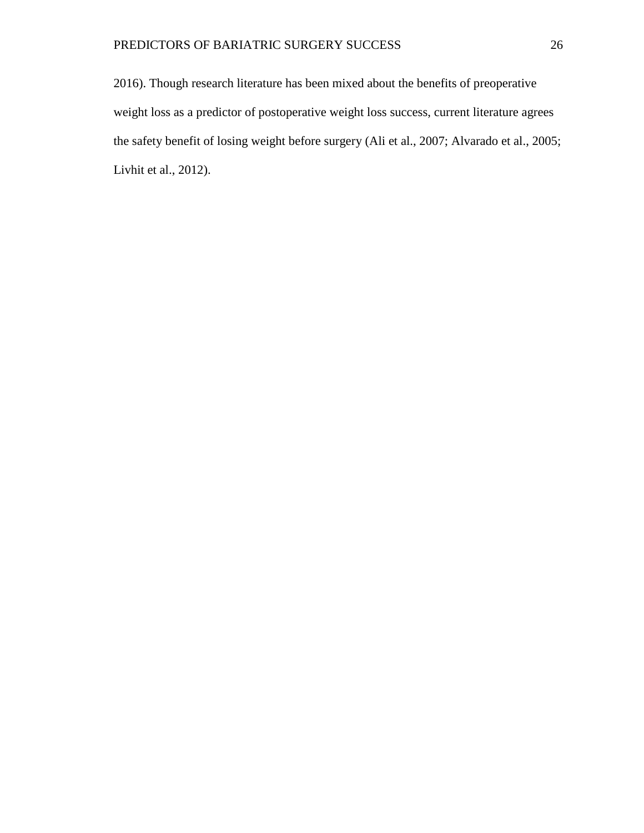2016). Though research literature has been mixed about the benefits of preoperative weight loss as a predictor of postoperative weight loss success, current literature agrees the safety benefit of losing weight before surgery (Ali et al., 2007; Alvarado et al., 2005; Livhit et al., 2012).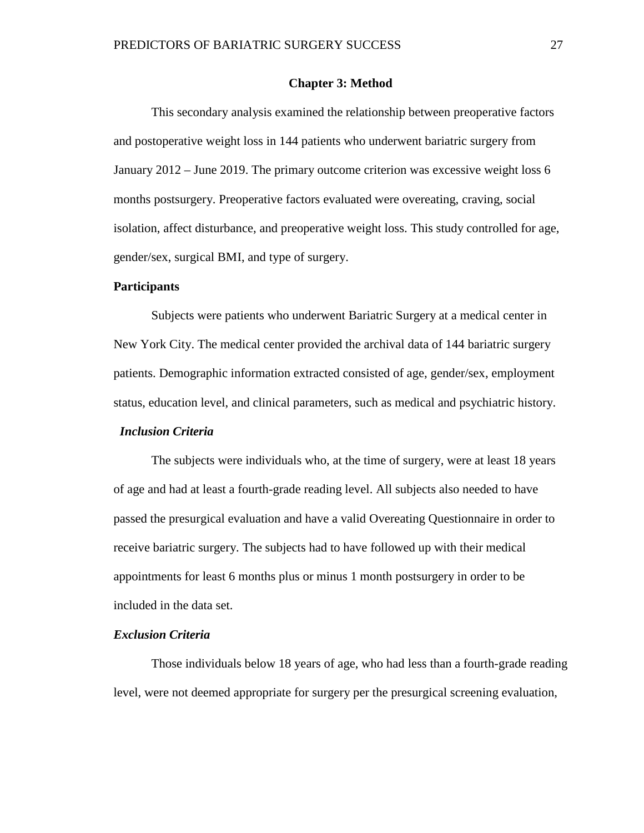# **Chapter 3: Method**

<span id="page-33-0"></span>This secondary analysis examined the relationship between preoperative factors and postoperative weight loss in 144 patients who underwent bariatric surgery from January 2012 – June 2019. The primary outcome criterion was excessive weight loss 6 months postsurgery. Preoperative factors evaluated were overeating, craving, social isolation, affect disturbance, and preoperative weight loss. This study controlled for age, gender/sex, surgical BMI, and type of surgery.

## <span id="page-33-1"></span>**Participants**

Subjects were patients who underwent Bariatric Surgery at a medical center in New York City. The medical center provided the archival data of 144 bariatric surgery patients. Demographic information extracted consisted of age, gender/sex, employment status, education level, and clinical parameters, such as medical and psychiatric history.

# <span id="page-33-2"></span> *Inclusion Criteria*

The subjects were individuals who, at the time of surgery, were at least 18 years of age and had at least a fourth-grade reading level. All subjects also needed to have passed the presurgical evaluation and have a valid Overeating Questionnaire in order to receive bariatric surgery. The subjects had to have followed up with their medical appointments for least 6 months plus or minus 1 month postsurgery in order to be included in the data set.

# <span id="page-33-3"></span>*Exclusion Criteria*

Those individuals below 18 years of age, who had less than a fourth-grade reading level, were not deemed appropriate for surgery per the presurgical screening evaluation,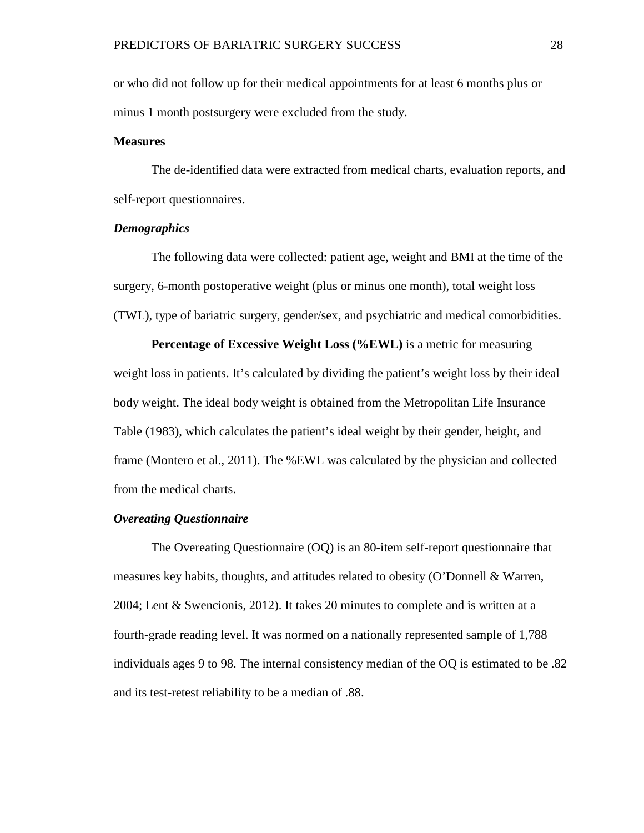or who did not follow up for their medical appointments for at least 6 months plus or minus 1 month postsurgery were excluded from the study.

# <span id="page-34-0"></span>**Measures**

The de-identified data were extracted from medical charts, evaluation reports, and self-report questionnaires.

# <span id="page-34-1"></span>*Demographics*

The following data were collected: patient age, weight and BMI at the time of the surgery, 6-month postoperative weight (plus or minus one month), total weight loss (TWL), type of bariatric surgery, gender/sex, and psychiatric and medical comorbidities.

**Percentage of Excessive Weight Loss (%EWL)** is a metric for measuring weight loss in patients. It's calculated by dividing the patient's weight loss by their ideal body weight. The ideal body weight is obtained from the Metropolitan Life Insurance Table (1983), which calculates the patient's ideal weight by their gender, height, and frame (Montero et al., 2011). The %EWL was calculated by the physician and collected from the medical charts.

# <span id="page-34-2"></span>*Overeating Questionnaire*

The Overeating Questionnaire (OQ) is an 80-item self-report questionnaire that measures key habits, thoughts, and attitudes related to obesity (O'Donnell & Warren, 2004; Lent & Swencionis, 2012). It takes 20 minutes to complete and is written at a fourth-grade reading level. It was normed on a nationally represented sample of 1,788 individuals ages 9 to 98. The internal consistency median of the OQ is estimated to be .82 and its test-retest reliability to be a median of .88.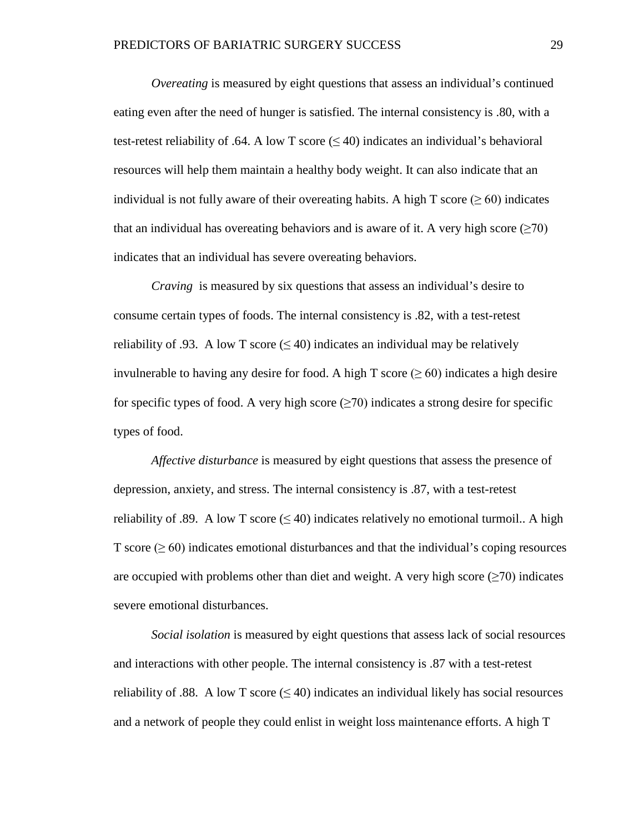*Overeating* is measured by eight questions that assess an individual's continued eating even after the need of hunger is satisfied. The internal consistency is .80, with a test-retest reliability of .64. A low T score  $(\leq 40)$  indicates an individual's behavioral resources will help them maintain a healthy body weight. It can also indicate that an individual is not fully aware of their overeating habits. A high T score ( $\geq 60$ ) indicates that an individual has overeating behaviors and is aware of it. A very high score ( $\geq 70$ ) indicates that an individual has severe overeating behaviors.

*Craving* is measured by six questions that assess an individual's desire to consume certain types of foods. The internal consistency is .82, with a test-retest reliability of .93. A low T score  $(\leq 40)$  indicates an individual may be relatively invulnerable to having any desire for food. A high T score ( $\geq 60$ ) indicates a high desire for specific types of food. A very high score  $(\geq 70)$  indicates a strong desire for specific types of food.

*Affective disturbance* is measured by eight questions that assess the presence of depression, anxiety, and stress. The internal consistency is .87, with a test-retest reliability of .89. A low T score  $(\leq 40)$  indicates relatively no emotional turmoil.. A high T score  $(\geq 60)$  indicates emotional disturbances and that the individual's coping resources are occupied with problems other than diet and weight. A very high score  $(\geq 70)$  indicates severe emotional disturbances.

*Social isolation* is measured by eight questions that assess lack of social resources and interactions with other people. The internal consistency is .87 with a test-retest reliability of .88. A low T score  $(\leq 40)$  indicates an individual likely has social resources and a network of people they could enlist in weight loss maintenance efforts. A high T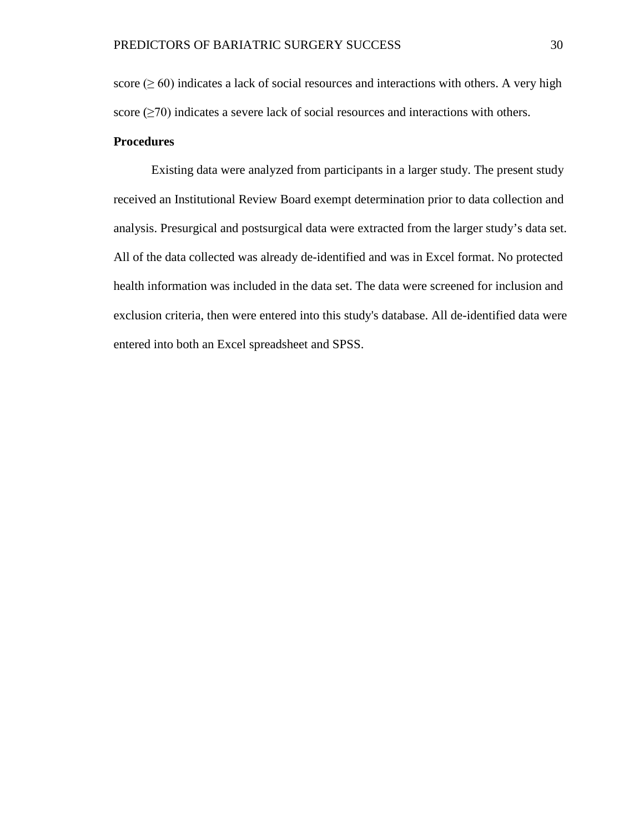score ( $\geq 60$ ) indicates a lack of social resources and interactions with others. A very high score  $(\geq 70)$  indicates a severe lack of social resources and interactions with others.

### **Procedures**

Existing data were analyzed from participants in a larger study. The present study received an Institutional Review Board exempt determination prior to data collection and analysis. Presurgical and postsurgical data were extracted from the larger study's data set. All of the data collected was already de-identified and was in Excel format. No protected health information was included in the data set. The data were screened for inclusion and exclusion criteria, then were entered into this study's database. All de-identified data were entered into both an Excel spreadsheet and SPSS.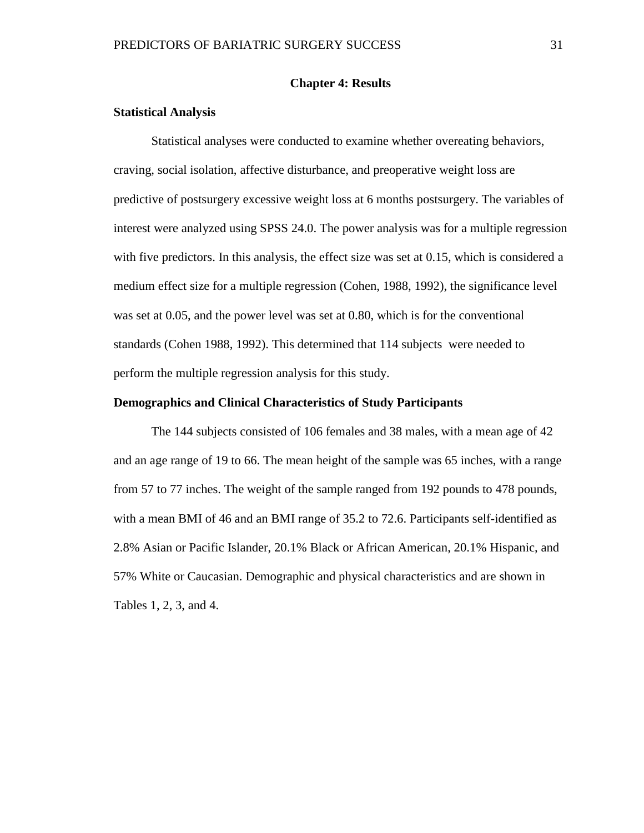#### **Chapter 4: Results**

#### **Statistical Analysis**

Statistical analyses were conducted to examine whether overeating behaviors, craving, social isolation, affective disturbance, and preoperative weight loss are predictive of postsurgery excessive weight loss at 6 months postsurgery. The variables of interest were analyzed using SPSS 24.0. The power analysis was for a multiple regression with five predictors. In this analysis, the effect size was set at 0.15, which is considered a medium effect size for a multiple regression (Cohen, 1988, 1992), the significance level was set at 0.05, and the power level was set at 0.80, which is for the conventional standards (Cohen 1988, 1992). This determined that 114 subjects were needed to perform the multiple regression analysis for this study.

#### **Demographics and Clinical Characteristics of Study Participants**

The 144 subjects consisted of 106 females and 38 males, with a mean age of 42 and an age range of 19 to 66. The mean height of the sample was 65 inches, with a range from 57 to 77 inches. The weight of the sample ranged from 192 pounds to 478 pounds, with a mean BMI of 46 and an BMI range of 35.2 to 72.6. Participants self-identified as 2.8% Asian or Pacific Islander, 20.1% Black or African American, 20.1% Hispanic, and 57% White or Caucasian. Demographic and physical characteristics and are shown in Tables 1, 2, 3, and 4.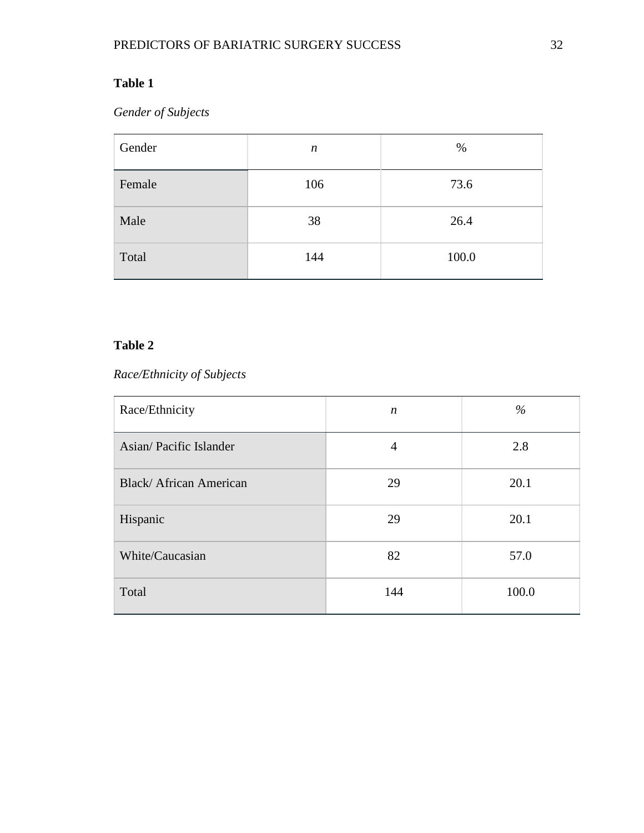*Gender of Subjects*

| Gender | $\boldsymbol{n}$ | $\%$  |
|--------|------------------|-------|
| Female | 106              | 73.6  |
| Male   | 38               | 26.4  |
| Total  | 144              | 100.0 |

# **Table 2**

## *Race/Ethnicity of Subjects*

| Race/Ethnicity         | $\boldsymbol{n}$ | $\%$  |
|------------------------|------------------|-------|
| Asian/Pacific Islander | $\overline{4}$   | 2.8   |
| Black/African American | 29               | 20.1  |
| Hispanic               | 29               | 20.1  |
| White/Caucasian        | 82               | 57.0  |
| Total                  | 144              | 100.0 |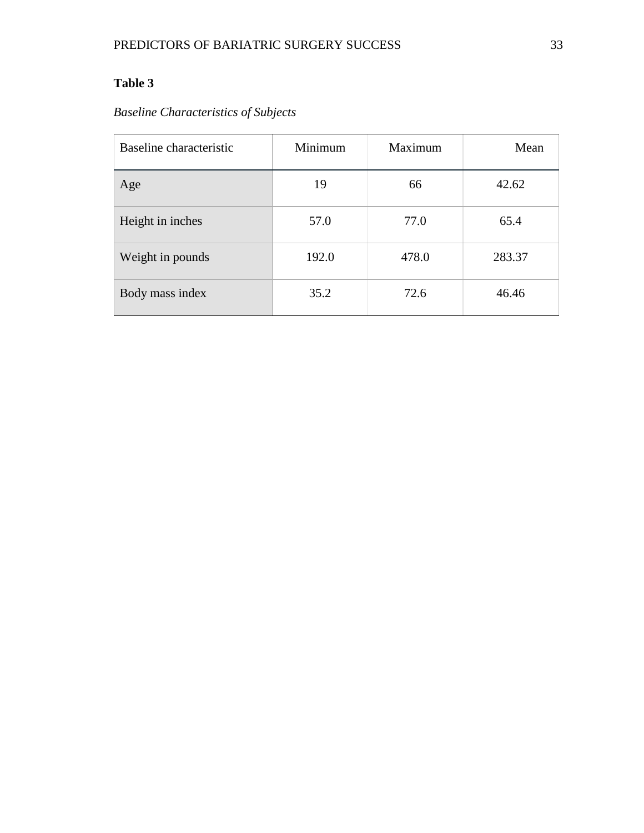## *Baseline Characteristics of Subjects*

| Baseline characteristic | Minimum | Maximum | Mean   |
|-------------------------|---------|---------|--------|
| Age                     | 19      | 66      | 42.62  |
| Height in inches        | 57.0    | 77.0    | 65.4   |
| Weight in pounds        | 192.0   | 478.0   | 283.37 |
| Body mass index         | 35.2    | 72.6    | 46.46  |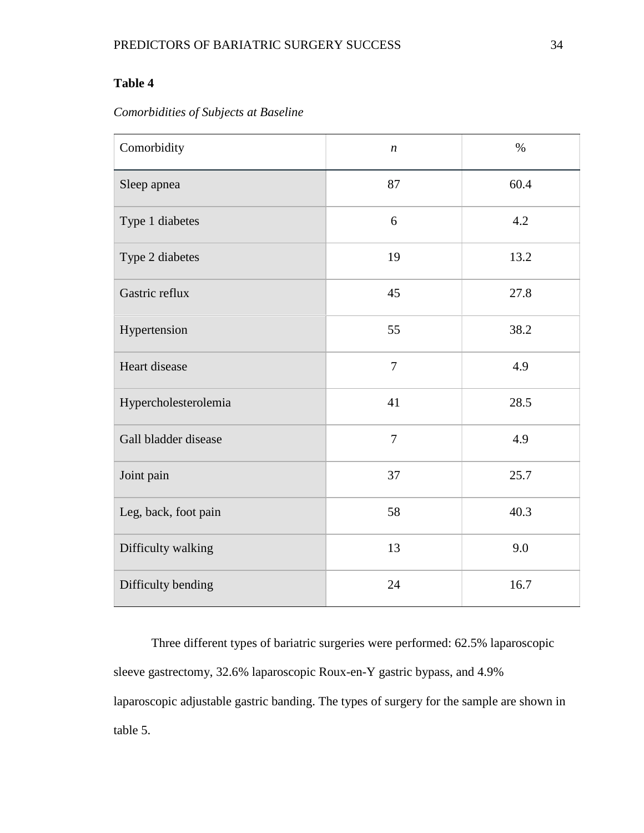### *Comorbidities of Subjects at Baseline*

| Comorbidity          | $\boldsymbol{n}$ | $\%$ |
|----------------------|------------------|------|
| Sleep apnea          | 87               | 60.4 |
| Type 1 diabetes      | 6                | 4.2  |
| Type 2 diabetes      | 19               | 13.2 |
| Gastric reflux       | 45               | 27.8 |
| Hypertension         | 55               | 38.2 |
| Heart disease        | $\overline{7}$   | 4.9  |
| Hypercholesterolemia | 41               | 28.5 |
| Gall bladder disease | $\overline{7}$   | 4.9  |
| Joint pain           | 37               | 25.7 |
| Leg, back, foot pain | 58               | 40.3 |
| Difficulty walking   | 13               | 9.0  |
| Difficulty bending   | 24               | 16.7 |

Three different types of bariatric surgeries were performed: 62.5% laparoscopic sleeve gastrectomy, 32.6% laparoscopic Roux-en-Y gastric bypass, and 4.9% laparoscopic adjustable gastric banding. The types of surgery for the sample are shown in table 5.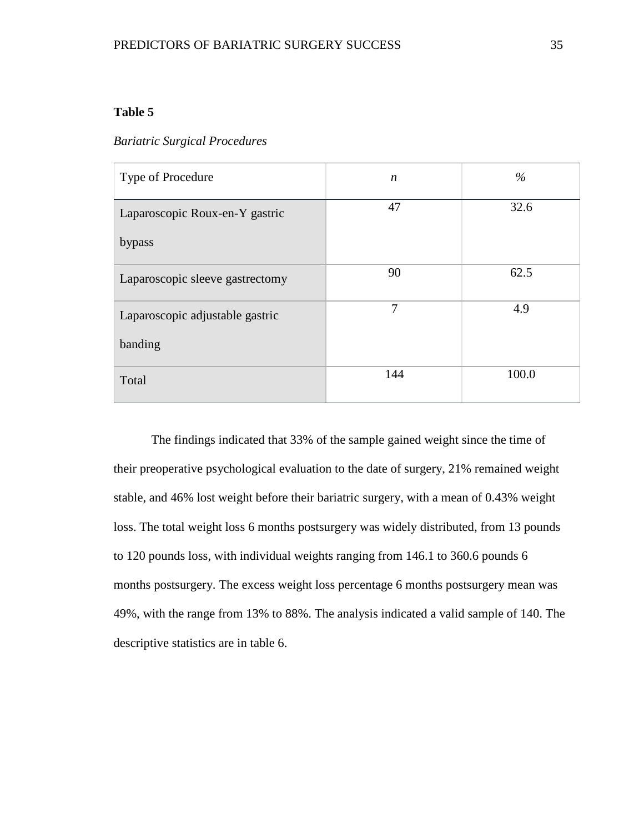#### *Bariatric Surgical Procedures*

| Type of Procedure               | $\boldsymbol{n}$ | $\%$  |
|---------------------------------|------------------|-------|
| Laparoscopic Roux-en-Y gastric  | 47               | 32.6  |
| bypass                          |                  |       |
| Laparoscopic sleeve gastrectomy | 90               | 62.5  |
| Laparoscopic adjustable gastric | 7                | 4.9   |
| banding                         |                  |       |
| Total                           | 144              | 100.0 |

The findings indicated that 33% of the sample gained weight since the time of their preoperative psychological evaluation to the date of surgery, 21% remained weight stable, and 46% lost weight before their bariatric surgery, with a mean of 0.43% weight loss. The total weight loss 6 months postsurgery was widely distributed, from 13 pounds to 120 pounds loss, with individual weights ranging from 146.1 to 360.6 pounds 6 months postsurgery. The excess weight loss percentage 6 months postsurgery mean was 49%, with the range from 13% to 88%. The analysis indicated a valid sample of 140. The descriptive statistics are in table 6.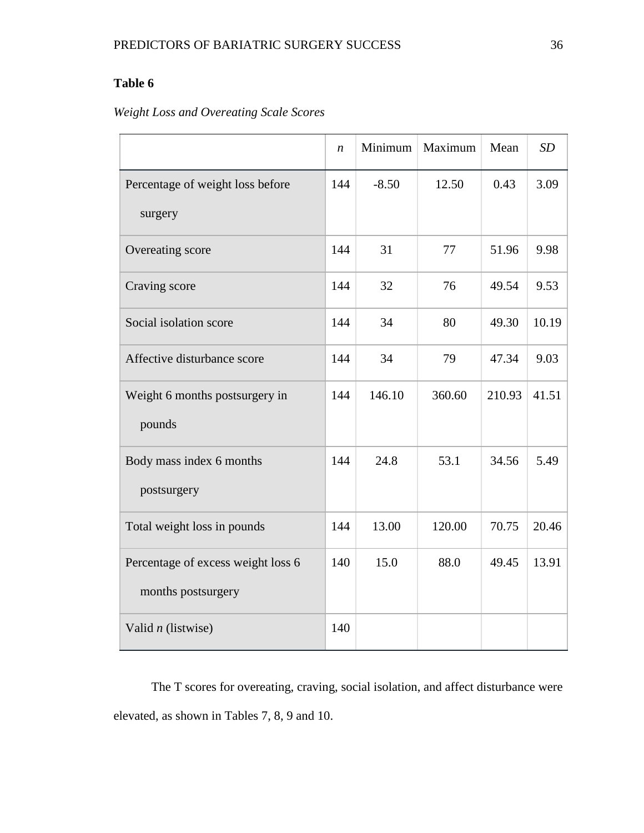## *Weight Loss and Overeating Scale Scores*

|                                    | $\boldsymbol{n}$ | Minimum | Maximum | Mean   | SD    |
|------------------------------------|------------------|---------|---------|--------|-------|
| Percentage of weight loss before   | 144              | $-8.50$ | 12.50   | 0.43   | 3.09  |
| surgery                            |                  |         |         |        |       |
| Overeating score                   | 144              | 31      | 77      | 51.96  | 9.98  |
| Craving score                      | 144              | 32      | 76      | 49.54  | 9.53  |
| Social isolation score             | 144              | 34      | 80      | 49.30  | 10.19 |
| Affective disturbance score        | 144              | 34      | 79      | 47.34  | 9.03  |
| Weight 6 months postsurgery in     | 144              | 146.10  | 360.60  | 210.93 | 41.51 |
| pounds                             |                  |         |         |        |       |
| Body mass index 6 months           | 144              | 24.8    | 53.1    | 34.56  | 5.49  |
| postsurgery                        |                  |         |         |        |       |
| Total weight loss in pounds        | 144              | 13.00   | 120.00  | 70.75  | 20.46 |
| Percentage of excess weight loss 6 | 140              | 15.0    | 88.0    | 49.45  | 13.91 |
| months postsurgery                 |                  |         |         |        |       |
| Valid $n$ (listwise)               | 140              |         |         |        |       |

The T scores for overeating, craving, social isolation, and affect disturbance were elevated, as shown in Tables 7, 8, 9 and 10.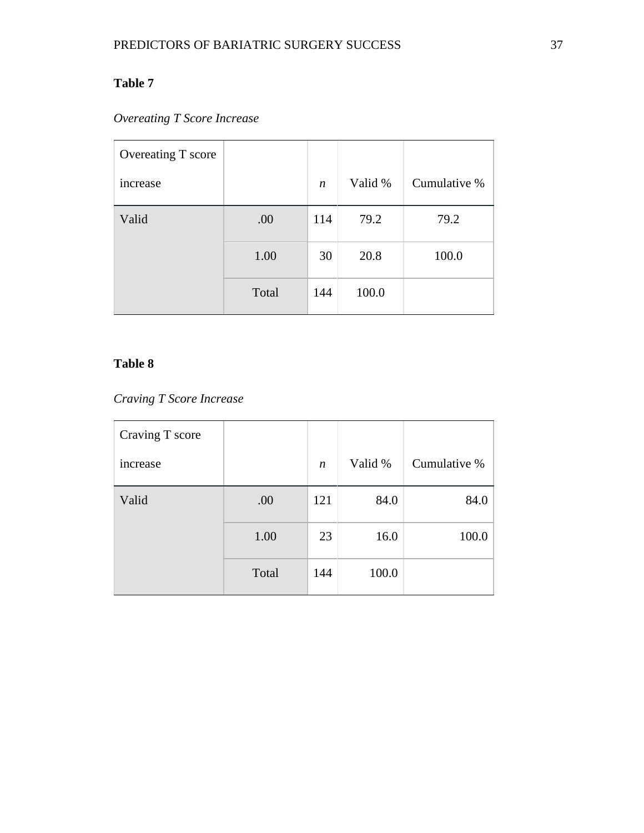# *Overeating T Score Increase*

| Overeating T score |       |                  |         |              |
|--------------------|-------|------------------|---------|--------------|
| increase           |       | $\boldsymbol{n}$ | Valid % | Cumulative % |
| Valid              | .00   | 114              | 79.2    | 79.2         |
|                    | 1.00  | 30               | 20.8    | 100.0        |
|                    | Total | 144              | 100.0   |              |

### **Table 8**

### *Craving T Score Increase*

| Craving T score |       |                  |         |              |
|-----------------|-------|------------------|---------|--------------|
| increase        |       | $\boldsymbol{n}$ | Valid % | Cumulative % |
| Valid           | .00   | 121              | 84.0    | 84.0         |
|                 | 1.00  | 23               | 16.0    | 100.0        |
|                 | Total | 144              | 100.0   |              |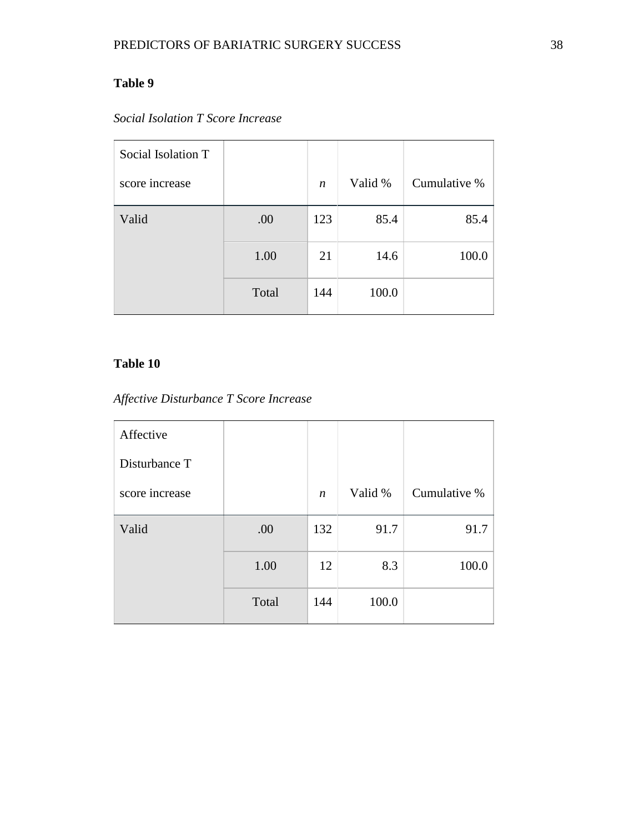| Social Isolation T |       |                  |         |              |
|--------------------|-------|------------------|---------|--------------|
| score increase     |       | $\boldsymbol{n}$ | Valid % | Cumulative % |
| Valid              | .00   | 123              | 85.4    | 85.4         |
|                    | 1.00  | 21               | 14.6    | 100.0        |
|                    | Total | 144              | 100.0   |              |

# *Social Isolation T Score Increase*

## **Table 10**

# *Affective Disturbance T Score Increase*

| Affective      |       |                  |         |              |
|----------------|-------|------------------|---------|--------------|
| Disturbance T  |       |                  |         |              |
| score increase |       | $\boldsymbol{n}$ | Valid % | Cumulative % |
| Valid          | .00   | 132              | 91.7    | 91.7         |
|                | 1.00  | 12               | 8.3     | 100.0        |
|                | Total | 144              | 100.0   |              |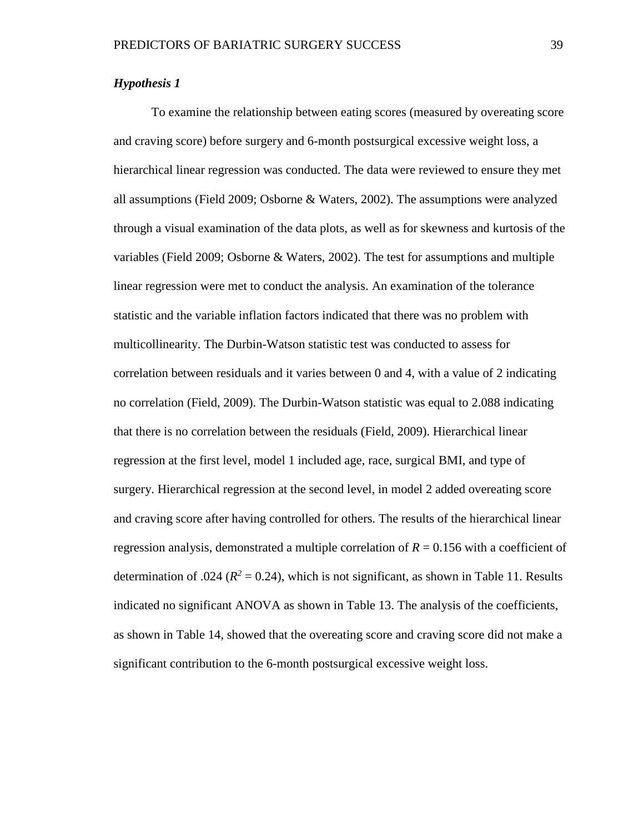#### *Hypothesis 1*

To examine the relationship between eating scores (measured by overeating score and craving score) before surgery and 6-month postsurgical excessive weight loss, a hierarchical linear regression was conducted. The data were reviewed to ensure they met all assumptions (Field 2009; Osborne & Waters, 2002). The assumptions were analyzed through a visual examination of the data plots, as well as for skewness and kurtosis of the variables (Field 2009; Osborne & Waters, 2002). The test for assumptions and multiple linear regression were met to conduct the analysis. An examination of the tolerance statistic and the variable inflation factors indicated that there was no problem with multicollinearity. The Durbin-Watson statistic test was conducted to assess for correlation between residuals and it varies between 0 and 4, with a value of 2 indicating no correlation (Field, 2009). The Durbin-Watson statistic was equal to 2.088 indicating that there is no correlation between the residuals (Field, 2009). Hierarchical linear regression at the first level, model 1 included age, race, surgical BMI, and type of surgery. Hierarchical regression at the second level, in model 2 added overeating score and craving score after having controlled for others. The results of the hierarchical linear regression analysis, demonstrated a multiple correlation of  $R = 0.156$  with a coefficient of determination of .024 ( $R^2 = 0.24$ ), which is not significant, as shown in Table 11. Results indicated no significant ANOVA as shown in Table 13. The analysis of the coefficients, as shown in Table 14, showed that the overeating score and craving score did not make a significant contribution to the 6-month postsurgical excessive weight loss.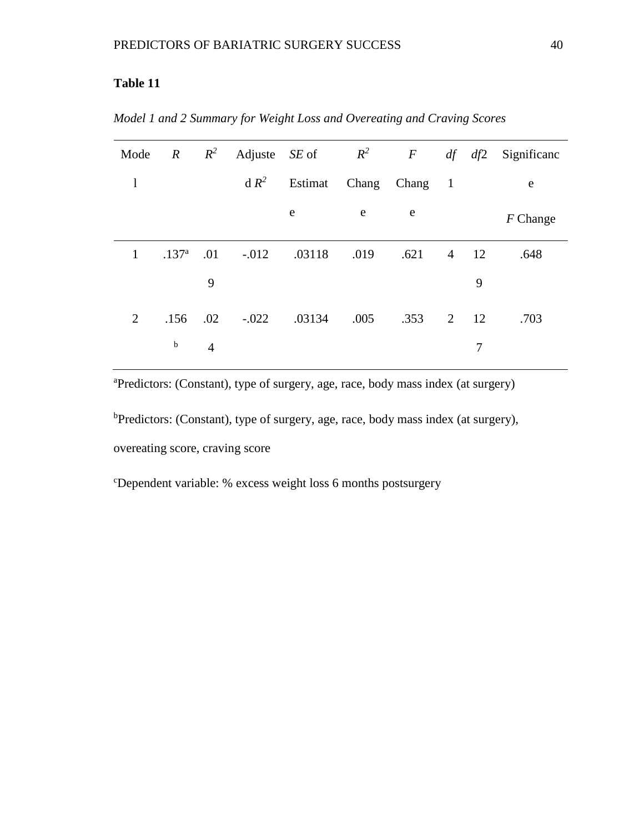| Mode           | $\overline{R}$    | $R^2$          |         | Adjuste $SE$ of | $R^2$ | $\bm{F}$      | df | df2      | Significanc |
|----------------|-------------------|----------------|---------|-----------------|-------|---------------|----|----------|-------------|
| $\mathbf{l}$   |                   |                | $dR^2$  | Estimat         |       | Chang Chang 1 |    |          | e           |
|                |                   |                |         | e               | e     | e             |    |          | $F$ Change  |
| $\mathbf{1}$   | .137 <sup>a</sup> | .01            | $-.012$ | .03118          | .019  | .621          |    | $4 \t12$ | .648        |
|                |                   | 9              |         |                 |       |               |    | 9        |             |
| $\overline{2}$ | .156              | .02            | $-.022$ | .03134          | .005  | .353          |    | 2 12     | .703        |
|                | $\mathbf b$       | $\overline{4}$ |         |                 |       |               |    | 7        |             |

*Model 1 and 2 Summary for Weight Loss and Overeating and Craving Scores*

a Predictors: (Constant), type of surgery, age, race, body mass index (at surgery)

<sup>b</sup>Predictors: (Constant), type of surgery, age, race, body mass index (at surgery), overeating score, craving score

c Dependent variable: % excess weight loss 6 months postsurgery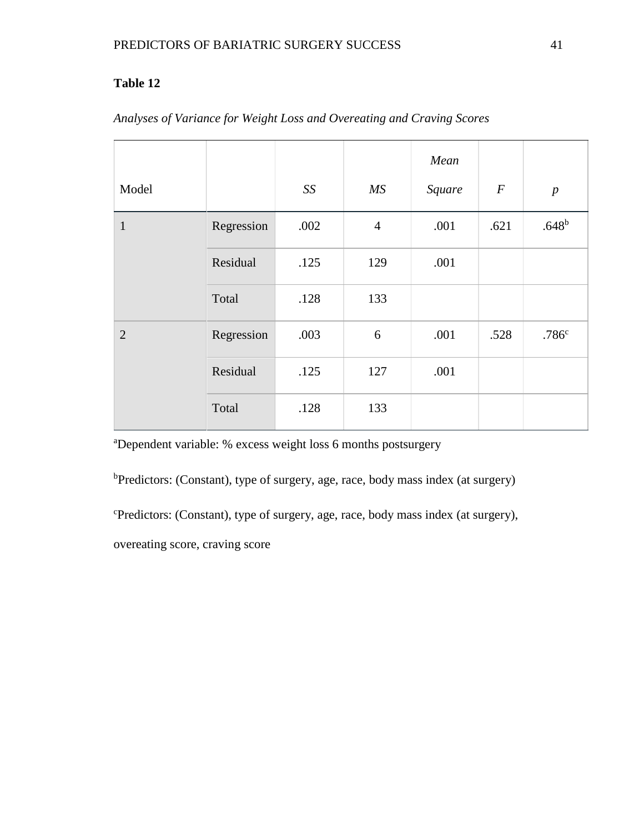|                |            |      |                | Mean   |                  |                   |
|----------------|------------|------|----------------|--------|------------------|-------------------|
| Model          |            | SS   | MS             | Square | $\boldsymbol{F}$ | $\boldsymbol{p}$  |
| $\mathbf{1}$   | Regression | .002 | $\overline{4}$ | .001   | .621             | $.648^{b}$        |
|                | Residual   | .125 | 129            | .001   |                  |                   |
|                | Total      | .128 | 133            |        |                  |                   |
| $\overline{2}$ | Regression | .003 | 6              | .001   | .528             | .786 <sup>c</sup> |
|                | Residual   | .125 | 127            | .001   |                  |                   |
|                | Total      | .128 | 133            |        |                  |                   |

# *Analyses of Variance for Weight Loss and Overeating and Craving Scores*

a Dependent variable: % excess weight loss 6 months postsurgery

<sup>b</sup>Predictors: (Constant), type of surgery, age, race, body mass index (at surgery)

c Predictors: (Constant), type of surgery, age, race, body mass index (at surgery),

overeating score, craving score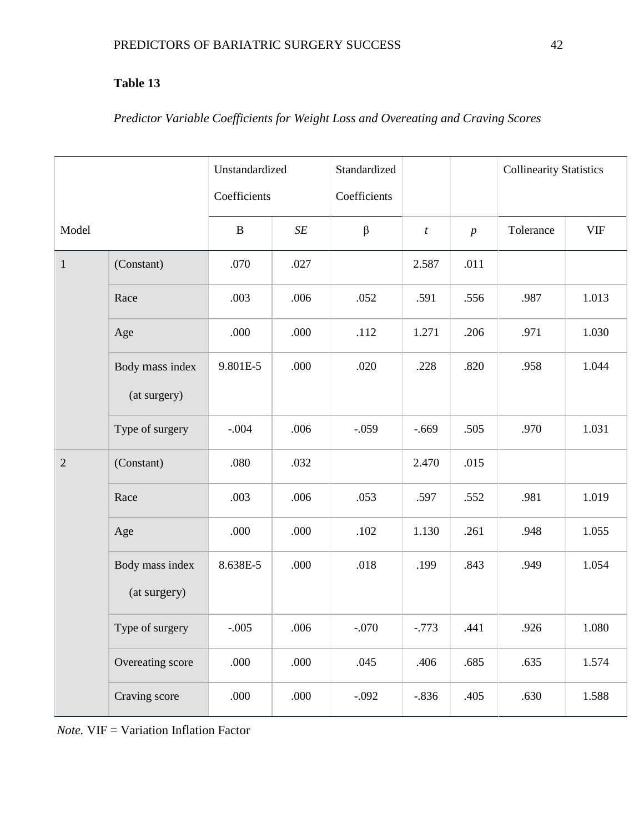# *Predictor Variable Coefficients for Weight Loss and Overeating and Craving Scores*

|                |                                 | Unstandardized |           | Standardized |                  |                  | <b>Collinearity Statistics</b> |            |
|----------------|---------------------------------|----------------|-----------|--------------|------------------|------------------|--------------------------------|------------|
|                |                                 | Coefficients   |           | Coefficients |                  |                  |                                |            |
| Model          |                                 | $\bf{B}$       | $\cal SE$ | $\beta$      | $\boldsymbol{t}$ | $\boldsymbol{p}$ | Tolerance                      | <b>VIF</b> |
| $1\,$          | (Constant)                      | .070           | .027      |              | 2.587            | .011             |                                |            |
|                | Race                            | .003           | .006      | .052         | .591             | .556             | .987                           | 1.013      |
|                | Age                             | .000           | .000      | .112         | 1.271            | .206             | .971                           | 1.030      |
|                | Body mass index<br>(at surgery) | 9.801E-5       | .000      | .020         | .228             | .820             | .958                           | 1.044      |
|                | Type of surgery                 | $-.004$        | .006      | $-.059$      | $-.669$          | .505             | .970                           | 1.031      |
| $\overline{2}$ | (Constant)                      | .080           | .032      |              | 2.470            | .015             |                                |            |
|                | Race                            | .003           | .006      | .053         | .597             | .552             | .981                           | 1.019      |
|                | Age                             | .000           | .000      | .102         | 1.130            | .261             | .948                           | 1.055      |
|                | Body mass index<br>(at surgery) | 8.638E-5       | .000      | .018         | .199             | .843             | .949                           | 1.054      |
|                | Type of surgery                 | $-.005$        | .006      | $-.070$      | $-.773$          | .441             | .926                           | 1.080      |
|                | Overeating score                | .000           | .000      | .045         | .406             | .685             | .635                           | 1.574      |
|                | Craving score                   | .000           | .000      | $-.092$      | $-0.836$         | .405             | .630                           | 1.588      |

*Note.* VIF = Variation Inflation Factor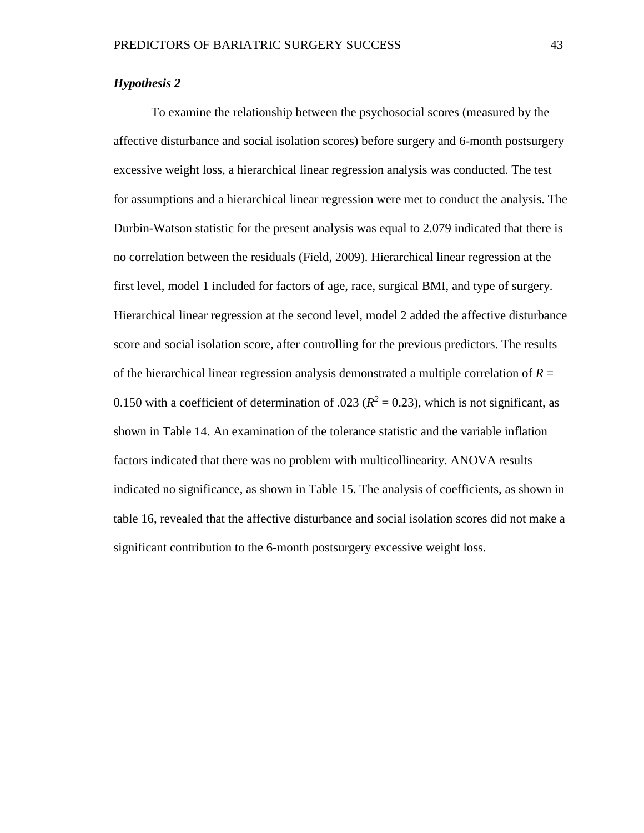#### *Hypothesis 2*

To examine the relationship between the psychosocial scores (measured by the affective disturbance and social isolation scores) before surgery and 6-month postsurgery excessive weight loss, a hierarchical linear regression analysis was conducted. The test for assumptions and a hierarchical linear regression were met to conduct the analysis. The Durbin-Watson statistic for the present analysis was equal to 2.079 indicated that there is no correlation between the residuals (Field, 2009). Hierarchical linear regression at the first level, model 1 included for factors of age, race, surgical BMI, and type of surgery. Hierarchical linear regression at the second level, model 2 added the affective disturbance score and social isolation score, after controlling for the previous predictors. The results of the hierarchical linear regression analysis demonstrated a multiple correlation of *R* = 0.150 with a coefficient of determination of .023 ( $R^2 = 0.23$ ), which is not significant, as shown in Table 14. An examination of the tolerance statistic and the variable inflation factors indicated that there was no problem with multicollinearity. ANOVA results indicated no significance, as shown in Table 15. The analysis of coefficients, as shown in table 16, revealed that the affective disturbance and social isolation scores did not make a significant contribution to the 6-month postsurgery excessive weight loss.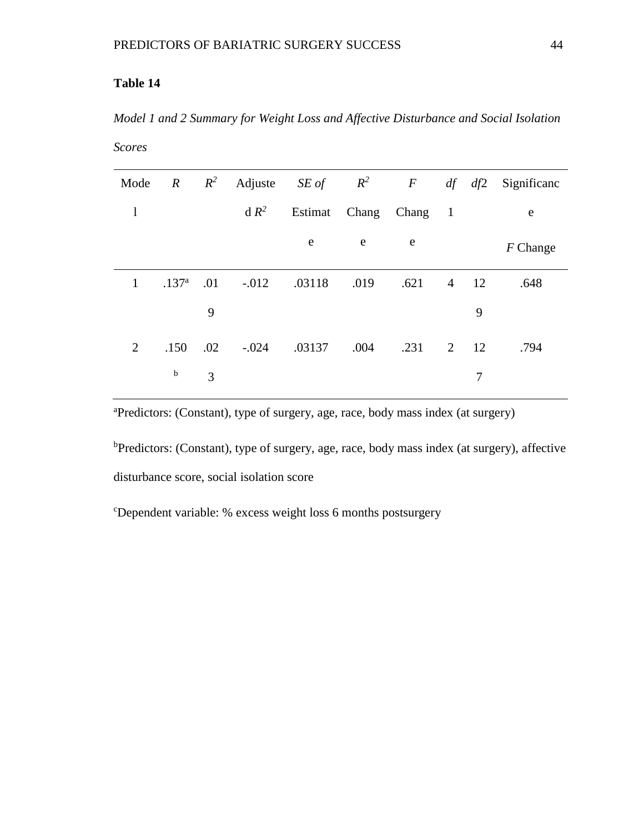*Model 1 and 2 Summary for Weight Loss and Affective Disturbance and Social Isolation Scores*

| Mode           | $\overline{R}$    | $R^2$ |          | Adjuste SE of $R^2$ F |      |                       |                | $df \, df2$   | Significanc |
|----------------|-------------------|-------|----------|-----------------------|------|-----------------------|----------------|---------------|-------------|
| $\mathbf{1}$   |                   |       | $dR^2$   |                       |      | Estimat Chang Chang 1 |                |               | e           |
|                |                   |       |          | e                     | e    | e                     |                |               | $F$ Change  |
| 1              | .137 <sup>a</sup> | .01   | $-0.012$ | .03118                | .019 | .621                  | $\overline{4}$ | <sup>12</sup> | .648        |
|                |                   | 9     |          |                       |      |                       |                | 9             |             |
| $\overline{2}$ | .150              | .02   | $-.024$  | .03137                | .004 | $.231 \t 2 \t 12$     |                |               | .794        |
|                | $\mathbf b$       | 3     |          |                       |      |                       |                | 7             |             |

a Predictors: (Constant), type of surgery, age, race, body mass index (at surgery)

<sup>b</sup>Predictors: (Constant), type of surgery, age, race, body mass index (at surgery), affective disturbance score, social isolation score

c Dependent variable: % excess weight loss 6 months postsurgery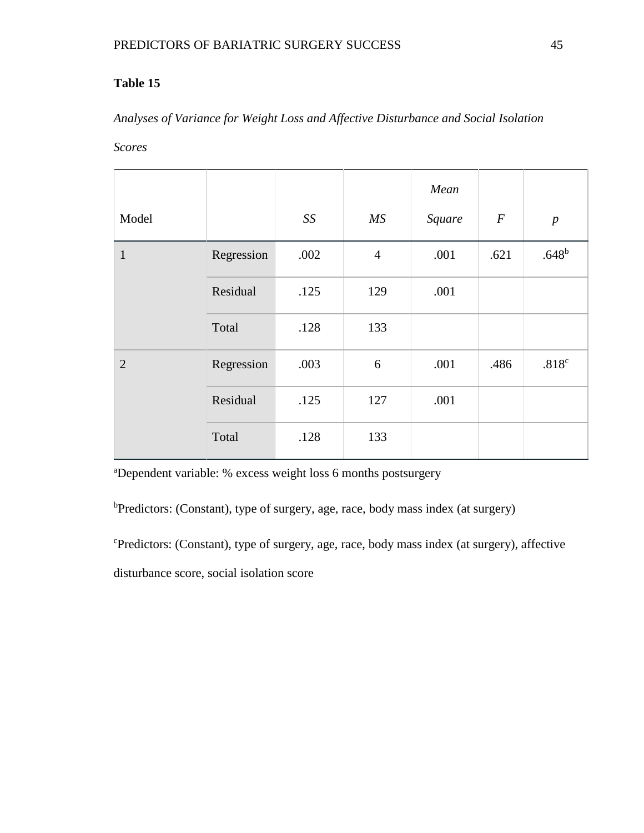# *Analyses of Variance for Weight Loss and Affective Disturbance and Social Isolation*

*Scores*

|                |            |      |                | Mean   |                  |                   |
|----------------|------------|------|----------------|--------|------------------|-------------------|
| Model          |            | SS   | MS             | Square | $\boldsymbol{F}$ | $\boldsymbol{p}$  |
| $\mathbf{1}$   | Regression | .002 | $\overline{4}$ | .001   | .621             | $.648^{b}$        |
|                | Residual   | .125 | 129            | .001   |                  |                   |
|                | Total      | .128 | 133            |        |                  |                   |
| $\overline{2}$ | Regression | .003 | 6              | .001   | .486             | .818 <sup>c</sup> |
|                | Residual   | .125 | 127            | .001   |                  |                   |
|                | Total      | .128 | 133            |        |                  |                   |

a Dependent variable: % excess weight loss 6 months postsurgery

<sup>b</sup>Predictors: (Constant), type of surgery, age, race, body mass index (at surgery)

c Predictors: (Constant), type of surgery, age, race, body mass index (at surgery), affective disturbance score, social isolation score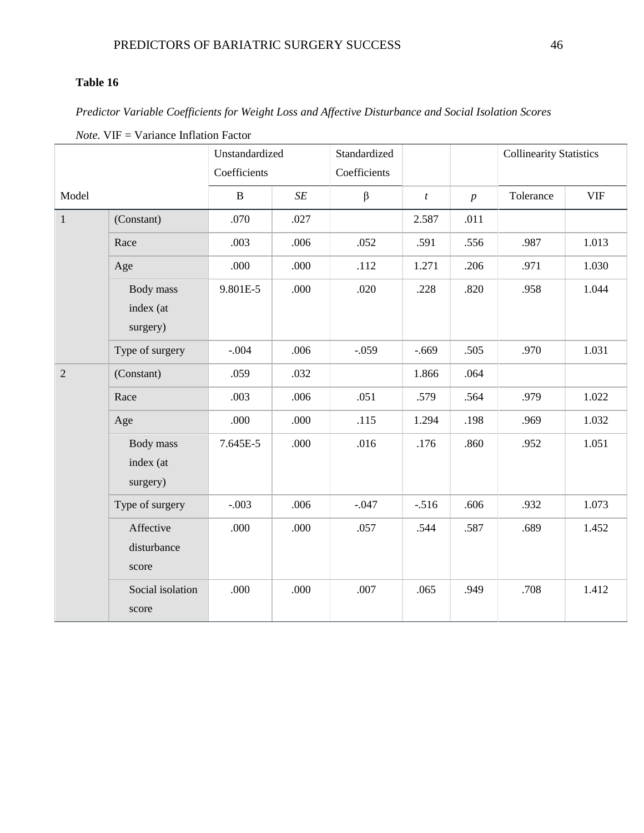*Predictor Variable Coefficients for Weight Loss and Affective Disturbance and Social Isolation Scores*

|                |                                    | Unstandardized |           | Standardized |                  |                  | <b>Collinearity Statistics</b> |            |
|----------------|------------------------------------|----------------|-----------|--------------|------------------|------------------|--------------------------------|------------|
|                |                                    | Coefficients   |           | Coefficients |                  |                  |                                |            |
| Model          |                                    | $\mathbf B$    | $\cal SE$ | β            | $\boldsymbol{t}$ | $\boldsymbol{p}$ | Tolerance                      | <b>VIF</b> |
| $\mathbf{1}$   | (Constant)                         | .070           | .027      |              | 2.587            | .011             |                                |            |
|                | Race                               | .003           | .006      | .052         | .591             | .556             | .987                           | 1.013      |
|                | Age                                | .000           | .000      | .112         | 1.271            | .206             | .971                           | 1.030      |
|                | Body mass<br>index (at<br>surgery) | 9.801E-5       | .000      | .020         | .228             | .820             | .958                           | 1.044      |
|                | Type of surgery                    | $-.004$        | .006      | $-.059$      | $-.669$          | .505             | .970                           | 1.031      |
| $\overline{2}$ | (Constant)                         | .059           | .032      |              | 1.866            | .064             |                                |            |
|                | Race                               | .003           | .006      | .051         | .579             | .564             | .979                           | 1.022      |
|                | Age                                | .000           | .000      | .115         | 1.294            | .198             | .969                           | 1.032      |
|                | Body mass<br>index (at<br>surgery) | 7.645E-5       | .000      | .016         | .176             | .860             | .952                           | 1.051      |
|                | Type of surgery                    | $-.003$        | .006      | $-.047$      | $-.516$          | .606             | .932                           | 1.073      |
|                | Affective<br>disturbance<br>score  | .000           | .000      | .057         | .544             | .587             | .689                           | 1.452      |
|                | Social isolation<br>score          | .000           | .000      | .007         | .065             | .949             | .708                           | 1.412      |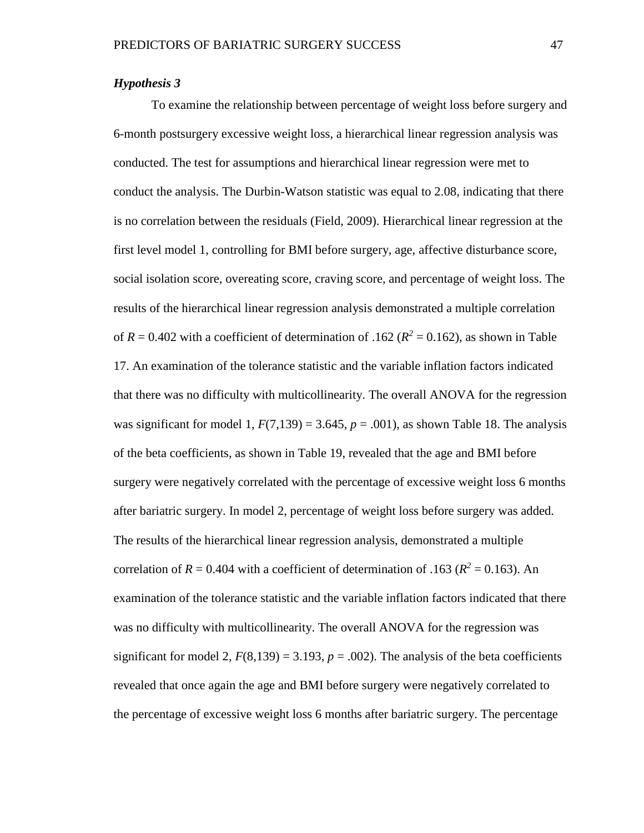### *Hypothesis 3*

To examine the relationship between percentage of weight loss before surgery and 6-month postsurgery excessive weight loss, a hierarchical linear regression analysis was conducted. The test for assumptions and hierarchical linear regression were met to conduct the analysis. The Durbin-Watson statistic was equal to 2.08, indicating that there is no correlation between the residuals (Field, 2009). Hierarchical linear regression at the first level model 1, controlling for BMI before surgery, age, affective disturbance score, social isolation score, overeating score, craving score, and percentage of weight loss. The results of the hierarchical linear regression analysis demonstrated a multiple correlation of  $R = 0.402$  with a coefficient of determination of .162 ( $R^2 = 0.162$ ), as shown in Table 17. An examination of the tolerance statistic and the variable inflation factors indicated that there was no difficulty with multicollinearity. The overall ANOVA for the regression was significant for model 1,  $F(7,139) = 3.645$ ,  $p = .001$ ), as shown Table 18. The analysis of the beta coefficients, as shown in Table 19, revealed that the age and BMI before surgery were negatively correlated with the percentage of excessive weight loss 6 months after bariatric surgery. In model 2, percentage of weight loss before surgery was added. The results of the hierarchical linear regression analysis, demonstrated a multiple correlation of  $R = 0.404$  with a coefficient of determination of .163 ( $R^2 = 0.163$ ). An examination of the tolerance statistic and the variable inflation factors indicated that there was no difficulty with multicollinearity. The overall ANOVA for the regression was significant for model 2,  $F(8,139) = 3.193$ ,  $p = .002$ ). The analysis of the beta coefficients revealed that once again the age and BMI before surgery were negatively correlated to the percentage of excessive weight loss 6 months after bariatric surgery. The percentage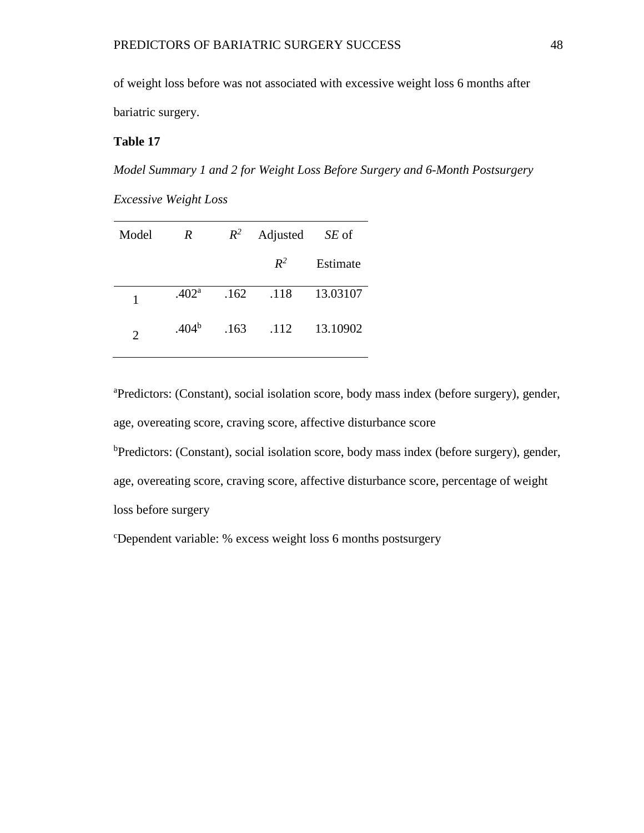of weight loss before was not associated with excessive weight loss 6 months after bariatric surgery.

### **Table 17**

*Model Summary 1 and 2 for Weight Loss Before Surgery and 6-Month Postsurgery* 

*Excessive Weight Loss*

| Model          | R                 | $R^2$ | Adjusted | SE of    |
|----------------|-------------------|-------|----------|----------|
|                |                   |       | $R^2$    | Estimate |
| 1              | .402 <sup>a</sup> | .162  | .118     | 13.03107 |
| $\overline{2}$ | $.404^b$          | .163  | .112     | 13.10902 |

a Predictors: (Constant), social isolation score, body mass index (before surgery), gender, age, overeating score, craving score, affective disturbance score

<sup>b</sup>Predictors: (Constant), social isolation score, body mass index (before surgery), gender, age, overeating score, craving score, affective disturbance score, percentage of weight

loss before surgery

c Dependent variable: % excess weight loss 6 months postsurgery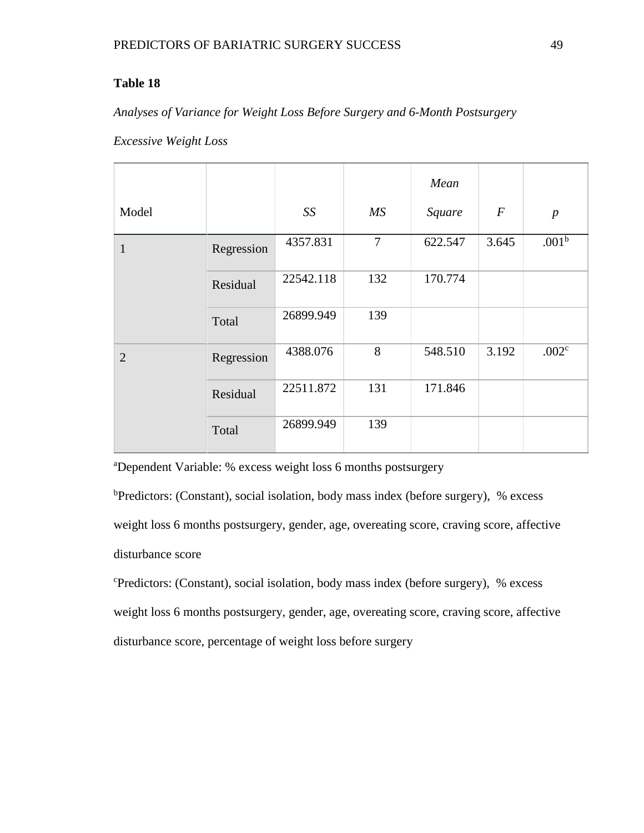### *Analyses of Variance for Weight Loss Before Surgery and 6-Month Postsurgery*

### *Excessive Weight Loss*

|                |            |           |                | Mean    |                  |                   |
|----------------|------------|-----------|----------------|---------|------------------|-------------------|
| Model          |            | SS        | MS             | Square  | $\boldsymbol{F}$ | $\boldsymbol{p}$  |
| $\mathbf{1}$   | Regression | 4357.831  | $\overline{7}$ | 622.547 | 3.645            | .001 <sup>b</sup> |
|                | Residual   | 22542.118 | 132            | 170.774 |                  |                   |
|                | Total      | 26899.949 | 139            |         |                  |                   |
| $\overline{2}$ | Regression | 4388.076  | 8              | 548.510 | 3.192            | .002 <sup>c</sup> |
|                | Residual   | 22511.872 | 131            | 171.846 |                  |                   |
|                | Total      | 26899.949 | 139            |         |                  |                   |

a Dependent Variable: % excess weight loss 6 months postsurgery

<sup>b</sup>Predictors: (Constant), social isolation, body mass index (before surgery), % excess weight loss 6 months postsurgery, gender, age, overeating score, craving score, affective disturbance score

c Predictors: (Constant), social isolation, body mass index (before surgery), % excess weight loss 6 months postsurgery, gender, age, overeating score, craving score, affective disturbance score, percentage of weight loss before surgery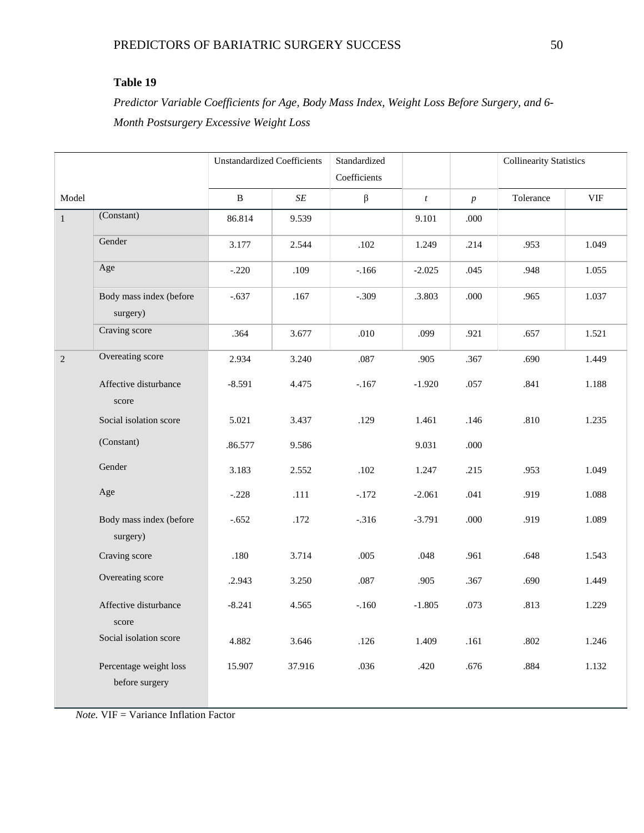*Predictor Variable Coefficients for Age, Body Mass Index, Weight Loss Before Surgery, and 6- Month Postsurgery Excessive Weight Loss*

|              |                                          | <b>Unstandardized Coefficients</b> |        | Standardized<br>Coefficients |                  |                  | <b>Collinearity Statistics</b> |            |
|--------------|------------------------------------------|------------------------------------|--------|------------------------------|------------------|------------------|--------------------------------|------------|
| Model        |                                          | B                                  | SE     | $\beta$                      | $\boldsymbol{t}$ | $\boldsymbol{p}$ | Tolerance                      | <b>VIF</b> |
| $\mathbf{1}$ | (Constant)                               | 86.814                             | 9.539  |                              | 9.101            | .000             |                                |            |
|              | Gender                                   | 3.177                              | 2.544  | $.102$                       | 1.249            | .214             | .953                           | 1.049      |
|              | Age                                      | $-.220$                            | .109   | $-166$                       | $-2.025$         | .045             | .948                           | 1.055      |
|              | Body mass index (before<br>surgery)      | $-.637$                            | .167   | $-.309$                      | .3.803           | .000             | .965                           | 1.037      |
|              | Craving score                            | .364                               | 3.677  | .010                         | .099             | .921             | .657                           | 1.521      |
| $\sqrt{2}$   | Overeating score                         | 2.934                              | 3.240  | .087                         | .905             | .367             | .690                           | 1.449      |
|              | Affective disturbance<br>score           | $-8.591$                           | 4.475  | $-167$                       | $-1.920$         | .057             | .841                           | 1.188      |
|              | Social isolation score                   | 5.021                              | 3.437  | .129                         | 1.461            | .146             | .810                           | 1.235      |
|              | (Constant)                               | .86.577                            | 9.586  |                              | 9.031            | .000             |                                |            |
|              | Gender                                   | 3.183                              | 2.552  | .102                         | 1.247            | .215             | .953                           | 1.049      |
|              | Age                                      | $-.228$                            | .111   | $-.172$                      | $-2.061$         | .041             | .919                           | 1.088      |
|              | Body mass index (before<br>surgery)      | $-.652$                            | .172   | $-316$                       | $-3.791$         | .000             | .919                           | 1.089      |
|              | Craving score                            | .180                               | 3.714  | .005                         | .048             | .961             | .648                           | 1.543      |
|              | Overeating score                         | .2.943                             | 3.250  | .087                         | .905             | .367             | .690                           | 1.449      |
|              | Affective disturbance<br>score           | $-8.241$                           | 4.565  | $-160$                       | $-1.805$         | .073             | .813                           | 1.229      |
|              | Social isolation score                   | 4.882                              | 3.646  | .126                         | 1.409            | .161             | .802                           | 1.246      |
|              | Percentage weight loss<br>before surgery | 15.907                             | 37.916 | .036                         | .420             | .676             | .884                           | 1.132      |

*Note.* VIF = Variance Inflation Factor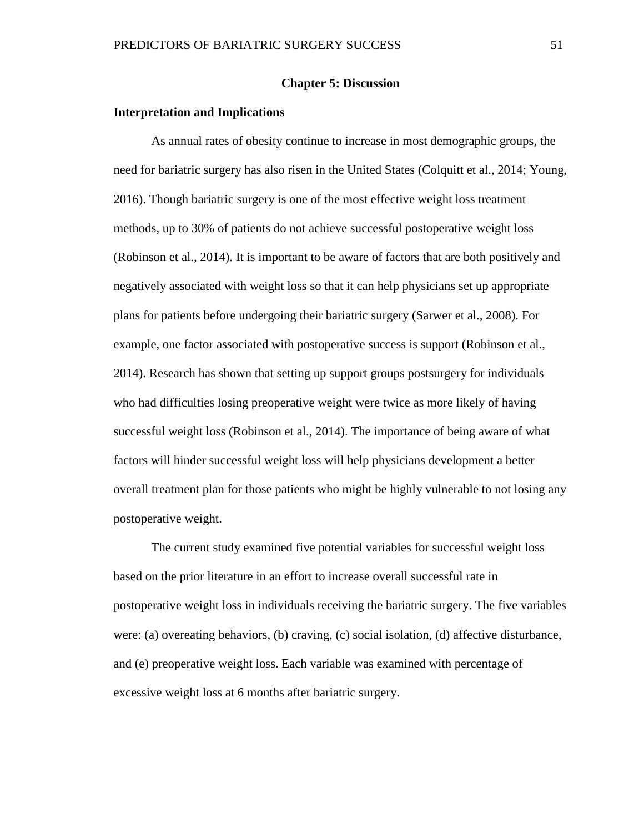#### **Chapter 5: Discussion**

#### **Interpretation and Implications**

As annual rates of obesity continue to increase in most demographic groups, the need for bariatric surgery has also risen in the United States (Colquitt et al., 2014; Young, 2016). Though bariatric surgery is one of the most effective weight loss treatment methods, up to 30% of patients do not achieve successful postoperative weight loss (Robinson et al., 2014). It is important to be aware of factors that are both positively and negatively associated with weight loss so that it can help physicians set up appropriate plans for patients before undergoing their bariatric surgery (Sarwer et al., 2008). For example, one factor associated with postoperative success is support (Robinson et al., 2014). Research has shown that setting up support groups postsurgery for individuals who had difficulties losing preoperative weight were twice as more likely of having successful weight loss (Robinson et al., 2014). The importance of being aware of what factors will hinder successful weight loss will help physicians development a better overall treatment plan for those patients who might be highly vulnerable to not losing any postoperative weight.

The current study examined five potential variables for successful weight loss based on the prior literature in an effort to increase overall successful rate in postoperative weight loss in individuals receiving the bariatric surgery. The five variables were: (a) overeating behaviors, (b) craving, (c) social isolation, (d) affective disturbance, and (e) preoperative weight loss. Each variable was examined with percentage of excessive weight loss at 6 months after bariatric surgery.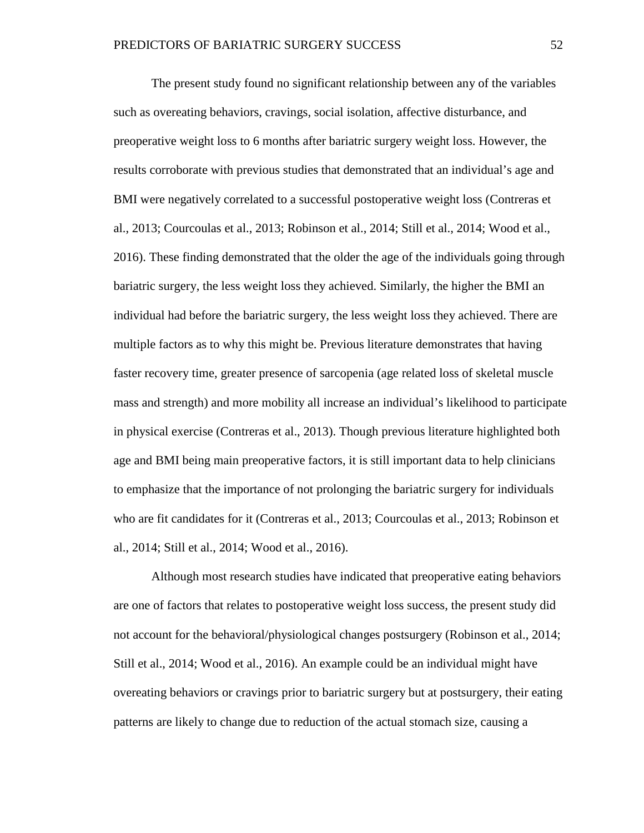The present study found no significant relationship between any of the variables such as overeating behaviors, cravings, social isolation, affective disturbance, and preoperative weight loss to 6 months after bariatric surgery weight loss. However, the results corroborate with previous studies that demonstrated that an individual's age and BMI were negatively correlated to a successful postoperative weight loss (Contreras et al., 2013; Courcoulas et al., 2013; Robinson et al., 2014; Still et al., 2014; Wood et al., 2016). These finding demonstrated that the older the age of the individuals going through bariatric surgery, the less weight loss they achieved. Similarly, the higher the BMI an individual had before the bariatric surgery, the less weight loss they achieved. There are multiple factors as to why this might be. Previous literature demonstrates that having faster recovery time, greater presence of sarcopenia (age related loss of skeletal muscle mass and strength) and more mobility all increase an individual's likelihood to participate in physical exercise (Contreras et al., 2013). Though previous literature highlighted both age and BMI being main preoperative factors, it is still important data to help clinicians to emphasize that the importance of not prolonging the bariatric surgery for individuals who are fit candidates for it (Contreras et al., 2013; Courcoulas et al., 2013; Robinson et al., 2014; Still et al., 2014; Wood et al., 2016).

Although most research studies have indicated that preoperative eating behaviors are one of factors that relates to postoperative weight loss success, the present study did not account for the behavioral/physiological changes postsurgery (Robinson et al., 2014; Still et al., 2014; Wood et al., 2016). An example could be an individual might have overeating behaviors or cravings prior to bariatric surgery but at postsurgery, their eating patterns are likely to change due to reduction of the actual stomach size, causing a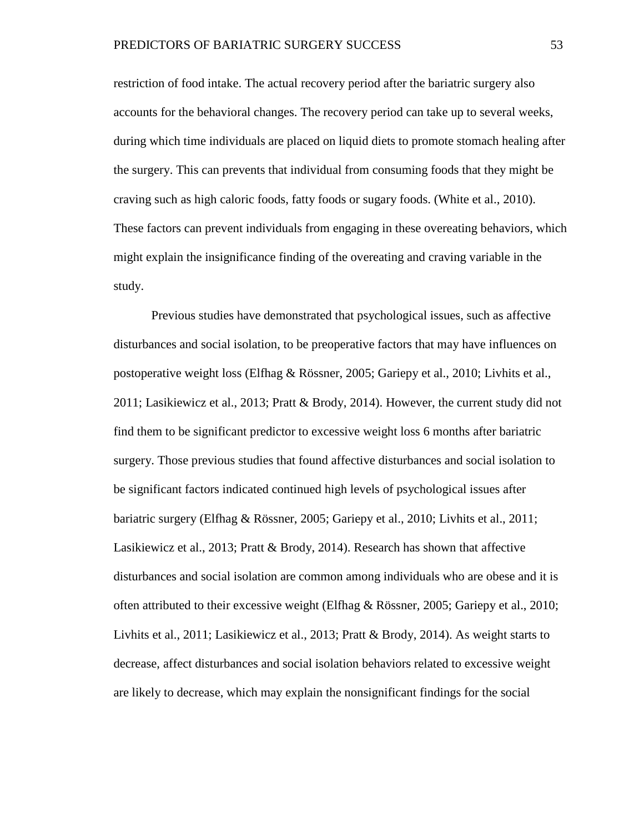restriction of food intake. The actual recovery period after the bariatric surgery also accounts for the behavioral changes. The recovery period can take up to several weeks, during which time individuals are placed on liquid diets to promote stomach healing after the surgery. This can prevents that individual from consuming foods that they might be craving such as high caloric foods, fatty foods or sugary foods. (White et al., 2010). These factors can prevent individuals from engaging in these overeating behaviors, which might explain the insignificance finding of the overeating and craving variable in the study.

Previous studies have demonstrated that psychological issues, such as affective disturbances and social isolation, to be preoperative factors that may have influences on postoperative weight loss (Elfhag & Rössner, 2005; Gariepy et al., 2010; Livhits et al., 2011; Lasikiewicz et al., 2013; Pratt & Brody, 2014). However, the current study did not find them to be significant predictor to excessive weight loss 6 months after bariatric surgery. Those previous studies that found affective disturbances and social isolation to be significant factors indicated continued high levels of psychological issues after bariatric surgery (Elfhag & Rössner, 2005; Gariepy et al., 2010; Livhits et al., 2011; Lasikiewicz et al., 2013; Pratt & Brody, 2014). Research has shown that affective disturbances and social isolation are common among individuals who are obese and it is often attributed to their excessive weight (Elfhag & Rössner, 2005; Gariepy et al., 2010; Livhits et al., 2011; Lasikiewicz et al., 2013; Pratt & Brody, 2014). As weight starts to decrease, affect disturbances and social isolation behaviors related to excessive weight are likely to decrease, which may explain the nonsignificant findings for the social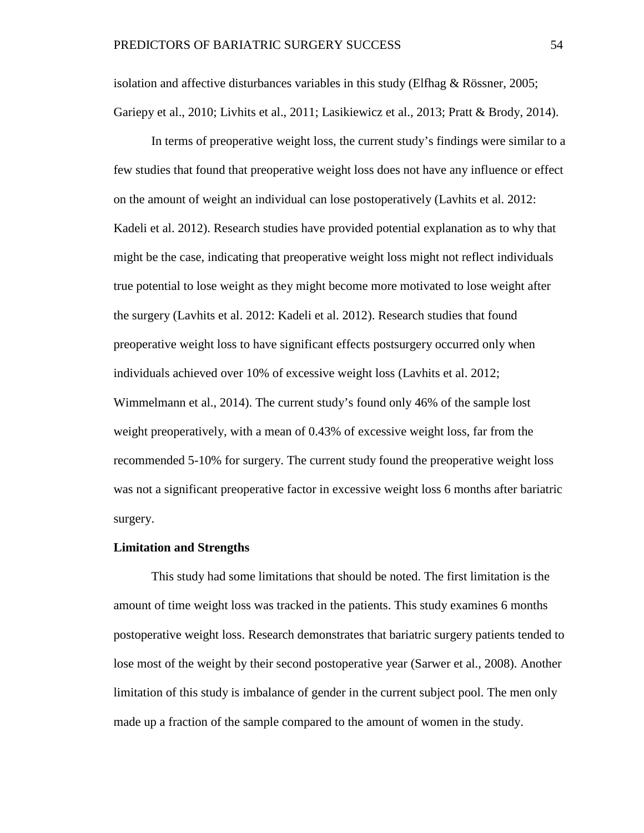isolation and affective disturbances variables in this study (Elfhag & Rössner, 2005; Gariepy et al., 2010; Livhits et al., 2011; Lasikiewicz et al., 2013; Pratt & Brody, 2014).

In terms of preoperative weight loss, the current study's findings were similar to a few studies that found that preoperative weight loss does not have any influence or effect on the amount of weight an individual can lose postoperatively (Lavhits et al. 2012: Kadeli et al. 2012). Research studies have provided potential explanation as to why that might be the case, indicating that preoperative weight loss might not reflect individuals true potential to lose weight as they might become more motivated to lose weight after the surgery (Lavhits et al. 2012: Kadeli et al. 2012). Research studies that found preoperative weight loss to have significant effects postsurgery occurred only when individuals achieved over 10% of excessive weight loss (Lavhits et al. 2012; Wimmelmann et al., 2014). The current study's found only 46% of the sample lost weight preoperatively, with a mean of 0.43% of excessive weight loss, far from the recommended 5-10% for surgery. The current study found the preoperative weight loss was not a significant preoperative factor in excessive weight loss 6 months after bariatric surgery.

#### **Limitation and Strengths**

This study had some limitations that should be noted. The first limitation is the amount of time weight loss was tracked in the patients. This study examines 6 months postoperative weight loss. Research demonstrates that bariatric surgery patients tended to lose most of the weight by their second postoperative year (Sarwer et al., 2008). Another limitation of this study is imbalance of gender in the current subject pool. The men only made up a fraction of the sample compared to the amount of women in the study.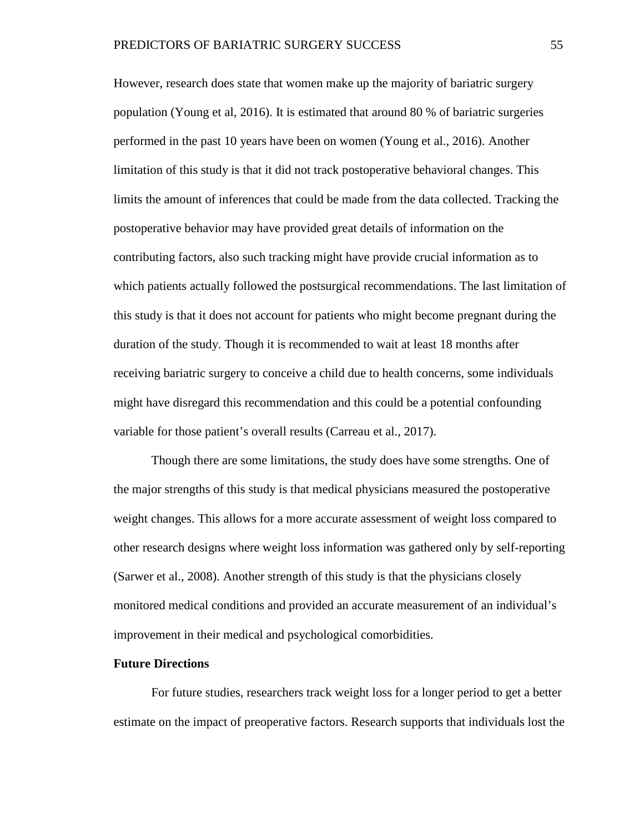However, research does state that women make up the majority of bariatric surgery population (Young et al, 2016). It is estimated that around 80 % of bariatric surgeries performed in the past 10 years have been on women (Young et al., 2016). Another limitation of this study is that it did not track postoperative behavioral changes. This limits the amount of inferences that could be made from the data collected. Tracking the postoperative behavior may have provided great details of information on the contributing factors, also such tracking might have provide crucial information as to which patients actually followed the postsurgical recommendations. The last limitation of this study is that it does not account for patients who might become pregnant during the duration of the study. Though it is recommended to wait at least 18 months after receiving bariatric surgery to conceive a child due to health concerns, some individuals might have disregard this recommendation and this could be a potential confounding variable for those patient's overall results (Carreau et al., 2017).

Though there are some limitations, the study does have some strengths. One of the major strengths of this study is that medical physicians measured the postoperative weight changes. This allows for a more accurate assessment of weight loss compared to other research designs where weight loss information was gathered only by self-reporting (Sarwer et al., 2008). Another strength of this study is that the physicians closely monitored medical conditions and provided an accurate measurement of an individual's improvement in their medical and psychological comorbidities.

#### **Future Directions**

For future studies, researchers track weight loss for a longer period to get a better estimate on the impact of preoperative factors. Research supports that individuals lost the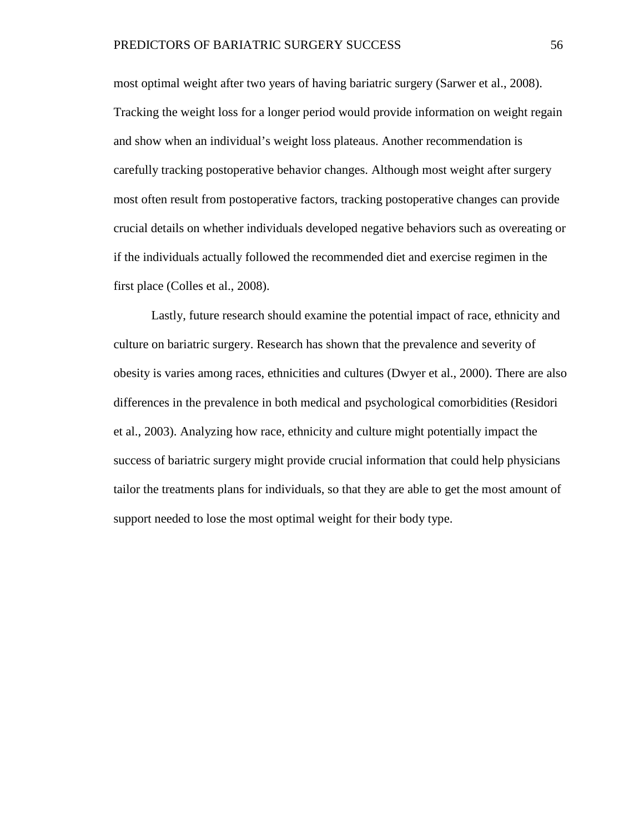most optimal weight after two years of having bariatric surgery (Sarwer et al., 2008). Tracking the weight loss for a longer period would provide information on weight regain and show when an individual's weight loss plateaus. Another recommendation is carefully tracking postoperative behavior changes. Although most weight after surgery most often result from postoperative factors, tracking postoperative changes can provide crucial details on whether individuals developed negative behaviors such as overeating or if the individuals actually followed the recommended diet and exercise regimen in the first place (Colles et al., 2008).

Lastly, future research should examine the potential impact of race, ethnicity and culture on bariatric surgery. Research has shown that the prevalence and severity of obesity is varies among races, ethnicities and cultures (Dwyer et al., 2000). There are also differences in the prevalence in both medical and psychological comorbidities (Residori et al., 2003). Analyzing how race, ethnicity and culture might potentially impact the success of bariatric surgery might provide crucial information that could help physicians tailor the treatments plans for individuals, so that they are able to get the most amount of support needed to lose the most optimal weight for their body type.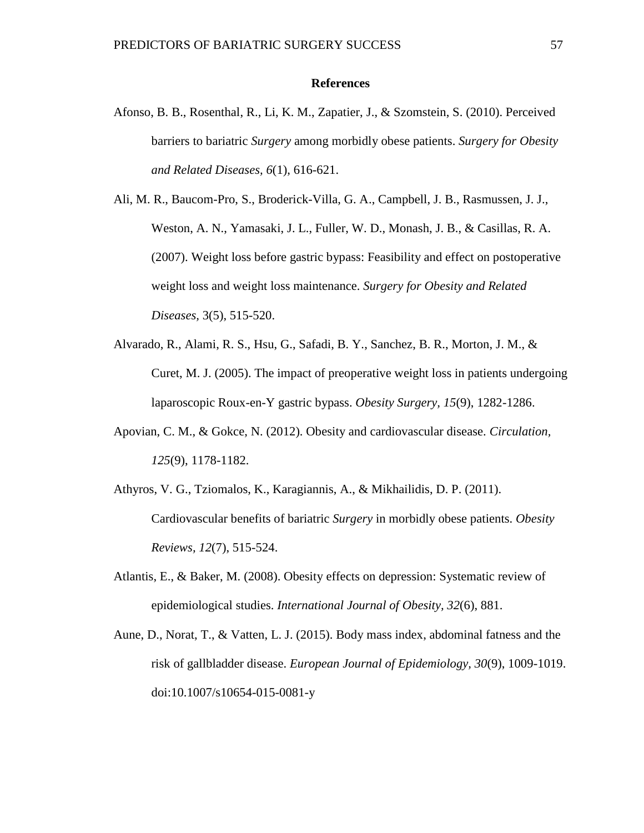#### **References**

- Afonso, B. B., Rosenthal, R., Li, K. M., Zapatier, J., & Szomstein, S. (2010). Perceived barriers to bariatric *Surgery* among morbidly obese patients. *Surgery for Obesity and Related Diseases, 6*(1), 616-621.
- Ali, M. R., Baucom-Pro, S., Broderick-Villa, G. A., Campbell, J. B., Rasmussen, J. J., Weston, A. N., Yamasaki, J. L., Fuller, W. D., Monash, J. B., & Casillas, R. A. (2007). Weight loss before gastric bypass: Feasibility and effect on postoperative weight loss and weight loss maintenance. *Surgery for Obesity and Related Diseases,* 3(5), 515-520.
- Alvarado, R., Alami, R. S., Hsu, G., Safadi, B. Y., Sanchez, B. R., Morton, J. M., & Curet, M. J. (2005). The impact of preoperative weight loss in patients undergoing laparoscopic Roux-en-Y gastric bypass. *Obesity Surgery, 15*(9), 1282-1286.
- Apovian, C. M., & Gokce, N. (2012). Obesity and cardiovascular disease. *Circulation, 125*(9), 1178-1182.
- Athyros, V. G., Tziomalos, K., Karagiannis, A., & Mikhailidis, D. P. (2011). Cardiovascular benefits of bariatric *Surgery* in morbidly obese patients. *Obesity Reviews, 12*(7), 515-524.
- Atlantis, E., & Baker, M. (2008). Obesity effects on depression: Systematic review of epidemiological studies. *International Journal of Obesity, 32*(6), 881.
- Aune, D., Norat, T., & Vatten, L. J. (2015). Body mass index, abdominal fatness and the risk of gallbladder disease. *European Journal of Epidemiology, 30*(9), 1009-1019. doi:10.1007/s10654-015-0081-y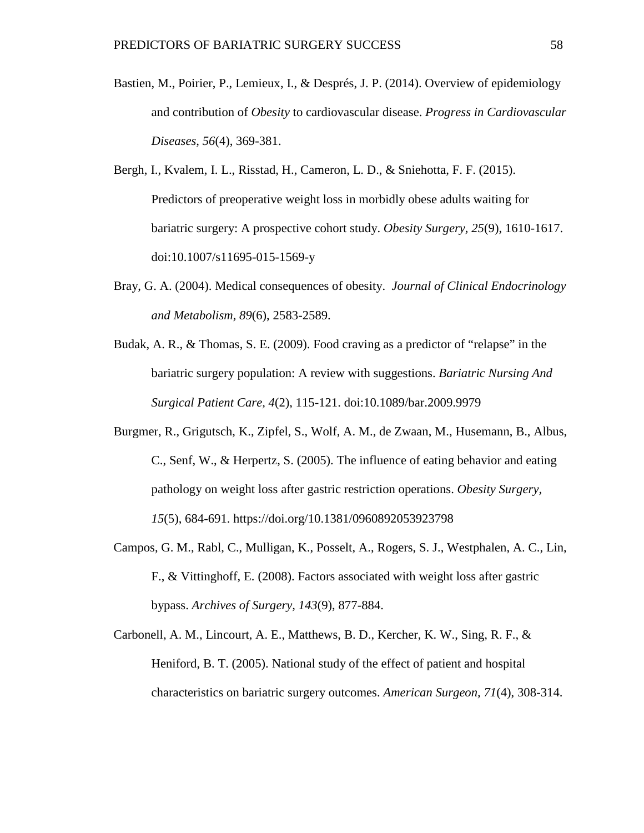- Bastien, M., Poirier, P., Lemieux, I., & Després, J. P. (2014). Overview of epidemiology and contribution of *Obesity* to cardiovascular disease. *Progress in Cardiovascular Diseases, 56*(4), 369-381.
- Bergh, I., Kvalem, I. L., Risstad, H., Cameron, L. D., & Sniehotta, F. F. (2015). Predictors of preoperative weight loss in morbidly obese adults waiting for bariatric surgery: A prospective cohort study. *Obesity Surgery, 25*(9), 1610-1617. doi:10.1007/s11695-015-1569-y
- Bray, G. A. (2004). Medical consequences of obesity. *Journal of Clinical Endocrinology and Metabolism, 89*(6), 2583-2589.
- Budak, A. R., & Thomas, S. E. (2009). Food craving as a predictor of "relapse" in the bariatric surgery population: A review with suggestions. *Bariatric Nursing And Surgical Patient Care, 4*(2), 115-121. doi:10.1089/bar.2009.9979
- Burgmer, R., Grigutsch, K., Zipfel, S., Wolf, A. M., de Zwaan, M., Husemann, B., Albus, C., Senf, W., & Herpertz, S. (2005). The influence of eating behavior and eating pathology on weight loss after gastric restriction operations. *Obesity Surgery, 15*(5), 684-691. https://doi.org/10.1381/0960892053923798
- Campos, G. M., Rabl, C., Mulligan, K., Posselt, A., Rogers, S. J., Westphalen, A. C., Lin, F., & Vittinghoff, E. (2008). Factors associated with weight loss after gastric bypass. *Archives of Surgery, 143*(9), 877-884.
- Carbonell, A. M., Lincourt, A. E., Matthews, B. D., Kercher, K. W., Sing, R. F., & Heniford, B. T. (2005). National study of the effect of patient and hospital characteristics on bariatric surgery outcomes. *American Surgeon, 71*(4), 308-314.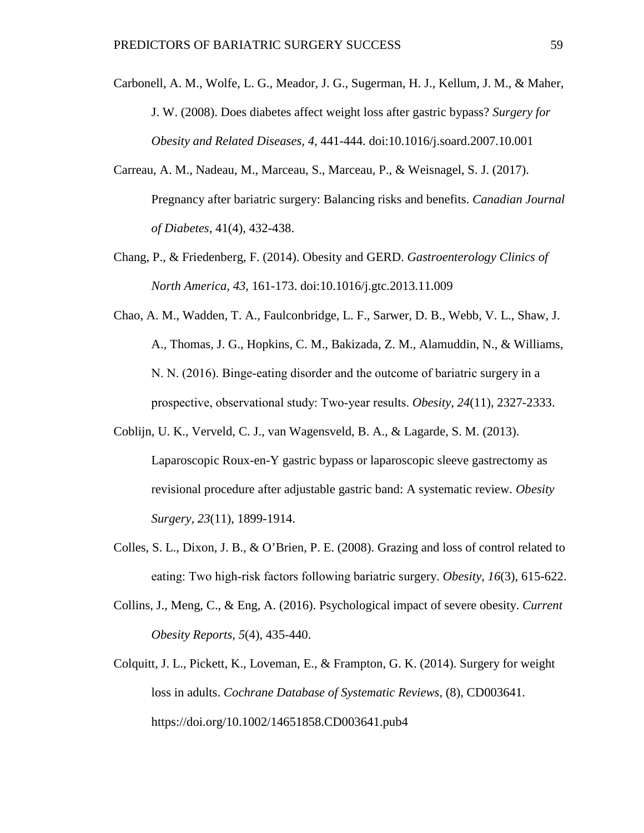- Carbonell, A. M., Wolfe, L. G., Meador, J. G., Sugerman, H. J., Kellum, J. M., & Maher, J. W. (2008). Does diabetes affect weight loss after gastric bypass? *Surgery for Obesity and Related Diseases, 4,* 441-444. doi:10.1016/j.soard.2007.10.001
- Carreau, A. M., Nadeau, M., Marceau, S., Marceau, P., & Weisnagel, S. J. (2017). Pregnancy after bariatric surgery: Balancing risks and benefits. *Canadian Journal of Diabetes,* 41(4), 432-438.
- Chang, P., & Friedenberg, F. (2014). Obesity and GERD. *Gastroenterology Clinics of North America, 43,* 161-173. doi:10.1016/j.gtc.2013.11.009
- Chao, A. M., Wadden, T. A., Faulconbridge, L. F., Sarwer, D. B., Webb, V. L., Shaw, J. A., Thomas, J. G., Hopkins, C. M., Bakizada, Z. M., Alamuddin, N., & Williams, N. N. (2016). Binge‐eating disorder and the outcome of bariatric surgery in a prospective, observational study: Two‐year results. *Obesity*, *24*(11), 2327-2333.
- Coblijn, U. K., Verveld, C. J., van Wagensveld, B. A., & Lagarde, S. M. (2013). Laparoscopic Roux-en-Y gastric bypass or laparoscopic sleeve gastrectomy as revisional procedure after adjustable gastric band: A systematic review. *Obesity Surgery, 23*(11), 1899-1914.
- Colles, S. L., Dixon, J. B., & O'Brien, P. E. (2008). Grazing and loss of control related to eating: Two high‐risk factors following bariatric surgery. *Obesity*, *16*(3), 615-622.
- Collins, J., Meng, C., & Eng, A. (2016). Psychological impact of severe obesity. *Current Obesity Reports, 5*(4), 435-440.
- Colquitt, J. L., Pickett, K., Loveman, E., & Frampton, G. K. (2014). Surgery for weight loss in adults. *Cochrane Database of Systematic Reviews,* (8), CD003641. https://doi.org/10.1002/14651858.CD003641.pub4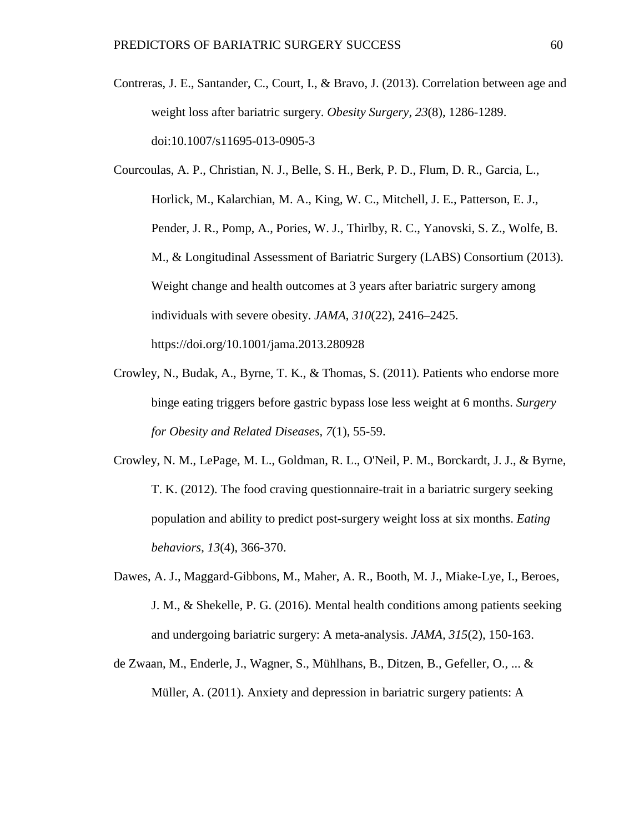- Contreras, J. E., Santander, C., Court, I., & Bravo, J. (2013). Correlation between age and weight loss after bariatric surgery. *Obesity Surgery, 23*(8), 1286-1289. doi:10.1007/s11695-013-0905-3
- Courcoulas, A. P., Christian, N. J., Belle, S. H., Berk, P. D., Flum, D. R., Garcia, L., Horlick, M., Kalarchian, M. A., King, W. C., Mitchell, J. E., Patterson, E. J., Pender, J. R., Pomp, A., Pories, W. J., Thirlby, R. C., Yanovski, S. Z., Wolfe, B. M., & Longitudinal Assessment of Bariatric Surgery (LABS) Consortium (2013). Weight change and health outcomes at 3 years after bariatric surgery among individuals with severe obesity. *JAMA*, *310*(22), 2416–2425. https://doi.org/10.1001/jama.2013.280928
- Crowley, N., Budak, A., Byrne, T. K., & Thomas, S. (2011). Patients who endorse more binge eating triggers before gastric bypass lose less weight at 6 months. *Surgery for Obesity and Related Diseases, 7*(1), 55-59.
- Crowley, N. M., LePage, M. L., Goldman, R. L., O'Neil, P. M., Borckardt, J. J., & Byrne, T. K. (2012). The food craving questionnaire-trait in a bariatric surgery seeking population and ability to predict post-surgery weight loss at six months. *Eating behaviors*, *13*(4), 366-370.
- Dawes, A. J., Maggard-Gibbons, M., Maher, A. R., Booth, M. J., Miake-Lye, I., Beroes, J. M., & Shekelle, P. G. (2016). Mental health conditions among patients seeking and undergoing bariatric surgery: A meta-analysis. *JAMA, 315*(2), 150-163.
- de Zwaan, M., Enderle, J., Wagner, S., Mühlhans, B., Ditzen, B., Gefeller, O., ... & Müller, A. (2011). Anxiety and depression in bariatric surgery patients: A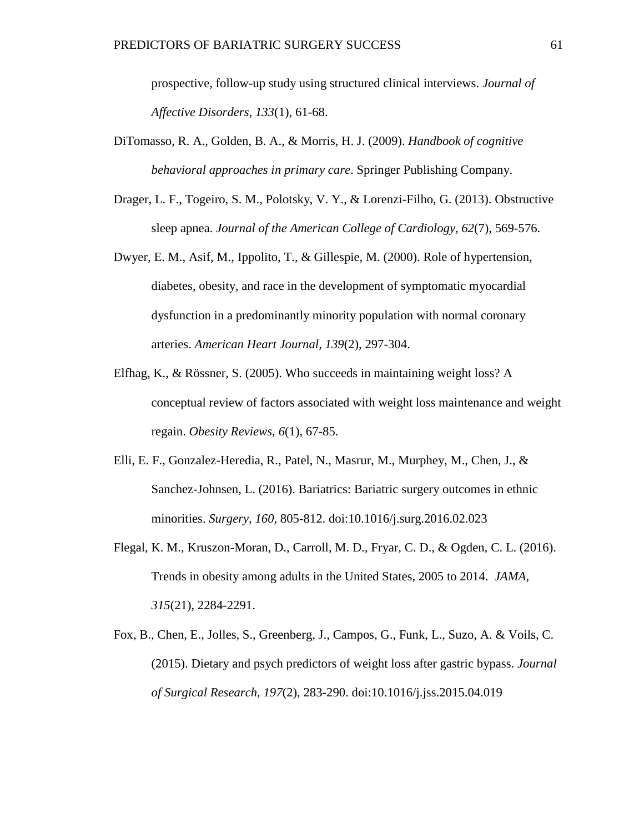prospective, follow-up study using structured clinical interviews. *Journal of Affective Disorders, 133*(1), 61-68.

- DiTomasso, R. A., Golden, B. A., & Morris, H. J. (2009). *Handbook of cognitive behavioral approaches in primary care*. Springer Publishing Company.
- Drager, L. F., Togeiro, S. M., Polotsky, V. Y., & Lorenzi-Filho, G. (2013). Obstructive sleep apnea. *Journal of the American College of Cardiology, 62*(7), 569-576.
- Dwyer, E. M., Asif, M., Ippolito, T., & Gillespie, M. (2000). Role of hypertension, diabetes, obesity, and race in the development of symptomatic myocardial dysfunction in a predominantly minority population with normal coronary arteries. *American Heart Journal, 139*(2), 297-304.
- Elfhag, K., & Rössner, S. (2005). Who succeeds in maintaining weight loss? A conceptual review of factors associated with weight loss maintenance and weight regain. *Obesity Reviews, 6*(1), 67-85.
- Elli, E. F., Gonzalez-Heredia, R., Patel, N., Masrur, M., Murphey, M., Chen, J., & Sanchez-Johnsen, L. (2016). Bariatrics: Bariatric surgery outcomes in ethnic minorities. *Surgery, 160,* 805-812. doi:10.1016/j.surg.2016.02.023
- Flegal, K. M., Kruszon-Moran, D., Carroll, M. D., Fryar, C. D., & Ogden, C. L. (2016). Trends in obesity among adults in the United States, 2005 to 2014. *JAMA, 315*(21), 2284-2291.
- Fox, B., Chen, E., Jolles, S., Greenberg, J., Campos, G., Funk, L., Suzo, A. & Voils, C. (2015). Dietary and psych predictors of weight loss after gastric bypass. *Journal of Surgical Research, 197*(2), 283-290. doi:10.1016/j.jss.2015.04.019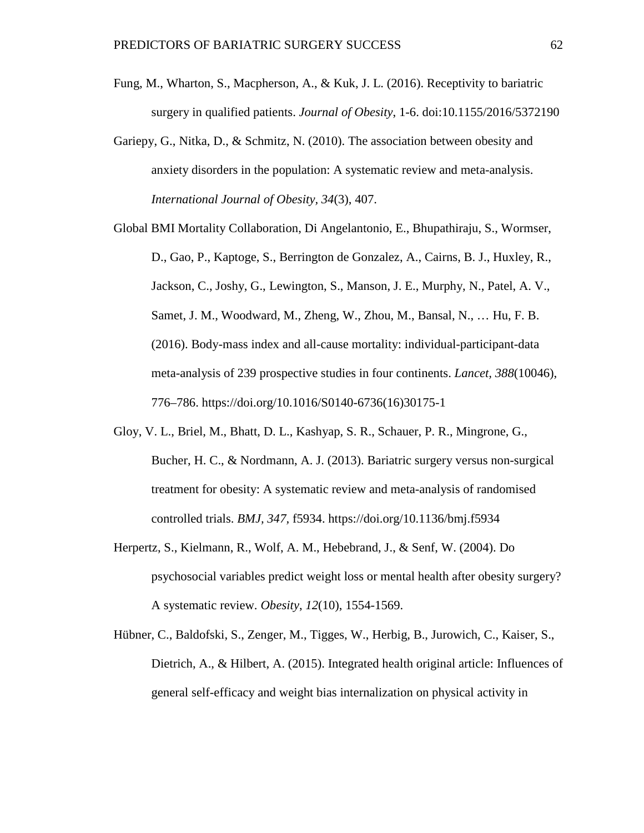- Fung, M., Wharton, S., Macpherson, A., & Kuk, J. L. (2016). Receptivity to bariatric surgery in qualified patients. *Journal of Obesity*, 1-6. doi:10.1155/2016/5372190
- Gariepy, G., Nitka, D., & Schmitz, N. (2010). The association between obesity and anxiety disorders in the population: A systematic review and meta-analysis. *International Journal of Obesity, 34*(3), 407.

Global BMI Mortality Collaboration, Di Angelantonio, E., Bhupathiraju, S., Wormser, D., Gao, P., Kaptoge, S., Berrington de Gonzalez, A., Cairns, B. J., Huxley, R., Jackson, C., Joshy, G., Lewington, S., Manson, J. E., Murphy, N., Patel, A. V., Samet, J. M., Woodward, M., Zheng, W., Zhou, M., Bansal, N., … Hu, F. B. (2016). Body-mass index and all-cause mortality: individual-participant-data meta-analysis of 239 prospective studies in four continents. *Lancet, 388*(10046), 776–786. https://doi.org/10.1016/S0140-6736(16)30175-1

- Gloy, V. L., Briel, M., Bhatt, D. L., Kashyap, S. R., Schauer, P. R., Mingrone, G., Bucher, H. C., & Nordmann, A. J. (2013). Bariatric surgery versus non-surgical treatment for obesity: A systematic review and meta-analysis of randomised controlled trials. *BMJ, 347,* f5934. https://doi.org/10.1136/bmj.f5934
- Herpertz, S., Kielmann, R., Wolf, A. M., Hebebrand, J., & Senf, W. (2004). Do psychosocial variables predict weight loss or mental health after obesity surgery? A systematic review. *Obesity*, *12*(10), 1554-1569.
- Hübner, C., Baldofski, S., Zenger, M., Tigges, W., Herbig, B., Jurowich, C., Kaiser, S., Dietrich, A., & Hilbert, A. (2015). Integrated health original article: Influences of general self-efficacy and weight bias internalization on physical activity in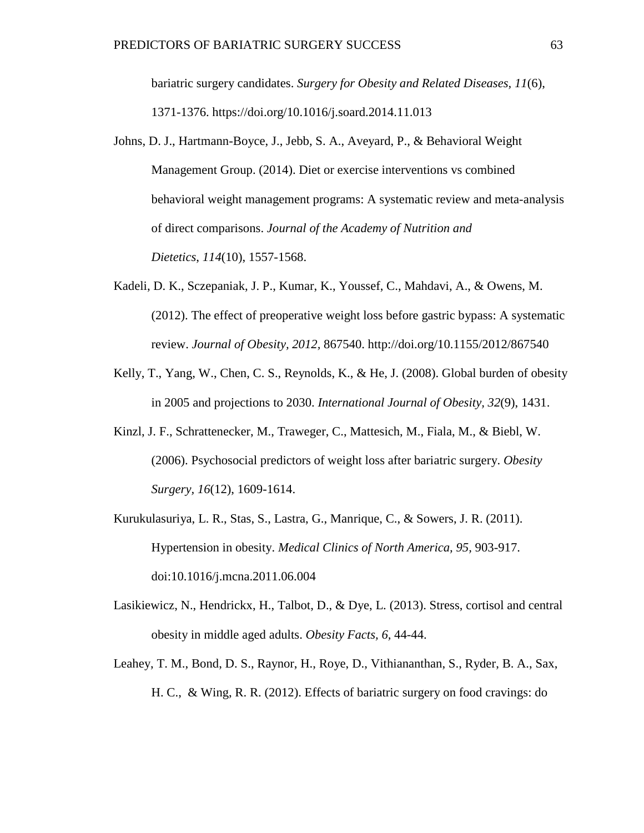bariatric surgery candidates. *Surgery for Obesity and Related Diseases, 11*(6), 1371-1376. https://doi.org/10.1016/j.soard.2014.11.013

- Johns, D. J., Hartmann-Boyce, J., Jebb, S. A., Aveyard, P., & Behavioral Weight Management Group. (2014). Diet or exercise interventions vs combined behavioral weight management programs: A systematic review and meta-analysis of direct comparisons. *Journal of the Academy of Nutrition and Dietetics*, *114*(10), 1557-1568.
- Kadeli, D. K., Sczepaniak, J. P., Kumar, K., Youssef, C., Mahdavi, A., & Owens, M. (2012). The effect of preoperative weight loss before gastric bypass: A systematic review. *Journal of Obesity, 2012,* 867540. http://doi.org/10.1155/2012/867540
- Kelly, T., Yang, W., Chen, C. S., Reynolds, K., & He, J. (2008). Global burden of obesity in 2005 and projections to 2030. *International Journal of Obesity, 32*(9), 1431.
- Kinzl, J. F., Schrattenecker, M., Traweger, C., Mattesich, M., Fiala, M., & Biebl, W. (2006). Psychosocial predictors of weight loss after bariatric surgery. *Obesity Surgery, 16*(12), 1609-1614.
- Kurukulasuriya, L. R., Stas, S., Lastra, G., Manrique, C., & Sowers, J. R. (2011). Hypertension in obesity. *Medical Clinics of North America, 95,* 903-917. doi:10.1016/j.mcna.2011.06.004
- Lasikiewicz, N., Hendrickx, H., Talbot, D., & Dye, L. (2013). Stress, cortisol and central obesity in middle aged adults. *Obesity Facts, 6,* 44-44.
- Leahey, T. M., Bond, D. S., Raynor, H., Roye, D., Vithiananthan, S., Ryder, B. A., Sax, H. C., & Wing, R. R. (2012). Effects of bariatric surgery on food cravings: do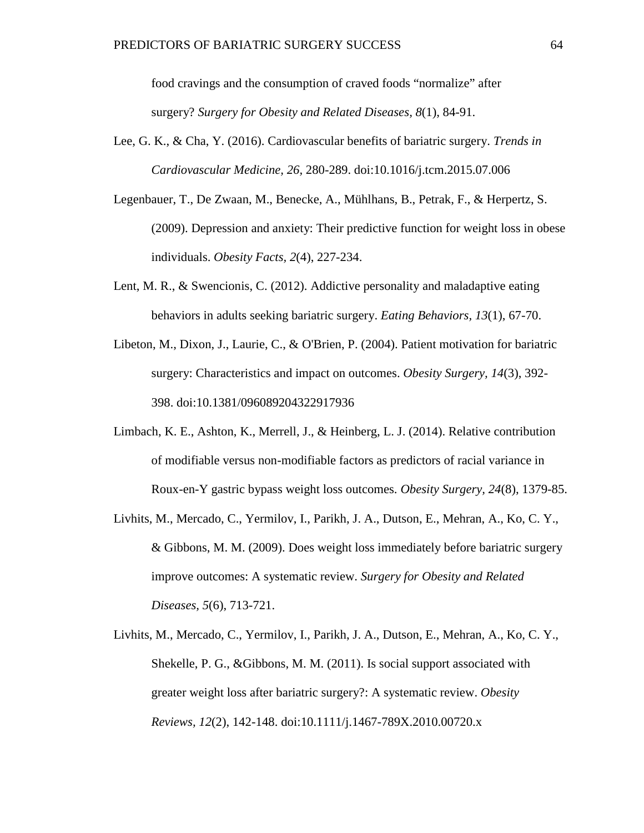food cravings and the consumption of craved foods "normalize" after surgery? *Surgery for Obesity and Related Diseases, 8*(1), 84-91.

- Lee, G. K., & Cha, Y. (2016). Cardiovascular benefits of bariatric surgery. *Trends in Cardiovascular Medicine, 26,* 280-289. doi:10.1016/j.tcm.2015.07.006
- Legenbauer, T., De Zwaan, M., Benecke, A., Mühlhans, B., Petrak, F., & Herpertz, S. (2009). Depression and anxiety: Their predictive function for weight loss in obese individuals. *Obesity Facts, 2*(4), 227-234.
- Lent, M. R., & Swencionis, C. (2012). Addictive personality and maladaptive eating behaviors in adults seeking bariatric surgery. *Eating Behaviors, 13*(1), 67-70.
- Libeton, M., Dixon, J., Laurie, C., & O'Brien, P. (2004). Patient motivation for bariatric surgery: Characteristics and impact on outcomes. *Obesity Surgery, 14*(3), 392- 398. doi:10.1381/096089204322917936
- Limbach, K. E., Ashton, K., Merrell, J., & Heinberg, L. J. (2014). Relative contribution of modifiable versus non-modifiable factors as predictors of racial variance in Roux-en-Y gastric bypass weight loss outcomes. *Obesity Surgery, 24*(8), 1379-85.
- Livhits, M., Mercado, C., Yermilov, I., Parikh, J. A., Dutson, E., Mehran, A., Ko, C. Y., & Gibbons, M. M. (2009). Does weight loss immediately before bariatric surgery improve outcomes: A systematic review. *Surgery for Obesity and Related Diseases, 5*(6), 713-721.
- Livhits, M., Mercado, C., Yermilov, I., Parikh, J. A., Dutson, E., Mehran, A., Ko, C. Y., Shekelle, P. G., &Gibbons, M. M. (2011). Is social support associated with greater weight loss after bariatric surgery?: A systematic review. *Obesity Reviews, 12*(2), 142-148. doi:10.1111/j.1467-789X.2010.00720.x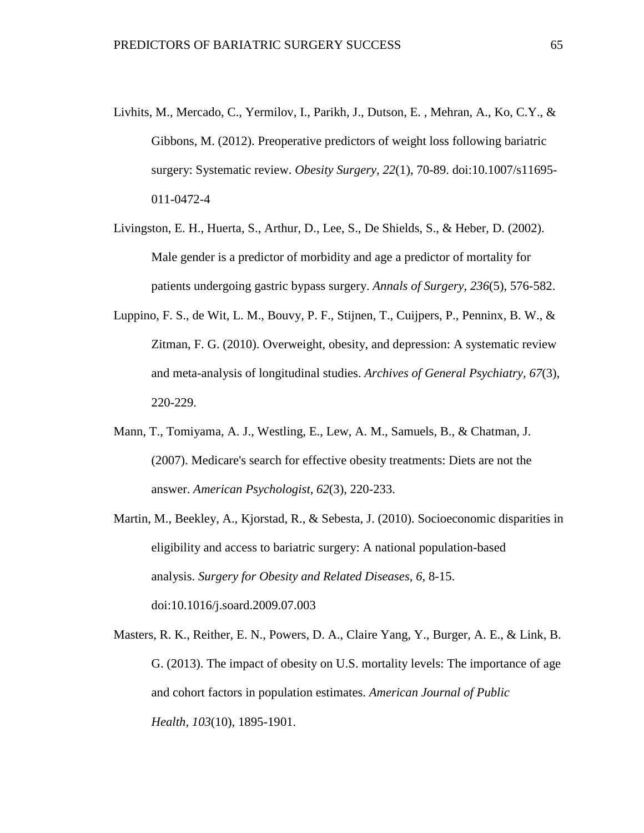- Livhits, M., Mercado, C., Yermilov, I., Parikh, J., Dutson, E. , Mehran, A., Ko, C.Y., & Gibbons, M. (2012). Preoperative predictors of weight loss following bariatric surgery: Systematic review. *Obesity Surgery, 22*(1), 70-89. doi:10.1007/s11695- 011-0472-4
- Livingston, E. H., Huerta, S., Arthur, D., Lee, S., De Shields, S., & Heber, D. (2002). Male gender is a predictor of morbidity and age a predictor of mortality for patients undergoing gastric bypass surgery. *Annals of Surgery, 236*(5), 576-582.
- Luppino, F. S., de Wit, L. M., Bouvy, P. F., Stijnen, T., Cuijpers, P., Penninx, B. W., & Zitman, F. G. (2010). Overweight, obesity, and depression: A systematic review and meta-analysis of longitudinal studies. *Archives of General Psychiatry, 67*(3), 220-229.
- Mann, T., Tomiyama, A. J., Westling, E., Lew, A. M., Samuels, B., & Chatman, J. (2007). Medicare's search for effective obesity treatments: Diets are not the answer. *American Psychologist, 62*(3), 220-233.
- Martin, M., Beekley, A., Kjorstad, R., & Sebesta, J. (2010). Socioeconomic disparities in eligibility and access to bariatric surgery: A national population-based analysis. *Surgery for Obesity and Related Diseases, 6,* 8-15. doi:10.1016/j.soard.2009.07.003
- Masters, R. K., Reither, E. N., Powers, D. A., Claire Yang, Y., Burger, A. E., & Link, B. G. (2013). The impact of obesity on U.S. mortality levels: The importance of age and cohort factors in population estimates. *American Journal of Public Health, 103*(10), 1895-1901.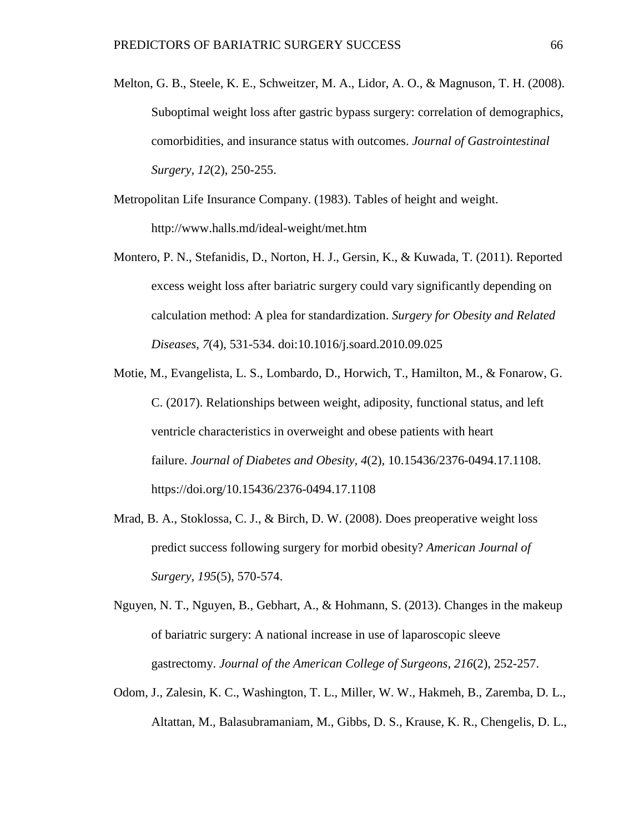- Melton, G. B., Steele, K. E., Schweitzer, M. A., Lidor, A. O., & Magnuson, T. H. (2008). Suboptimal weight loss after gastric bypass surgery: correlation of demographics, comorbidities, and insurance status with outcomes. *Journal of Gastrointestinal Surgery, 12*(2), 250-255.
- Metropolitan Life Insurance Company. (1983). Tables of height and weight. http://www.halls.md/ideal-weight/met.htm
- Montero, P. N., Stefanidis, D., Norton, H. J., Gersin, K., & Kuwada, T. (2011). Reported excess weight loss after bariatric surgery could vary significantly depending on calculation method: A plea for standardization. *Surgery for Obesity and Related Diseases, 7*(4), 531-534. doi:10.1016/j.soard.2010.09.025
- Motie, M., Evangelista, L. S., Lombardo, D., Horwich, T., Hamilton, M., & Fonarow, G. C. (2017). Relationships between weight, adiposity, functional status, and left ventricle characteristics in overweight and obese patients with heart failure. *Journal of Diabetes and Obesity, 4*(2), 10.15436/2376-0494.17.1108. https://doi.org/10.15436/2376-0494.17.1108
- Mrad, B. A., Stoklossa, C. J., & Birch, D. W. (2008). Does preoperative weight loss predict success following surgery for morbid obesity? *American Journal of Surgery, 195*(5), 570-574.
- Nguyen, N. T., Nguyen, B., Gebhart, A., & Hohmann, S. (2013). Changes in the makeup of bariatric surgery: A national increase in use of laparoscopic sleeve gastrectomy. *Journal of the American College of Surgeons, 216*(2), 252-257.
- Odom, J., Zalesin, K. C., Washington, T. L., Miller, W. W., Hakmeh, B., Zaremba, D. L., Altattan, M., Balasubramaniam, M., Gibbs, D. S., Krause, K. R., Chengelis, D. L.,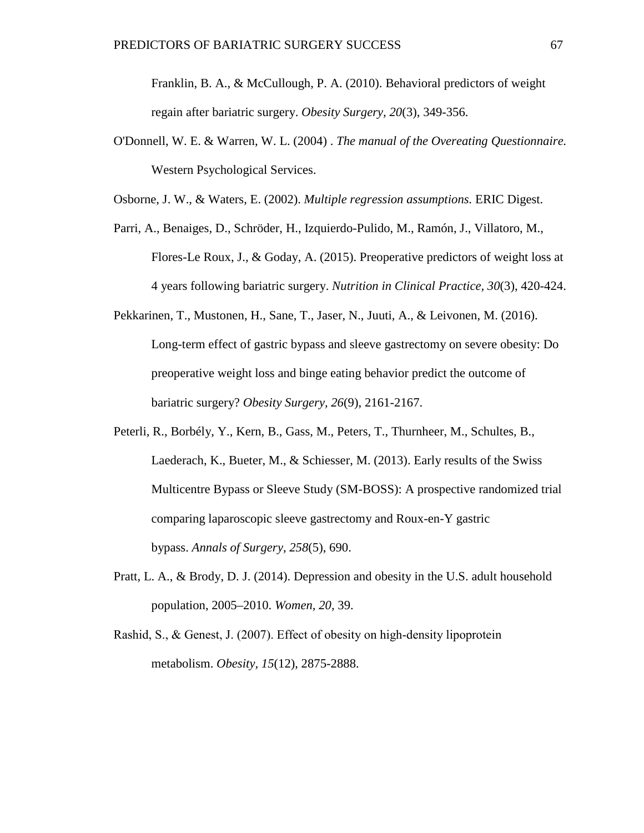Franklin, B. A., & McCullough, P. A. (2010). Behavioral predictors of weight regain after bariatric surgery. *Obesity Surgery, 20*(3), 349-356.

O'Donnell, W. E. & Warren, W. L. (2004) . *The manual of the Overeating Questionnaire.* Western Psychological Services.

Osborne, J. W., & Waters, E. (2002). *Multiple regression assumptions.* ERIC Digest.

- Parri, A., Benaiges, D., Schröder, H., Izquierdo-Pulido, M., Ramón, J., Villatoro, M., Flores-Le Roux, J., & Goday, A. (2015). Preoperative predictors of weight loss at 4 years following bariatric surgery. *Nutrition in Clinical Practice, 30*(3), 420-424.
- Pekkarinen, T., Mustonen, H., Sane, T., Jaser, N., Juuti, A., & Leivonen, M. (2016). Long-term effect of gastric bypass and sleeve gastrectomy on severe obesity: Do preoperative weight loss and binge eating behavior predict the outcome of bariatric surgery? *Obesity Surgery, 26*(9), 2161-2167.
- Peterli, R., Borbély, Y., Kern, B., Gass, M., Peters, T., Thurnheer, M., Schultes, B., Laederach, K., Bueter, M., & Schiesser, M. (2013). Early results of the Swiss Multicentre Bypass or Sleeve Study (SM-BOSS): A prospective randomized trial comparing laparoscopic sleeve gastrectomy and Roux-en-Y gastric bypass. *Annals of Surgery, 258*(5), 690.
- Pratt, L. A., & Brody, D. J. (2014). Depression and obesity in the U.S. adult household population, 2005–2010. *Women, 20,* 39.
- Rashid, S., & Genest, J. (2007). Effect of obesity on high-density lipoprotein metabolism. *Obesity, 15*(12), 2875-2888.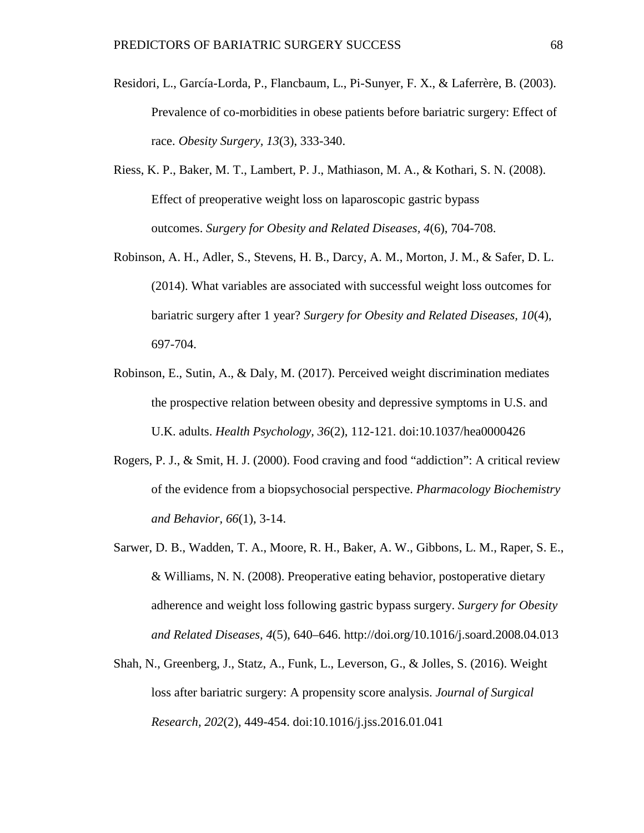- Residori, L., García-Lorda, P., Flancbaum, L., Pi-Sunyer, F. X., & Laferrère, B. (2003). Prevalence of co-morbidities in obese patients before bariatric surgery: Effect of race. *Obesity Surgery, 13*(3), 333-340.
- Riess, K. P., Baker, M. T., Lambert, P. J., Mathiason, M. A., & Kothari, S. N. (2008). Effect of preoperative weight loss on laparoscopic gastric bypass outcomes. *Surgery for Obesity and Related Diseases, 4*(6), 704-708.
- Robinson, A. H., Adler, S., Stevens, H. B., Darcy, A. M., Morton, J. M., & Safer, D. L. (2014). What variables are associated with successful weight loss outcomes for bariatric surgery after 1 year? *Surgery for Obesity and Related Diseases, 10*(4), 697-704.
- Robinson, E., Sutin, A., & Daly, M. (2017). Perceived weight discrimination mediates the prospective relation between obesity and depressive symptoms in U.S. and U.K. adults. *Health Psychology, 36*(2), 112-121. doi:10.1037/hea0000426
- Rogers, P. J., & Smit, H. J. (2000). Food craving and food "addiction": A critical review of the evidence from a biopsychosocial perspective. *Pharmacology Biochemistry and Behavior, 66*(1), 3-14.
- Sarwer, D. B., Wadden, T. A., Moore, R. H., Baker, A. W., Gibbons, L. M., Raper, S. E., & Williams, N. N. (2008). Preoperative eating behavior, postoperative dietary adherence and weight loss following gastric bypass surgery. *Surgery for Obesity and Related Diseases, 4*(5), 640–646. http://doi.org/10.1016/j.soard.2008.04.013
- Shah, N., Greenberg, J., Statz, A., Funk, L., Leverson, G., & Jolles, S. (2016). Weight loss after bariatric surgery: A propensity score analysis. *Journal of Surgical Research, 202*(2), 449-454. doi:10.1016/j.jss.2016.01.041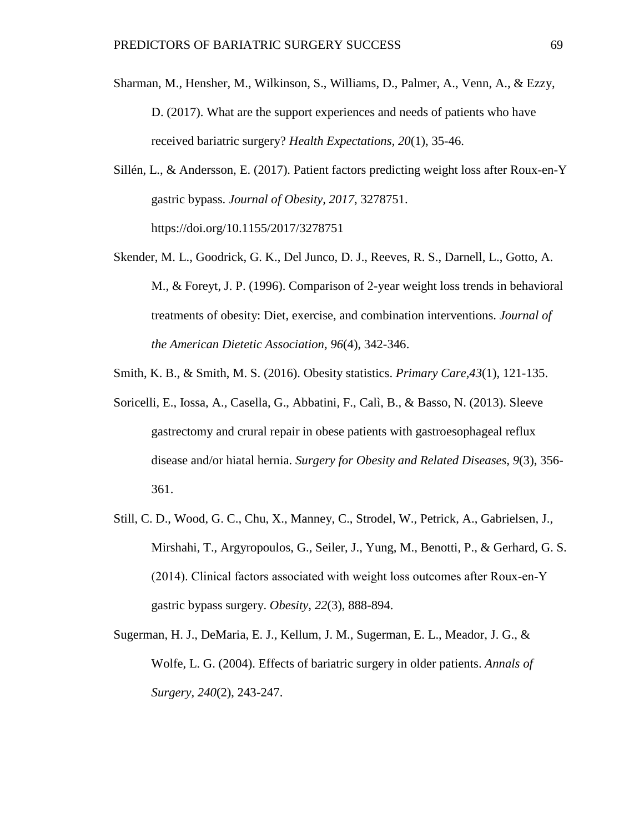- Sharman, M., Hensher, M., Wilkinson, S., Williams, D., Palmer, A., Venn, A., & Ezzy, D. (2017). What are the support experiences and needs of patients who have received bariatric surgery? *Health Expectations, 20*(1), 35-46.
- Sillén, L., & Andersson, E. (2017). Patient factors predicting weight loss after Roux-en-Y gastric bypass. *Journal of Obesity, 2017*, 3278751. https://doi.org/10.1155/2017/3278751
- Skender, M. L., Goodrick, G. K., Del Junco, D. J., Reeves, R. S., Darnell, L., Gotto, A. M., & Foreyt, J. P. (1996). Comparison of 2-year weight loss trends in behavioral treatments of obesity: Diet, exercise, and combination interventions. *Journal of the American Dietetic Association, 96*(4), 342-346.
- Smith, K. B., & Smith, M. S. (2016). Obesity statistics. *Primary Care,43*(1), 121-135.
- Soricelli, E., Iossa, A., Casella, G., Abbatini, F., Calì, B., & Basso, N. (2013). Sleeve gastrectomy and crural repair in obese patients with gastroesophageal reflux disease and/or hiatal hernia. *Surgery for Obesity and Related Diseases, 9*(3), 356- 361.
- Still, C. D., Wood, G. C., Chu, X., Manney, C., Strodel, W., Petrick, A., Gabrielsen, J., Mirshahi, T., Argyropoulos, G., Seiler, J., Yung, M., Benotti, P., & Gerhard, G. S. (2014). Clinical factors associated with weight loss outcomes after Roux‐en‐Y gastric bypass surgery. *Obesity, 22*(3), 888-894.
- Sugerman, H. J., DeMaria, E. J., Kellum, J. M., Sugerman, E. L., Meador, J. G., & Wolfe, L. G. (2004). Effects of bariatric surgery in older patients. *Annals of Surgery, 240*(2), 243-247.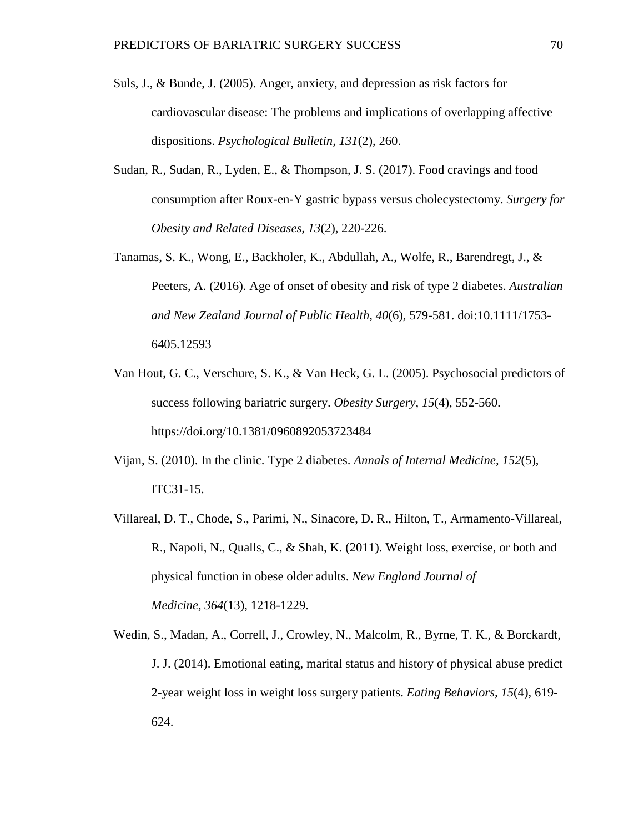- Suls, J., & Bunde, J. (2005). Anger, anxiety, and depression as risk factors for cardiovascular disease: The problems and implications of overlapping affective dispositions. *Psychological Bulletin, 131*(2), 260.
- Sudan, R., Sudan, R., Lyden, E., & Thompson, J. S. (2017). Food cravings and food consumption after Roux-en-Y gastric bypass versus cholecystectomy. *Surgery for Obesity and Related Diseases, 13*(2), 220-226.
- Tanamas, S. K., Wong, E., Backholer, K., Abdullah, A., Wolfe, R., Barendregt, J., & Peeters, A. (2016). Age of onset of obesity and risk of type 2 diabetes. *Australian and New Zealand Journal of Public Health, 40*(6), 579-581. doi:10.1111/1753- 6405.12593
- Van Hout, G. C., Verschure, S. K., & Van Heck, G. L. (2005). Psychosocial predictors of success following bariatric surgery. *Obesity Surgery, 15*(4), 552-560. https://doi.org/10.1381/0960892053723484
- Vijan, S. (2010). In the clinic. Type 2 diabetes. *Annals of Internal Medicine, 152*(5), ITC31-15.
- Villareal, D. T., Chode, S., Parimi, N., Sinacore, D. R., Hilton, T., Armamento-Villareal, R., Napoli, N., Qualls, C., & Shah, K. (2011). Weight loss, exercise, or both and physical function in obese older adults. *New England Journal of Medicine, 364*(13), 1218-1229.
- Wedin, S., Madan, A., Correll, J., Crowley, N., Malcolm, R., Byrne, T. K., & Borckardt, J. J. (2014). Emotional eating, marital status and history of physical abuse predict 2-year weight loss in weight loss surgery patients. *Eating Behaviors, 15*(4), 619- 624.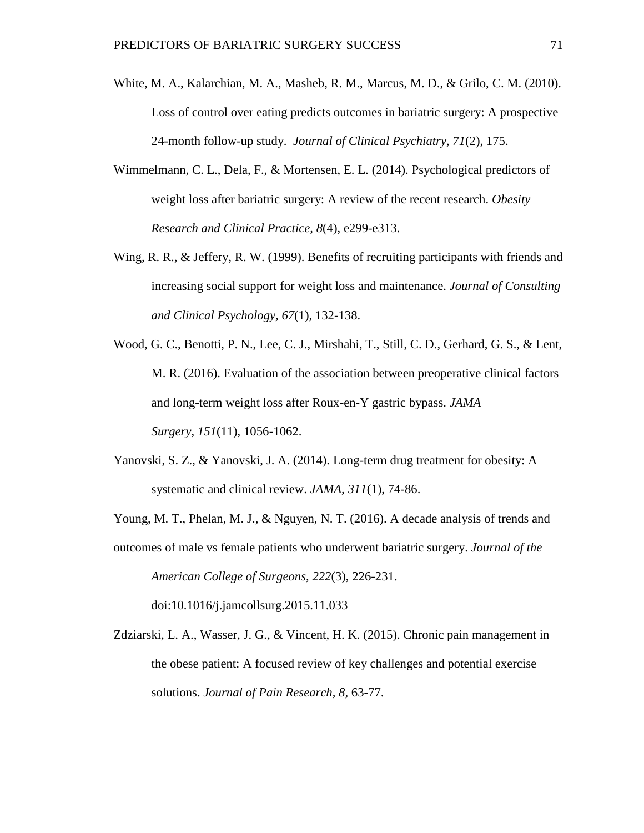- White, M. A., Kalarchian, M. A., Masheb, R. M., Marcus, M. D., & Grilo, C. M. (2010). Loss of control over eating predicts outcomes in bariatric surgery: A prospective 24-month follow-up study. *Journal of Clinical Psychiatry, 71*(2), 175.
- Wimmelmann, C. L., Dela, F., & Mortensen, E. L. (2014). Psychological predictors of weight loss after bariatric surgery: A review of the recent research. *Obesity Research and Clinical Practice, 8*(4), e299-e313.
- Wing, R. R., & Jeffery, R. W. (1999). Benefits of recruiting participants with friends and increasing social support for weight loss and maintenance. *Journal of Consulting and Clinical Psychology, 67*(1), 132-138.
- Wood, G. C., Benotti, P. N., Lee, C. J., Mirshahi, T., Still, C. D., Gerhard, G. S., & Lent, M. R. (2016). Evaluation of the association between preoperative clinical factors and long-term weight loss after Roux-en-Y gastric bypass. *JAMA Surgery, 151*(11), 1056-1062.
- Yanovski, S. Z., & Yanovski, J. A. (2014). Long-term drug treatment for obesity: A systematic and clinical review. *JAMA, 311*(1), 74-86.

Young, M. T., Phelan, M. J., & Nguyen, N. T. (2016). A decade analysis of trends and

outcomes of male vs female patients who underwent bariatric surgery. *Journal of the American College of Surgeons, 222*(3), 226-231. doi:10.1016/j.jamcollsurg.2015.11.033

Zdziarski, L. A., Wasser, J. G., & Vincent, H. K. (2015). Chronic pain management in the obese patient: A focused review of key challenges and potential exercise solutions. *Journal of Pain Research, 8,* 63-77.